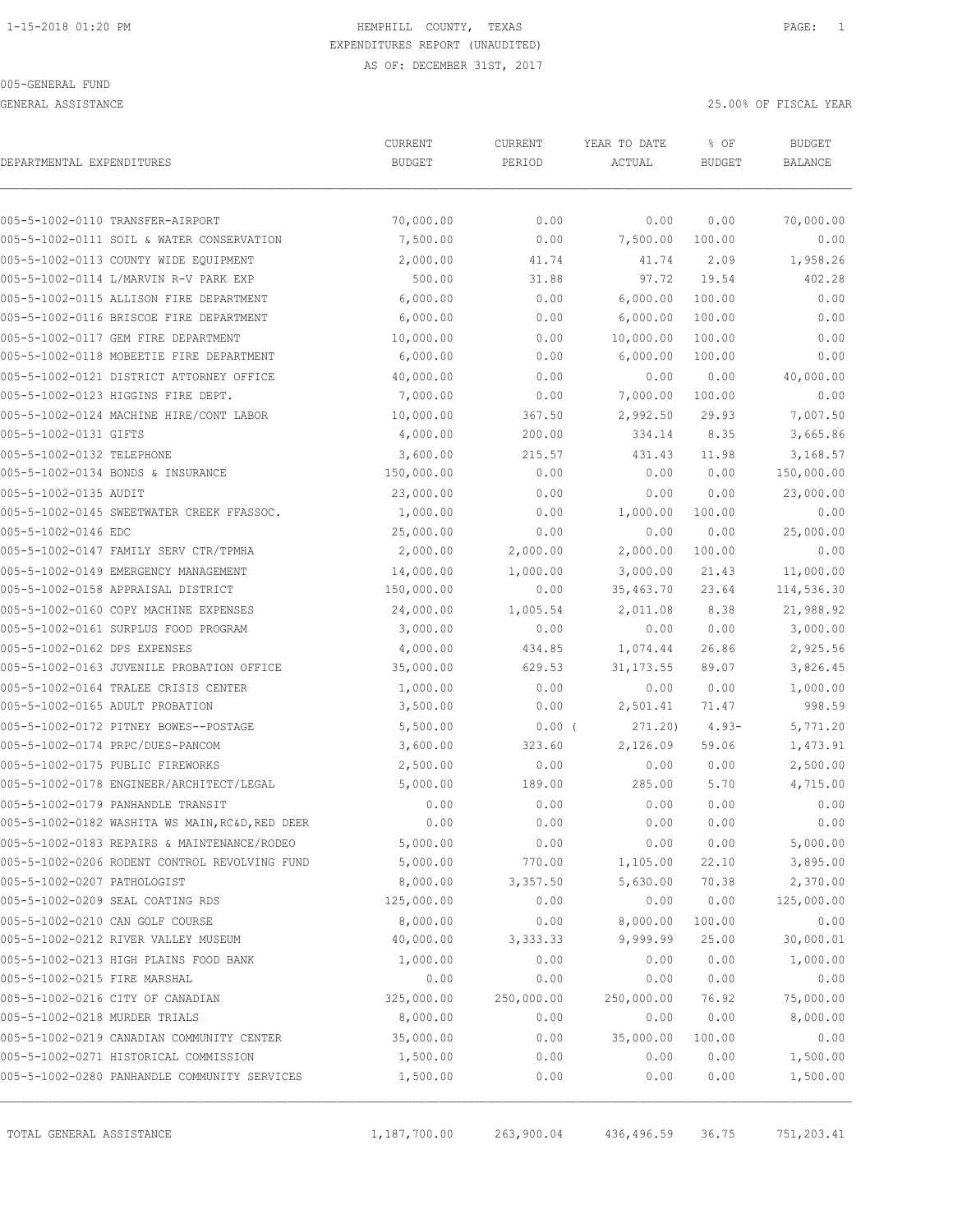GENERAL ASSISTANCE 25.00% OF FISCAL YEAR

| DEPARTMENTAL EXPENDITURES                       | CURRENT<br><b>BUDGET</b> | CURRENT<br>PERIOD | YEAR TO DATE<br>ACTUAL | % OF<br><b>BUDGET</b> | <b>BUDGET</b><br>BALANCE |
|-------------------------------------------------|--------------------------|-------------------|------------------------|-----------------------|--------------------------|
|                                                 |                          |                   |                        |                       |                          |
| 005-5-1002-0110 TRANSFER-AIRPORT                | 70,000.00                | 0.00              | 0.00                   | 0.00                  | 70,000.00                |
| 005-5-1002-0111 SOIL & WATER CONSERVATION       | 7,500.00                 | 0.00              | 7,500.00               | 100.00                | 0.00                     |
| 005-5-1002-0113 COUNTY WIDE EQUIPMENT           | 2,000.00                 | 41.74             | 41.74                  | 2.09                  | 1,958.26                 |
| 005-5-1002-0114 L/MARVIN R-V PARK EXP           | 500.00                   | 31.88             | 97.72                  | 19.54                 | 402.28                   |
| 005-5-1002-0115 ALLISON FIRE DEPARTMENT         | 6,000.00                 | 0.00              | 6,000.00               | 100.00                | 0.00                     |
| 005-5-1002-0116 BRISCOE FIRE DEPARTMENT         | 6,000.00                 | 0.00              | 6,000.00               | 100.00                | 0.00                     |
| 005-5-1002-0117 GEM FIRE DEPARTMENT             | 10,000.00                | 0.00              | 10,000.00              | 100.00                | 0.00                     |
| 005-5-1002-0118 MOBEETIE FIRE DEPARTMENT        | 6,000.00                 | 0.00              | 6,000.00               | 100.00                | 0.00                     |
| 005-5-1002-0121 DISTRICT ATTORNEY OFFICE        | 40,000.00                | 0.00              | 0.00                   | 0.00                  | 40,000.00                |
| 005-5-1002-0123 HIGGINS FIRE DEPT.              | 7,000.00                 | 0.00              | 7,000.00               | 100.00                | 0.00                     |
| 005-5-1002-0124 MACHINE HIRE/CONT LABOR         | 10,000.00                | 367.50            | 2,992.50               | 29.93                 | 7,007.50                 |
| 005-5-1002-0131 GIFTS                           | 4,000.00                 | 200.00            | 334.14                 | 8.35                  | 3,665.86                 |
| 005-5-1002-0132 TELEPHONE                       | 3,600.00                 | 215.57            | 431.43                 | 11.98                 | 3,168.57                 |
| 005-5-1002-0134 BONDS & INSURANCE               | 150,000.00               | 0.00              | 0.00                   | 0.00                  | 150,000.00               |
| 005-5-1002-0135 AUDIT                           | 23,000.00                | 0.00              | 0.00                   | 0.00                  | 23,000.00                |
| 005-5-1002-0145 SWEETWATER CREEK FFASSOC.       | 1,000.00                 | 0.00              | 1,000.00               | 100.00                | 0.00                     |
| 005-5-1002-0146 EDC                             | 25,000.00                | 0.00              | 0.00                   | 0.00                  | 25,000.00                |
| 005-5-1002-0147 FAMILY SERV CTR/TPMHA           | 2,000.00                 | 2,000.00          | 2,000.00               | 100.00                | 0.00                     |
| 005-5-1002-0149 EMERGENCY MANAGEMENT            | 14,000.00                | 1,000.00          | 3,000.00               | 21.43                 | 11,000.00                |
| 005-5-1002-0158 APPRAISAL DISTRICT              | 150,000.00               | 0.00              | 35,463.70              | 23.64                 | 114,536.30               |
| 005-5-1002-0160 COPY MACHINE EXPENSES           | 24,000.00                | 1,005.54          | 2,011.08               | 8.38                  | 21,988.92                |
| 005-5-1002-0161 SURPLUS FOOD PROGRAM            | 3,000.00                 | 0.00              | 0.00                   | 0.00                  | 3,000.00                 |
| 005-5-1002-0162 DPS EXPENSES                    | 4,000.00                 | 434.85            | 1,074.44               | 26.86                 | 2,925.56                 |
| 005-5-1002-0163 JUVENILE PROBATION OFFICE       | 35,000.00                | 629.53            | 31, 173.55             | 89.07                 | 3,826.45                 |
| 005-5-1002-0164 TRALEE CRISIS CENTER            | 1,000.00                 | 0.00              | 0.00                   | 0.00                  | 1,000.00                 |
| 005-5-1002-0165 ADULT PROBATION                 | 3,500.00                 | 0.00              | 2,501.41               | 71.47                 | 998.59                   |
| 005-5-1002-0172 PITNEY BOWES--POSTAGE           | 5,500.00                 | 0.00(             | 271.20)                | $4.93-$               | 5,771.20                 |
| 005-5-1002-0174 PRPC/DUES-PANCOM                | 3,600.00                 | 323.60            | 2,126.09               | 59.06                 | 1,473.91                 |
| 005-5-1002-0175 PUBLIC FIREWORKS                | 2,500.00                 | 0.00              | 0.00                   | 0.00                  | 2,500.00                 |
| 005-5-1002-0178 ENGINEER/ARCHITECT/LEGAL        | 5,000.00                 | 189.00            | 285.00                 | 5.70                  | 4,715.00                 |
| 005-5-1002-0179 PANHANDLE TRANSIT               | 0.00                     | 0.00              | 0.00                   | 0.00                  | 0.00                     |
| 005-5-1002-0182 WASHITA WS MAIN, RC&D, RED DEER | 0.00                     | 0.00              | 0.00                   | 0.00                  | 0.00                     |
| 005-5-1002-0183 REPAIRS & MAINTENANCE/RODEO     | 5,000.00                 | 0.00              | 0.00                   | 0.00                  | 5,000.00                 |
| 005-5-1002-0206 RODENT CONTROL REVOLVING FUND   | 5,000.00                 | 770.00            | 1,105.00               | 22.10                 | 3,895.00                 |
| 005-5-1002-0207 PATHOLOGIST                     | 8,000.00                 | 3,357.50          | 5,630.00               | 70.38                 | 2,370.00                 |
| 005-5-1002-0209 SEAL COATING RDS                | 125,000.00               | 0.00              | 0.00                   | 0.00                  | 125,000.00               |
| 005-5-1002-0210 CAN GOLF COURSE                 | 8,000.00                 | 0.00              | 8,000.00               | 100.00                | 0.00                     |
| 005-5-1002-0212 RIVER VALLEY MUSEUM             | 40,000.00                | 3,333.33          | 9,999.99               | 25.00                 | 30,000.01                |
| 005-5-1002-0213 HIGH PLAINS FOOD BANK           | 1,000.00                 | 0.00              | 0.00                   | 0.00                  | 1,000.00                 |
| 005-5-1002-0215 FIRE MARSHAL                    | 0.00                     | 0.00              | 0.00                   | 0.00                  | 0.00                     |
| 005-5-1002-0216 CITY OF CANADIAN                | 325,000.00               | 250,000.00        | 250,000.00             | 76.92                 | 75,000.00                |
| 005-5-1002-0218 MURDER TRIALS                   | 8,000.00                 | 0.00              | 0.00                   | 0.00                  | 8,000.00                 |
| 005-5-1002-0219 CANADIAN COMMUNITY CENTER       | 35,000.00                | 0.00              | 35,000.00              | 100.00                | 0.00                     |
| 005-5-1002-0271 HISTORICAL COMMISSION           | 1,500.00                 | 0.00              | 0.00                   | 0.00                  | 1,500.00                 |
| 005-5-1002-0280 PANHANDLE COMMUNITY SERVICES    | 1,500.00                 | 0.00              | 0.00                   | 0.00                  | 1,500.00                 |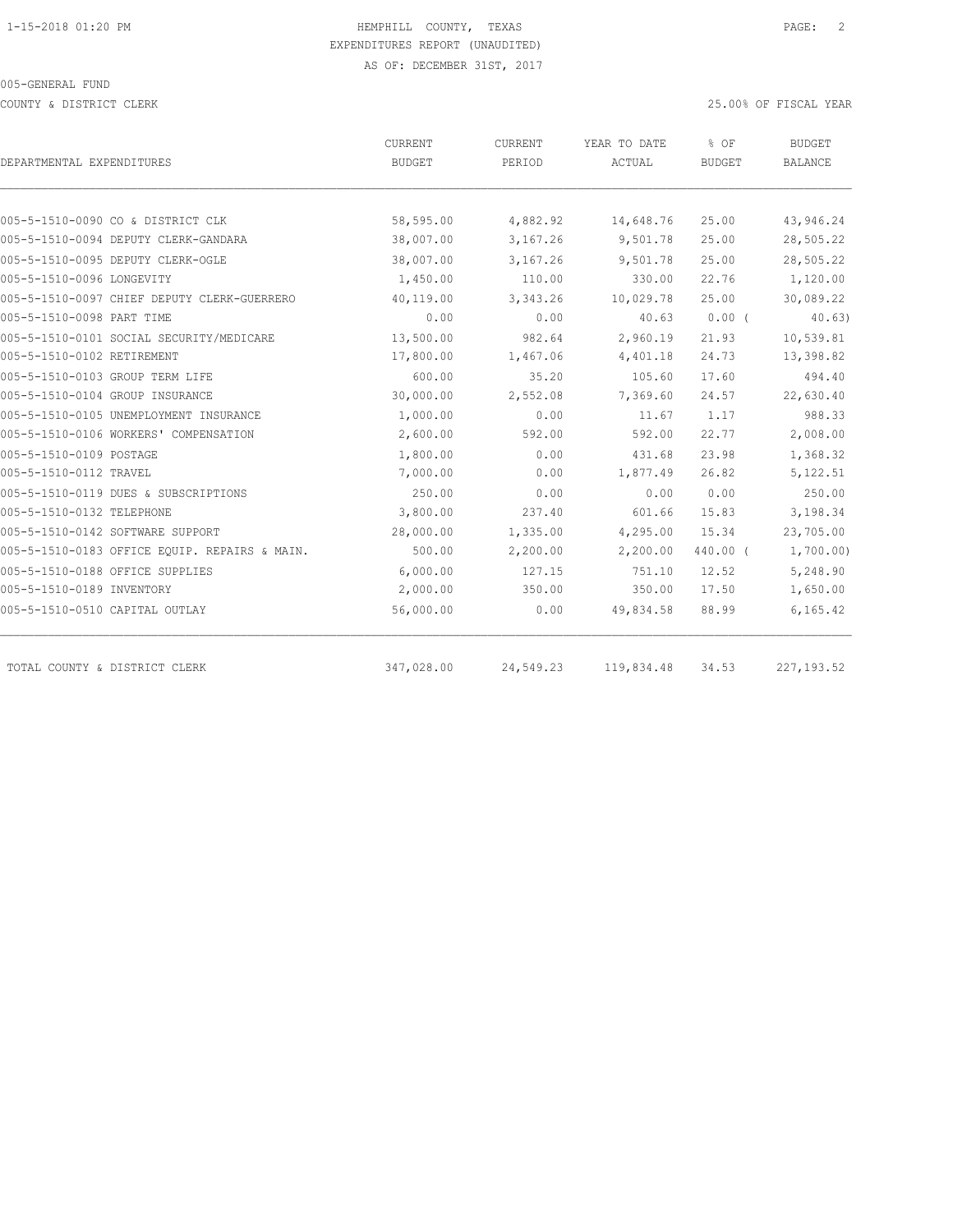COUNTY & DISTRICT CLERK 25.00% OF FISCAL YEAR

| DEPARTMENTAL EXPENDITURES                     | CURRENT<br>BUDGET | CURRENT<br>PERIOD | YEAR TO DATE<br>ACTUAL | % OF<br><b>BUDGET</b> | <b>BUDGET</b><br>BALANCE |
|-----------------------------------------------|-------------------|-------------------|------------------------|-----------------------|--------------------------|
|                                               |                   |                   |                        |                       |                          |
| 005-5-1510-0090 CO & DISTRICT CLK             | 58,595.00         | 4,882.92          | 14,648.76              | 25.00                 | 43,946.24                |
| 005-5-1510-0094 DEPUTY CLERK-GANDARA          | 38,007.00         | 3,167.26          | 9,501.78               | 25.00                 | 28,505.22                |
| 005-5-1510-0095 DEPUTY CLERK-OGLE             | 38,007.00         | 3,167.26          | 9,501.78               | 25.00                 | 28,505.22                |
| 005-5-1510-0096 LONGEVITY                     | 1,450.00          | 110.00            | 330.00                 | 22.76                 | 1,120.00                 |
| 005-5-1510-0097 CHIEF DEPUTY CLERK-GUERRERO   | 40,119.00         | 3,343.26          | 10,029.78              | 25.00                 | 30,089.22                |
| 005-5-1510-0098 PART TIME                     | 0.00              | 0.00              | 40.63                  | $0.00$ (              | 40.63)                   |
| 005-5-1510-0101 SOCIAL SECURITY/MEDICARE      | 13,500.00         | 982.64            | 2,960.19               | 21.93                 | 10,539.81                |
| 005-5-1510-0102 RETIREMENT                    | 17,800.00         | 1,467.06          | 4,401.18               | 24.73                 | 13,398.82                |
| 005-5-1510-0103 GROUP TERM LIFE               | 600.00            | 35.20             | 105.60                 | 17.60                 | 494.40                   |
| 005-5-1510-0104 GROUP INSURANCE               | 30,000.00         | 2,552.08          | 7,369.60               | 24.57                 | 22,630.40                |
| 005-5-1510-0105 UNEMPLOYMENT INSURANCE        | 1,000.00          | 0.00              | 11.67                  | 1.17                  | 988.33                   |
| 005-5-1510-0106 WORKERS' COMPENSATION         | 2,600.00          | 592.00            | 592.00                 | 22.77                 | 2,008.00                 |
| 005-5-1510-0109 POSTAGE                       | 1,800.00          | 0.00              | 431.68                 | 23.98                 | 1,368.32                 |
| 005-5-1510-0112 TRAVEL                        | 7,000.00          | 0.00              | 1,877.49               | 26.82                 | 5,122.51                 |
| 005-5-1510-0119 DUES & SUBSCRIPTIONS          | 250.00            | 0.00              | 0.00                   | 0.00                  | 250.00                   |
| 005-5-1510-0132 TELEPHONE                     | 3,800.00          | 237.40            | 601.66                 | 15.83                 | 3,198.34                 |
| 005-5-1510-0142 SOFTWARE SUPPORT              | 28,000.00         | 1,335.00          | 4,295.00               | 15.34                 | 23,705.00                |
| 005-5-1510-0183 OFFICE EQUIP. REPAIRS & MAIN. | 500.00            | 2,200.00          | 2,200.00               | 440.00 (              | 1,700.00)                |
| 005-5-1510-0188 OFFICE SUPPLIES               | 6,000.00          | 127.15            | 751.10                 | 12.52                 | 5,248.90                 |
| 005-5-1510-0189 INVENTORY                     | 2,000.00          | 350.00            | 350.00                 | 17.50                 | 1,650.00                 |
| 005-5-1510-0510 CAPITAL OUTLAY                | 56,000.00         | 0.00              | 49,834.58              | 88.99                 | 6, 165, 42               |
| TOTAL COUNTY & DISTRICT CLERK                 | 347,028.00        | 24,549.23         | 119,834.48             | 34.53                 | 227, 193.52              |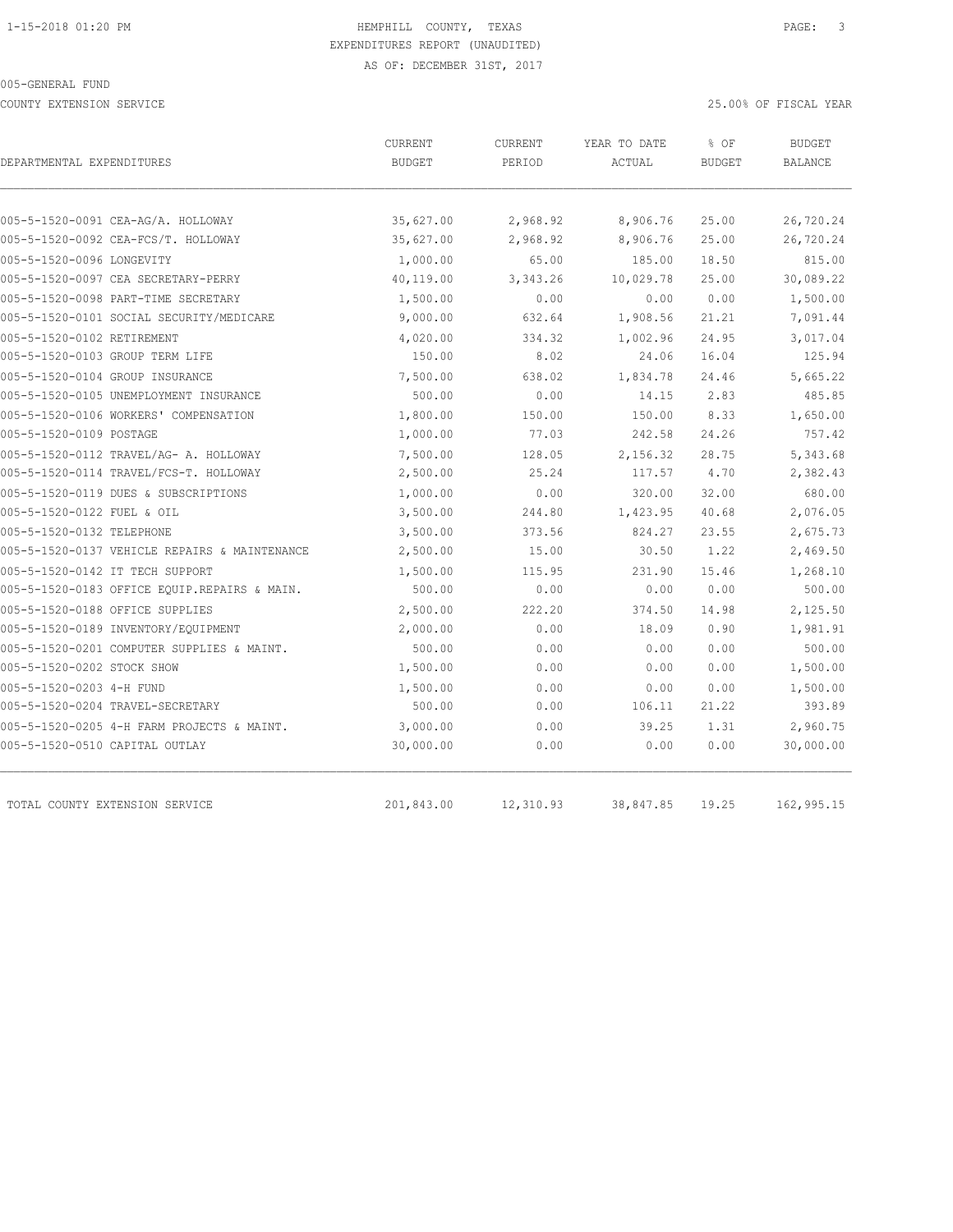COUNTY EXTENSION SERVICE 25.00% OF FISCAL YEAR

| DEPARTMENTAL EXPENDITURES                     | CURRENT<br><b>BUDGET</b> | CURRENT<br>PERIOD | YEAR TO DATE<br>ACTUAL | % OF<br><b>BUDGET</b> | <b>BUDGET</b><br><b>BALANCE</b> |
|-----------------------------------------------|--------------------------|-------------------|------------------------|-----------------------|---------------------------------|
|                                               |                          |                   |                        |                       |                                 |
| 005-5-1520-0091 CEA-AG/A. HOLLOWAY            | 35,627.00                | 2,968.92          | 8,906.76               | 25.00                 | 26,720.24                       |
| 005-5-1520-0092 CEA-FCS/T. HOLLOWAY           | 35,627.00                | 2,968.92          | 8,906.76               | 25.00                 | 26,720.24                       |
| 005-5-1520-0096 LONGEVITY                     | 1,000.00                 | 65.00             | 185.00                 | 18.50                 | 815.00                          |
| 005-5-1520-0097 CEA SECRETARY-PERRY           | 40,119.00                | 3,343.26          | 10,029.78              | 25.00                 | 30,089.22                       |
| 005-5-1520-0098 PART-TIME SECRETARY           | 1,500.00                 | 0.00              | 0.00                   | 0.00                  | 1,500.00                        |
| 005-5-1520-0101 SOCIAL SECURITY/MEDICARE      | 9,000.00                 | 632.64            | 1,908.56               | 21.21                 | 7,091.44                        |
| 005-5-1520-0102 RETIREMENT                    | 4,020.00                 | 334.32            | 1,002.96               | 24.95                 | 3,017.04                        |
| 005-5-1520-0103 GROUP TERM LIFE               | 150.00                   | 8.02              | 24.06                  | 16.04                 | 125.94                          |
| 005-5-1520-0104 GROUP INSURANCE               | 7,500.00                 | 638.02            | 1,834.78               | 24.46                 | 5,665.22                        |
| 005-5-1520-0105 UNEMPLOYMENT INSURANCE        | 500.00                   | 0.00              | 14.15                  | 2.83                  | 485.85                          |
| 005-5-1520-0106 WORKERS' COMPENSATION         | 1,800.00                 | 150.00            | 150.00                 | 8.33                  | 1,650.00                        |
| 005-5-1520-0109 POSTAGE                       | 1,000.00                 | 77.03             | 242.58                 | 24.26                 | 757.42                          |
| 005-5-1520-0112 TRAVEL/AG- A. HOLLOWAY        | 7,500.00                 | 128.05            | 2,156.32               | 28.75                 | 5,343.68                        |
| 005-5-1520-0114 TRAVEL/FCS-T. HOLLOWAY        | 2,500.00                 | 25.24             | 117.57                 | 4.70                  | 2,382.43                        |
| 005-5-1520-0119 DUES & SUBSCRIPTIONS          | 1,000.00                 | 0.00              | 320.00                 | 32.00                 | 680.00                          |
| 005-5-1520-0122 FUEL & OIL                    | 3,500.00                 | 244.80            | 1,423.95               | 40.68                 | 2,076.05                        |
| 005-5-1520-0132 TELEPHONE                     | 3,500.00                 | 373.56            | 824.27                 | 23.55                 | 2,675.73                        |
| 005-5-1520-0137 VEHICLE REPAIRS & MAINTENANCE | 2,500.00                 | 15.00             | 30.50                  | 1.22                  | 2,469.50                        |
| 005-5-1520-0142 IT TECH SUPPORT               | 1,500.00                 | 115.95            | 231.90                 | 15.46                 | 1,268.10                        |
| 005-5-1520-0183 OFFICE EQUIP.REPAIRS & MAIN.  | 500.00                   | 0.00              | 0.00                   | 0.00                  | 500.00                          |
| 005-5-1520-0188 OFFICE SUPPLIES               | 2,500.00                 | 222.20            | 374.50                 | 14.98                 | 2,125.50                        |
| 005-5-1520-0189 INVENTORY/EQUIPMENT           | 2,000.00                 | 0.00              | 18.09                  | 0.90                  | 1,981.91                        |
| 005-5-1520-0201 COMPUTER SUPPLIES & MAINT.    | 500.00                   | 0.00              | 0.00                   | 0.00                  | 500.00                          |
| 005-5-1520-0202 STOCK SHOW                    | 1,500.00                 | 0.00              | 0.00                   | 0.00                  | 1,500.00                        |
| 005-5-1520-0203 4-H FUND                      | 1,500.00                 | 0.00              | 0.00                   | 0.00                  | 1,500.00                        |
| 005-5-1520-0204 TRAVEL-SECRETARY              | 500.00                   | 0.00              | 106.11                 | 21.22                 | 393.89                          |
| 005-5-1520-0205 4-H FARM PROJECTS & MAINT.    | 3,000.00                 | 0.00              | 39.25                  | 1.31                  | 2,960.75                        |
| 005-5-1520-0510 CAPITAL OUTLAY                | 30,000.00                | 0.00              | 0.00                   | 0.00                  | 30,000.00                       |
| TOTAL COUNTY EXTENSION SERVICE                | 201,843.00               | 12,310.93         | 38,847.85              | 19.25                 | 162,995.15                      |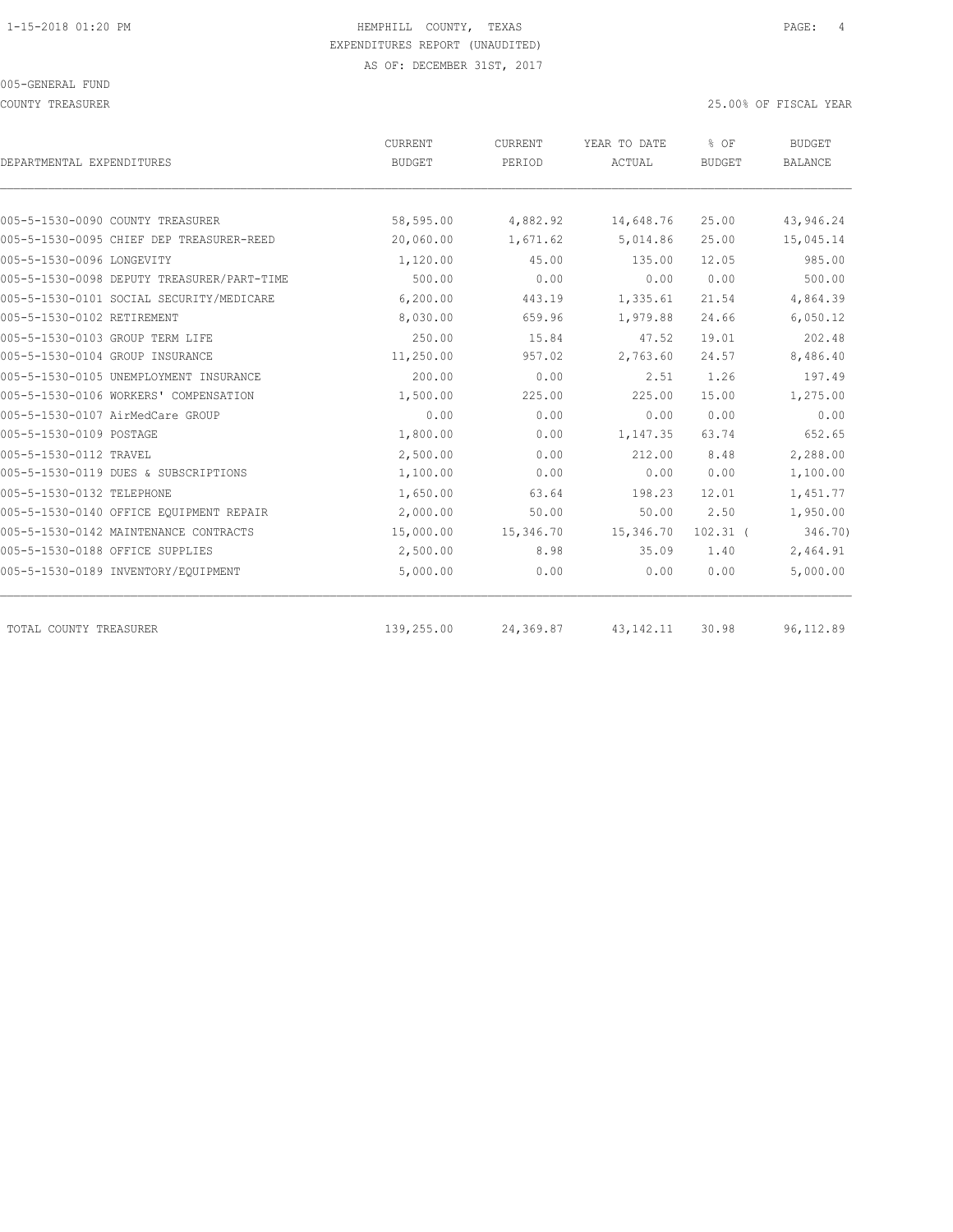COUNTY TREASURER 25.00% OF FISCAL YEAR

| DEPARTMENTAL EXPENDITURES                  | CURRENT<br><b>BUDGET</b> | CURRENT<br>PERIOD | YEAR TO DATE<br>ACTUAL | % OF<br><b>BUDGET</b> | <b>BUDGET</b><br><b>BALANCE</b> |
|--------------------------------------------|--------------------------|-------------------|------------------------|-----------------------|---------------------------------|
|                                            |                          |                   |                        |                       |                                 |
| 005-5-1530-0090 COUNTY TREASURER           | 58,595.00                | 4,882.92          | 14,648.76              | 25.00                 | 43,946.24                       |
| 005-5-1530-0095 CHIEF DEP TREASURER-REED   | 20,060.00                | 1,671.62          | 5,014.86               | 25.00                 | 15,045.14                       |
| 005-5-1530-0096 LONGEVITY                  | 1,120.00                 | 45.00             | 135.00                 | 12.05                 | 985.00                          |
| 005-5-1530-0098 DEPUTY TREASURER/PART-TIME | 500.00                   | 0.00              | 0.00                   | 0.00                  | 500.00                          |
| 005-5-1530-0101 SOCIAL SECURITY/MEDICARE   | 6,200.00                 | 443.19            | 1,335.61               | 21.54                 | 4,864.39                        |
| 005-5-1530-0102 RETIREMENT                 | 8,030.00                 | 659.96            | 1,979.88               | 24.66                 | 6,050.12                        |
| 005-5-1530-0103 GROUP TERM LIFE            | 250.00                   | 15.84             | 47.52                  | 19.01                 | 202.48                          |
| 005-5-1530-0104 GROUP INSURANCE            | 11,250.00                | 957.02            | 2,763.60               | 24.57                 | 8,486.40                        |
| 005-5-1530-0105 UNEMPLOYMENT INSURANCE     | 200.00                   | 0.00              | 2.51                   | 1.26                  | 197.49                          |
| 005-5-1530-0106 WORKERS' COMPENSATION      | 1,500.00                 | 225.00            | 225.00                 | 15.00                 | 1,275.00                        |
| 005-5-1530-0107 AirMedCare GROUP           | 0.00                     | 0.00              | 0.00                   | 0.00                  | 0.00                            |
| 005-5-1530-0109 POSTAGE                    | 1,800.00                 | 0.00              | 1,147.35               | 63.74                 | 652.65                          |
| 005-5-1530-0112 TRAVEL                     | 2,500.00                 | 0.00              | 212.00                 | 8.48                  | 2,288.00                        |
| 005-5-1530-0119 DUES & SUBSCRIPTIONS       | 1,100.00                 | 0.00              | 0.00                   | 0.00                  | 1,100.00                        |
| 005-5-1530-0132 TELEPHONE                  | 1,650.00                 | 63.64             | 198.23                 | 12.01                 | 1,451.77                        |
| 005-5-1530-0140 OFFICE EQUIPMENT REPAIR    | 2,000.00                 | 50.00             | 50.00                  | 2.50                  | 1,950.00                        |
| 005-5-1530-0142 MAINTENANCE CONTRACTS      | 15,000.00                | 15,346.70         | 15,346.70              | $102.31$ (            | 346.70)                         |
| 005-5-1530-0188 OFFICE SUPPLIES            | 2,500.00                 | 8.98              | 35.09                  | 1.40                  | 2,464.91                        |
| 005-5-1530-0189 INVENTORY/EQUIPMENT        | 5,000.00                 | 0.00              | 0.00                   | 0.00                  | 5,000.00                        |
| TOTAL COUNTY TREASURER                     | 139,255.00               | 24,369.87         | 43, 142. 11            | 30.98                 | 96, 112.89                      |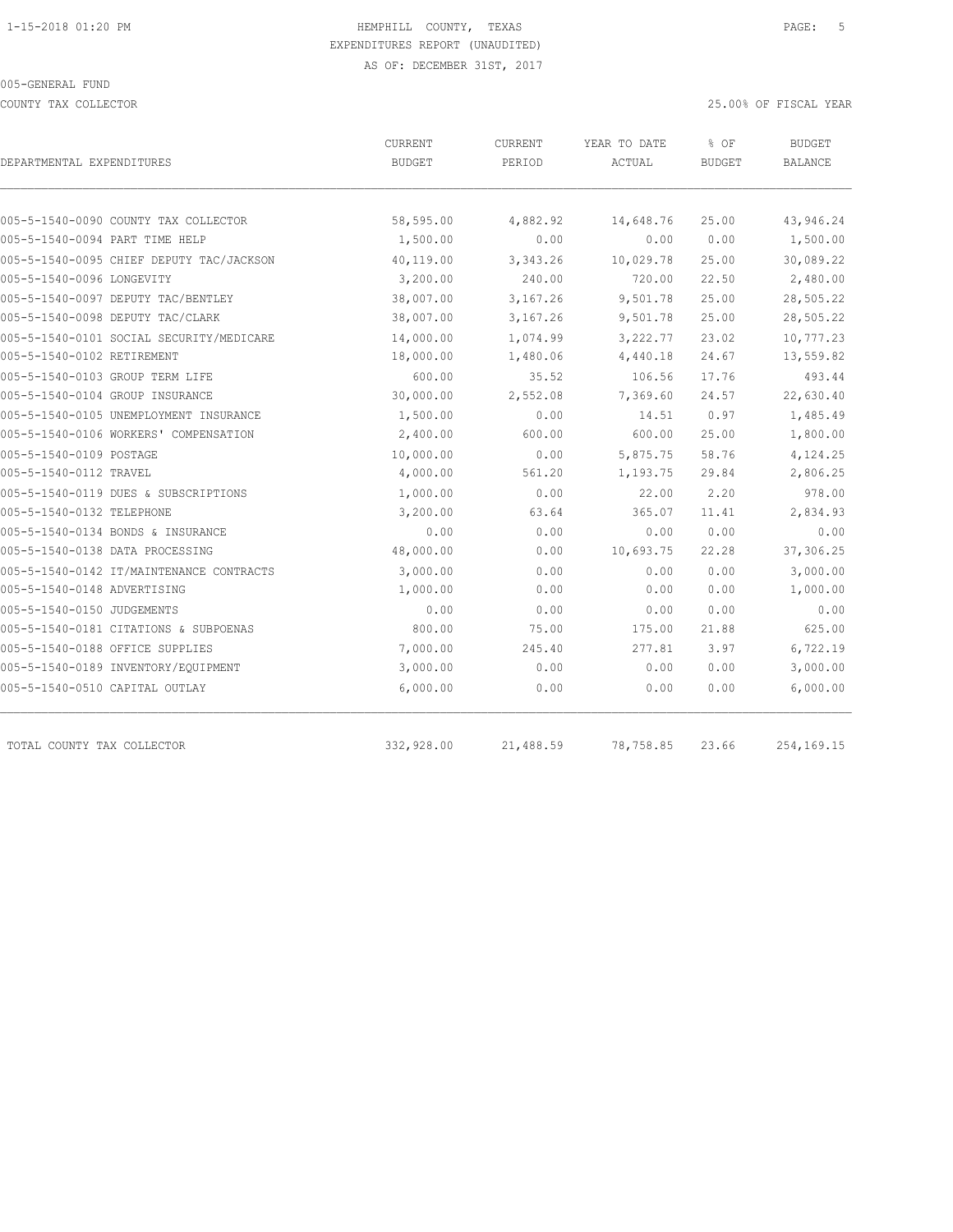COUNTY TAX COLLECTOR 25.00% OF FISCAL YEAR

| DEPARTMENTAL EXPENDITURES                | CURRENT<br><b>BUDGET</b> | CURRENT<br>PERIOD | YEAR TO DATE<br>ACTUAL | % OF<br><b>BUDGET</b> | <b>BUDGET</b><br>BALANCE |
|------------------------------------------|--------------------------|-------------------|------------------------|-----------------------|--------------------------|
|                                          |                          |                   |                        |                       |                          |
| 005-5-1540-0090 COUNTY TAX COLLECTOR     | 58,595.00                | 4,882.92          | 14,648.76              | 25.00                 | 43,946.24                |
| 005-5-1540-0094 PART TIME HELP           | 1,500.00                 | 0.00              | 0.00                   | 0.00                  | 1,500.00                 |
| 005-5-1540-0095 CHIEF DEPUTY TAC/JACKSON | 40,119.00                | 3,343.26          | 10,029.78              | 25.00                 | 30,089.22                |
| 005-5-1540-0096 LONGEVITY                | 3,200.00                 | 240.00            | 720.00                 | 22.50                 | 2,480.00                 |
| 005-5-1540-0097 DEPUTY TAC/BENTLEY       | 38,007.00                | 3,167.26          | 9,501.78               | 25.00                 | 28,505.22                |
| 005-5-1540-0098 DEPUTY TAC/CLARK         | 38,007.00                | 3,167.26          | 9,501.78               | 25.00                 | 28,505.22                |
| 005-5-1540-0101 SOCIAL SECURITY/MEDICARE | 14,000.00                | 1,074.99          | 3,222.77               | 23.02                 | 10,777.23                |
| 005-5-1540-0102 RETIREMENT               | 18,000.00                | 1,480.06          | 4,440.18               | 24.67                 | 13,559.82                |
| 005-5-1540-0103 GROUP TERM LIFE          | 600.00                   | 35.52             | 106.56                 | 17.76                 | 493.44                   |
| 005-5-1540-0104 GROUP INSURANCE          | 30,000.00                | 2,552.08          | 7,369.60               | 24.57                 | 22,630.40                |
| 005-5-1540-0105 UNEMPLOYMENT INSURANCE   | 1,500.00                 | 0.00              | 14.51                  | 0.97                  | 1,485.49                 |
| 005-5-1540-0106 WORKERS' COMPENSATION    | 2,400.00                 | 600.00            | 600.00                 | 25.00                 | 1,800.00                 |
| 005-5-1540-0109 POSTAGE                  | 10,000.00                | 0.00              | 5,875.75               | 58.76                 | 4,124.25                 |
| 005-5-1540-0112 TRAVEL                   | 4,000.00                 | 561.20            | 1,193.75               | 29.84                 | 2,806.25                 |
| 005-5-1540-0119 DUES & SUBSCRIPTIONS     | 1,000.00                 | 0.00              | 22.00                  | 2.20                  | 978.00                   |
| 005-5-1540-0132 TELEPHONE                | 3,200.00                 | 63.64             | 365.07                 | 11.41                 | 2,834.93                 |
| 005-5-1540-0134 BONDS & INSURANCE        | 0.00                     | 0.00              | 0.00                   | 0.00                  | 0.00                     |
| 005-5-1540-0138 DATA PROCESSING          | 48,000.00                | 0.00              | 10,693.75              | 22.28                 | 37,306.25                |
| 005-5-1540-0142 IT/MAINTENANCE CONTRACTS | 3,000.00                 | 0.00              | 0.00                   | 0.00                  | 3,000.00                 |
| 005-5-1540-0148 ADVERTISING              | 1,000.00                 | 0.00              | 0.00                   | 0.00                  | 1,000.00                 |
| 005-5-1540-0150 JUDGEMENTS               | 0.00                     | 0.00              | 0.00                   | 0.00                  | 0.00                     |
| 005-5-1540-0181 CITATIONS & SUBPOENAS    | 800.00                   | 75.00             | 175.00                 | 21.88                 | 625.00                   |
| 005-5-1540-0188 OFFICE SUPPLIES          | 7,000.00                 | 245.40            | 277.81                 | 3.97                  | 6,722.19                 |
| 005-5-1540-0189 INVENTORY/EQUIPMENT      | 3,000.00                 | 0.00              | 0.00                   | 0.00                  | 3,000.00                 |
| 005-5-1540-0510 CAPITAL OUTLAY           | 6,000.00                 | 0.00              | 0.00                   | 0.00                  | 6,000.00                 |
| TOTAL COUNTY TAX COLLECTOR               | 332,928.00               | 21,488.59         | 78,758.85              | 23.66                 | 254,169.15               |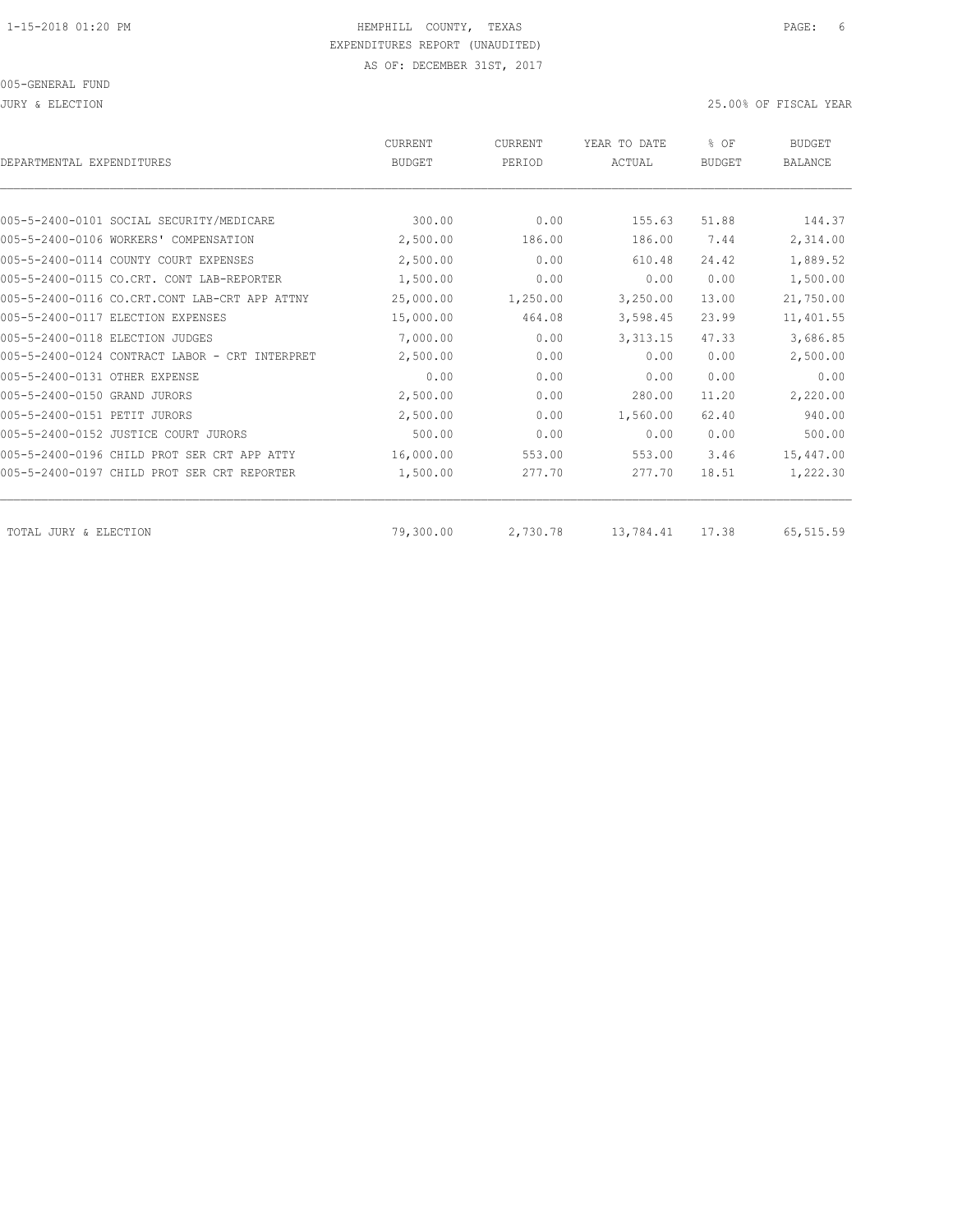| DEPARTMENTAL EXPENDITURES                      | <b>CURRENT</b><br><b>BUDGET</b> | <b>CURRENT</b><br>PERIOD | YEAR TO DATE<br>ACTUAL | % OF<br><b>BUDGET</b> | <b>BUDGET</b><br><b>BALANCE</b> |
|------------------------------------------------|---------------------------------|--------------------------|------------------------|-----------------------|---------------------------------|
|                                                |                                 |                          |                        |                       |                                 |
| 005-5-2400-0101 SOCIAL SECURITY/MEDICARE       | 300.00                          | 0.00                     | 155.63                 | 51.88                 | 144.37                          |
| 005-5-2400-0106 WORKERS' COMPENSATION          | 2,500.00                        | 186.00                   | 186.00                 | 7.44                  | 2,314.00                        |
| 005-5-2400-0114 COUNTY COURT EXPENSES          | 2,500.00                        | 0.00                     | 610.48                 | 24.42                 | 1,889.52                        |
| 005-5-2400-0115 CO.CRT. CONT LAB-REPORTER      | 1,500.00                        | 0.00                     | 0.00                   | 0.00                  | 1,500.00                        |
| 005-5-2400-0116 CO.CRT.CONT LAB-CRT APP ATTNY  | 25,000.00                       | 1,250.00                 | 3,250.00               | 13.00                 | 21,750.00                       |
| 005-5-2400-0117 ELECTION EXPENSES              | 15,000.00                       | 464.08                   | 3,598.45               | 23.99                 | 11,401.55                       |
| 005-5-2400-0118 ELECTION JUDGES                | 7,000.00                        | 0.00                     | 3, 313.15              | 47.33                 | 3,686.85                        |
| 005-5-2400-0124 CONTRACT LABOR - CRT INTERPRET | 2,500.00                        | 0.00                     | 0.00                   | 0.00                  | 2,500.00                        |
| 005-5-2400-0131 OTHER EXPENSE                  | 0.00                            | 0.00                     | 0.00                   | 0.00                  | 0.00                            |
| 005-5-2400-0150 GRAND JURORS                   | 2,500.00                        | 0.00                     | 280.00                 | 11.20                 | 2,220.00                        |
| 005-5-2400-0151 PETIT JURORS                   | 2,500.00                        | 0.00                     | 1,560.00               | 62.40                 | 940.00                          |
| 005-5-2400-0152 JUSTICE COURT JURORS           | 500.00                          | 0.00                     | 0.00                   | 0.00                  | 500.00                          |
| 005-5-2400-0196 CHILD PROT SER CRT APP ATTY    | 16,000.00                       | 553.00                   | 553.00                 | 3.46                  | 15,447.00                       |
| 005-5-2400-0197 CHILD PROT SER CRT REPORTER    | 1,500.00                        | 277.70                   | 277.70                 | 18.51                 | 1,222.30                        |
| TOTAL JURY & ELECTION                          | 79,300.00                       | 2,730.78                 | 13,784.41              | 17.38                 | 65,515.59                       |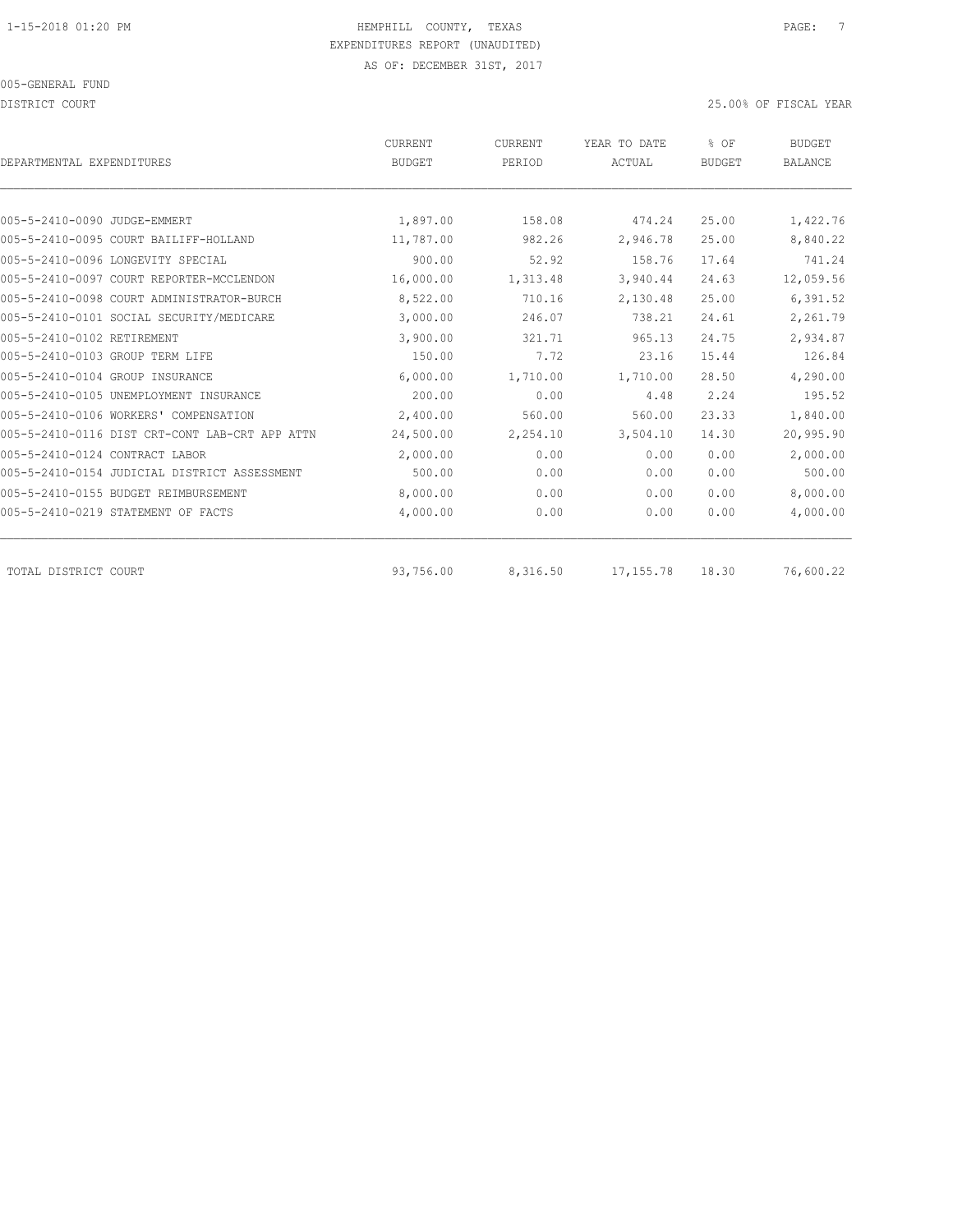DISTRICT COURT 25.00% OF FISCAL YEAR

| DEPARTMENTAL EXPENDITURES                      | CURRENT<br><b>BUDGET</b> | CURRENT<br>PERIOD | YEAR TO DATE<br>ACTUAL | % OF<br><b>BUDGET</b> | <b>BUDGET</b><br><b>BALANCE</b> |
|------------------------------------------------|--------------------------|-------------------|------------------------|-----------------------|---------------------------------|
|                                                |                          |                   |                        |                       |                                 |
| 005-5-2410-0090 JUDGE-EMMERT                   | 1,897.00                 | 158.08            | 474.24                 | 25.00                 | 1,422.76                        |
| 005-5-2410-0095 COURT BAILIFF-HOLLAND          | 11,787.00                | 982.26            | 2,946.78               | 25.00                 | 8,840.22                        |
| 005-5-2410-0096 LONGEVITY SPECIAL              | 900.00                   | 52.92             | 158.76                 | 17.64                 | 741.24                          |
| 005-5-2410-0097 COURT REPORTER-MCCLENDON       | 16,000.00                | 1,313.48          | 3,940.44               | 24.63                 | 12,059.56                       |
| 005-5-2410-0098 COURT ADMINISTRATOR-BURCH      | 8,522.00                 | 710.16            | 2,130.48               | 25.00                 | 6,391.52                        |
| 005-5-2410-0101 SOCIAL SECURITY/MEDICARE       | 3,000.00                 | 246.07            | 738.21                 | 24.61                 | 2,261.79                        |
| 005-5-2410-0102 RETIREMENT                     | 3,900.00                 | 321.71            | 965.13                 | 24.75                 | 2,934.87                        |
| 005-5-2410-0103 GROUP TERM LIFE                | 150.00                   | 7.72              | 23.16                  | 15.44                 | 126.84                          |
| 005-5-2410-0104 GROUP INSURANCE                | 6,000.00                 | 1,710.00          | 1,710.00               | 28.50                 | 4,290.00                        |
| 005-5-2410-0105 UNEMPLOYMENT INSURANCE         | 200.00                   | 0.00              | 4.48                   | 2.24                  | 195.52                          |
| 005-5-2410-0106 WORKERS' COMPENSATION          | 2,400.00                 | 560.00            | 560.00                 | 23.33                 | 1,840.00                        |
| 005-5-2410-0116 DIST CRT-CONT LAB-CRT APP ATTN | 24,500.00                | 2,254.10          | 3,504.10               | 14.30                 | 20,995.90                       |
| 005-5-2410-0124 CONTRACT LABOR                 | 2,000.00                 | 0.00              | 0.00                   | 0.00                  | 2,000.00                        |
| 005-5-2410-0154 JUDICIAL DISTRICT ASSESSMENT   | 500.00                   | 0.00              | 0.00                   | 0.00                  | 500.00                          |
| 005-5-2410-0155 BUDGET REIMBURSEMENT           | 8,000.00                 | 0.00              | 0.00                   | 0.00                  | 8,000.00                        |
| 005-5-2410-0219 STATEMENT OF FACTS             | 4,000.00                 | 0.00              | 0.00                   | 0.00                  | 4,000.00                        |
|                                                |                          |                   |                        |                       |                                 |
| TOTAL DISTRICT COURT                           | 93,756.00                | 8,316.50          | 17, 155.78             | 18.30                 | 76,600.22                       |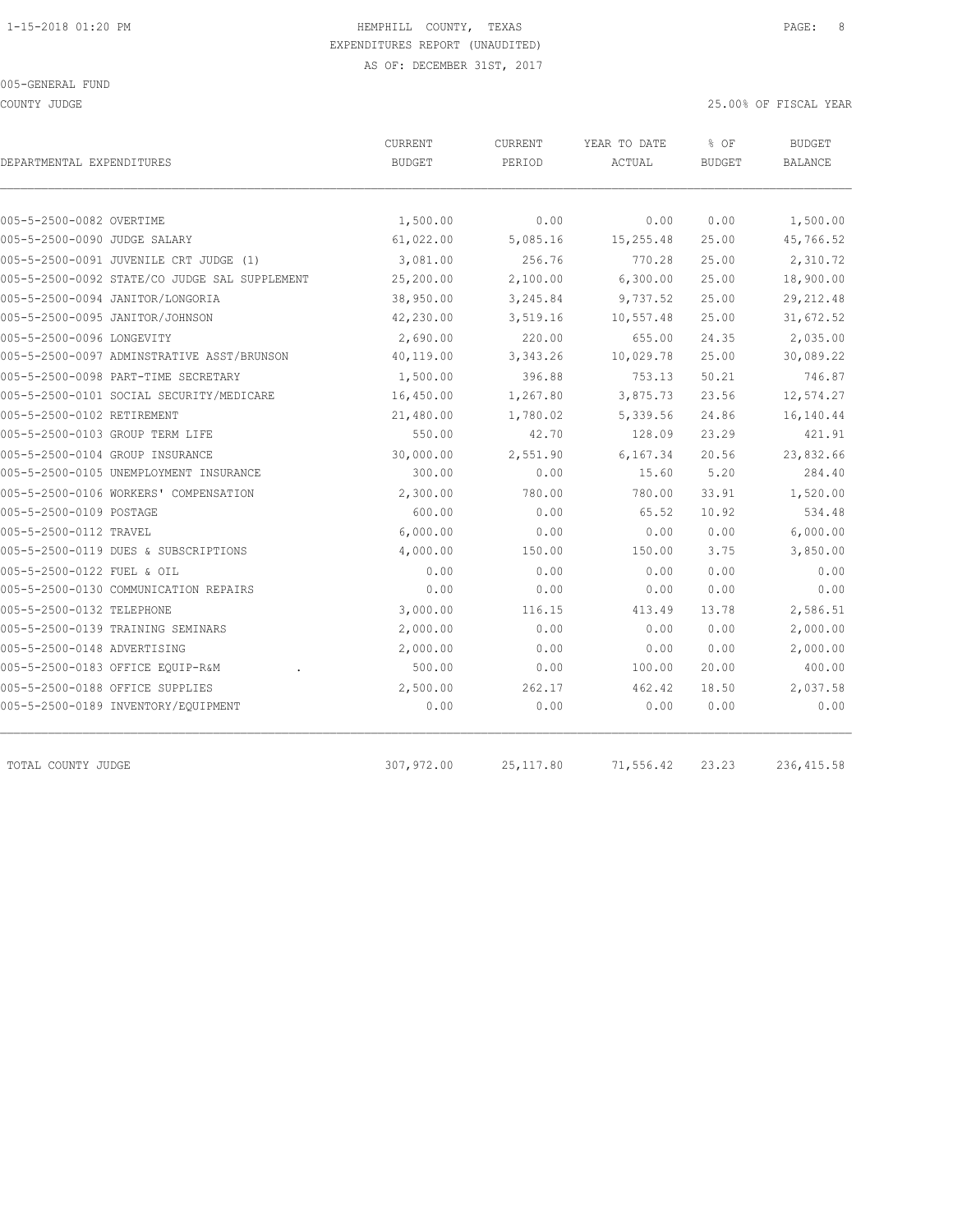COUNTY JUDGE 25.00% OF FISCAL YEAR

| DEPARTMENTAL EXPENDITURES                     | CURRENT<br><b>BUDGET</b> | CURRENT<br>PERIOD | YEAR TO DATE<br>ACTUAL | % OF<br><b>BUDGET</b> | <b>BUDGET</b><br><b>BALANCE</b> |
|-----------------------------------------------|--------------------------|-------------------|------------------------|-----------------------|---------------------------------|
|                                               |                          |                   |                        |                       |                                 |
| 005-5-2500-0082 OVERTIME                      | 1,500.00                 | 0.00              | 0.00                   | 0.00                  | 1,500.00                        |
| 005-5-2500-0090 JUDGE SALARY                  | 61,022.00                | 5,085.16          | 15,255.48              | 25.00                 | 45,766.52                       |
| 005-5-2500-0091 JUVENILE CRT JUDGE (1)        | 3,081.00                 | 256.76            | 770.28                 | 25.00                 | 2,310.72                        |
| 005-5-2500-0092 STATE/CO JUDGE SAL SUPPLEMENT | 25,200.00                | 2,100.00          | 6,300.00               | 25.00                 | 18,900.00                       |
| 005-5-2500-0094 JANITOR/LONGORIA              | 38,950.00                | 3,245.84          | 9,737.52               | 25.00                 | 29, 212.48                      |
| 005-5-2500-0095 JANITOR/JOHNSON               | 42,230.00                | 3,519.16          | 10,557.48              | 25.00                 | 31,672.52                       |
| 005-5-2500-0096 LONGEVITY                     | 2,690.00                 | 220.00            | 655.00                 | 24.35                 | 2,035.00                        |
| 005-5-2500-0097 ADMINSTRATIVE ASST/BRUNSON    | 40,119.00                | 3,343.26          | 10,029.78              | 25.00                 | 30,089.22                       |
| 005-5-2500-0098 PART-TIME SECRETARY           | 1,500.00                 | 396.88            | 753.13                 | 50.21                 | 746.87                          |
| 005-5-2500-0101 SOCIAL SECURITY/MEDICARE      | 16,450.00                | 1,267.80          | 3,875.73               | 23.56                 | 12,574.27                       |
| 005-5-2500-0102 RETIREMENT                    | 21,480.00                | 1,780.02          | 5,339.56               | 24.86                 | 16,140.44                       |
| 005-5-2500-0103 GROUP TERM LIFE               | 550.00                   | 42.70             | 128.09                 | 23.29                 | 421.91                          |
| 005-5-2500-0104 GROUP INSURANCE               | 30,000.00                | 2,551.90          | 6,167.34               | 20.56                 | 23,832.66                       |
| 005-5-2500-0105 UNEMPLOYMENT INSURANCE        | 300.00                   | 0.00              | 15.60                  | 5.20                  | 284.40                          |
| 005-5-2500-0106 WORKERS' COMPENSATION         | 2,300.00                 | 780.00            | 780.00                 | 33.91                 | 1,520.00                        |
| 005-5-2500-0109 POSTAGE                       | 600.00                   | 0.00              | 65.52                  | 10.92                 | 534.48                          |
| 005-5-2500-0112 TRAVEL                        | 6,000.00                 | 0.00              | 0.00                   | 0.00                  | 6,000.00                        |
| 005-5-2500-0119 DUES & SUBSCRIPTIONS          | 4,000.00                 | 150.00            | 150.00                 | 3.75                  | 3,850.00                        |
| 005-5-2500-0122 FUEL & OIL                    | 0.00                     | 0.00              | 0.00                   | 0.00                  | 0.00                            |
| 005-5-2500-0130 COMMUNICATION REPAIRS         | 0.00                     | 0.00              | 0.00                   | 0.00                  | 0.00                            |
| 005-5-2500-0132 TELEPHONE                     | 3,000.00                 | 116.15            | 413.49                 | 13.78                 | 2,586.51                        |
| 005-5-2500-0139 TRAINING SEMINARS             | 2,000.00                 | 0.00              | 0.00                   | 0.00                  | 2,000.00                        |
| 005-5-2500-0148 ADVERTISING                   | 2,000.00                 | 0.00              | 0.00                   | 0.00                  | 2,000.00                        |
| 005-5-2500-0183 OFFICE EQUIP-R&M              | 500.00                   | 0.00              | 100.00                 | 20.00                 | 400.00                          |
| 005-5-2500-0188 OFFICE SUPPLIES               | 2,500.00                 | 262.17            | 462.42                 | 18.50                 | 2,037.58                        |
| 005-5-2500-0189 INVENTORY/EQUIPMENT           | 0.00                     | 0.00              | 0.00                   | 0.00                  | 0.00                            |

TOTAL COUNTY JUDGE 307,972.00 25,117.80 71,556.42 23.23 236,415.58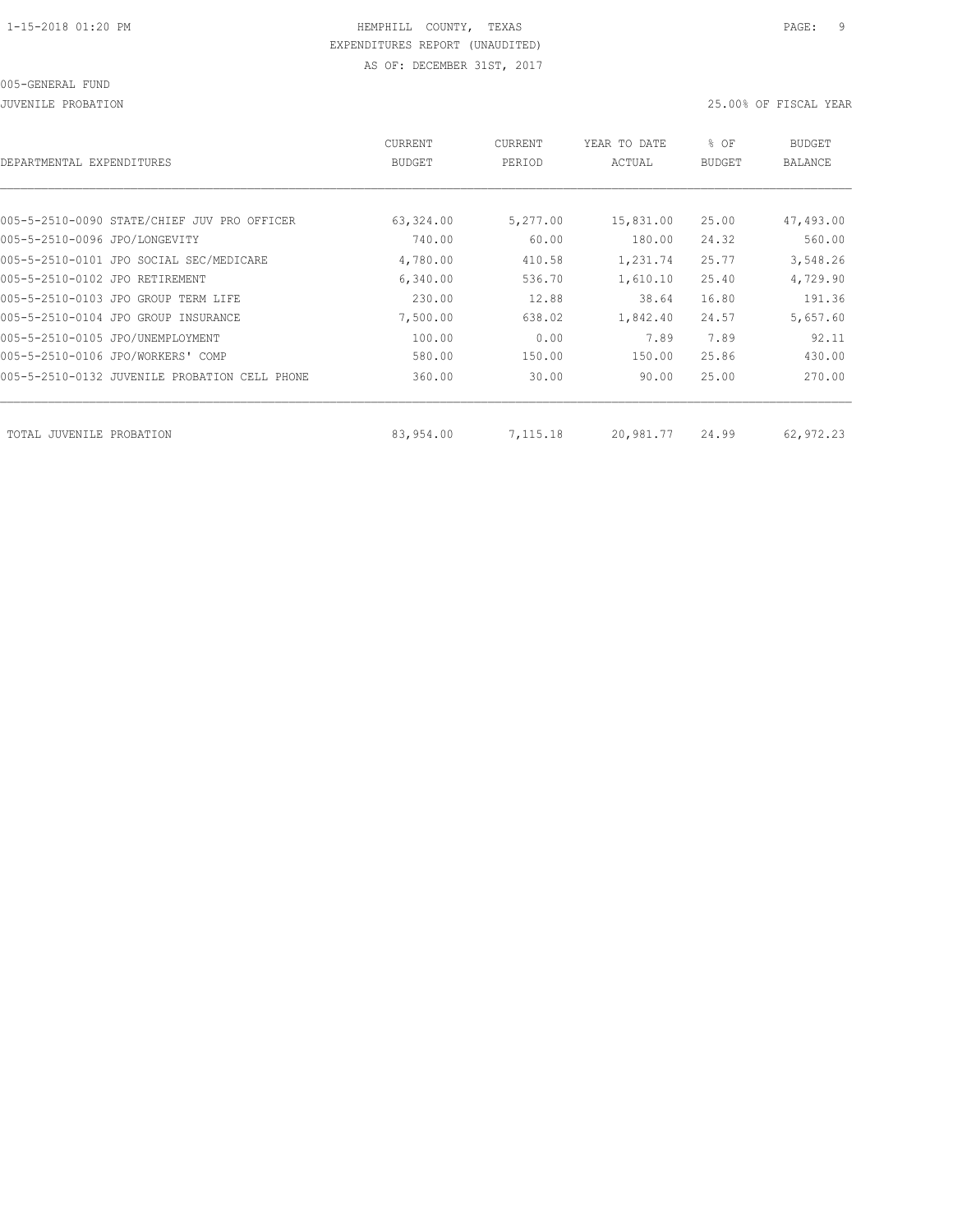JUVENILE PROBATION 25.00% OF FISCAL YEAR

| DEPARTMENTAL EXPENDITURES                     | <b>CURRENT</b><br><b>BUDGET</b> | CURRENT<br>PERIOD | YEAR TO DATE<br>ACTUAL | % OF<br><b>BUDGET</b> | <b>BUDGET</b><br><b>BALANCE</b> |
|-----------------------------------------------|---------------------------------|-------------------|------------------------|-----------------------|---------------------------------|
|                                               |                                 |                   |                        |                       |                                 |
| 005-5-2510-0090 STATE/CHIEF JUV PRO OFFICER   | 63,324.00                       | 5,277.00          | 15,831.00              | 25.00                 | 47,493.00                       |
| 005-5-2510-0096 JPO/LONGEVITY                 | 740.00                          | 60.00             | 180.00                 | 24.32                 | 560.00                          |
| 005-5-2510-0101 JPO SOCIAL SEC/MEDICARE       | 4,780.00                        | 410.58            | 1,231.74               | 25.77                 | 3,548.26                        |
| 005-5-2510-0102 JPO RETIREMENT                | 6,340.00                        | 536.70            | 1,610.10               | 25.40                 | 4,729.90                        |
| 005-5-2510-0103 JPO GROUP TERM LIFE           | 230.00                          | 12.88             | 38.64                  | 16.80                 | 191.36                          |
| 005-5-2510-0104 JPO GROUP INSURANCE           | 7,500.00                        | 638.02            | 1,842.40               | 24.57                 | 5,657.60                        |
| 005-5-2510-0105 JPO/UNEMPLOYMENT              | 100.00                          | 0.00              | 7.89                   | 7.89                  | 92.11                           |
| 005-5-2510-0106 JPO/WORKERS' COMP             | 580.00                          | 150.00            | 150.00                 | 25.86                 | 430.00                          |
| 005-5-2510-0132 JUVENILE PROBATION CELL PHONE | 360.00                          | 30.00             | 90.00                  | 25.00                 | 270.00                          |
|                                               |                                 |                   |                        |                       |                                 |
| TOTAL JUVENILE PROBATION                      | 83,954.00                       | 7,115.18          | 20,981.77              | 24.99                 | 62,972.23                       |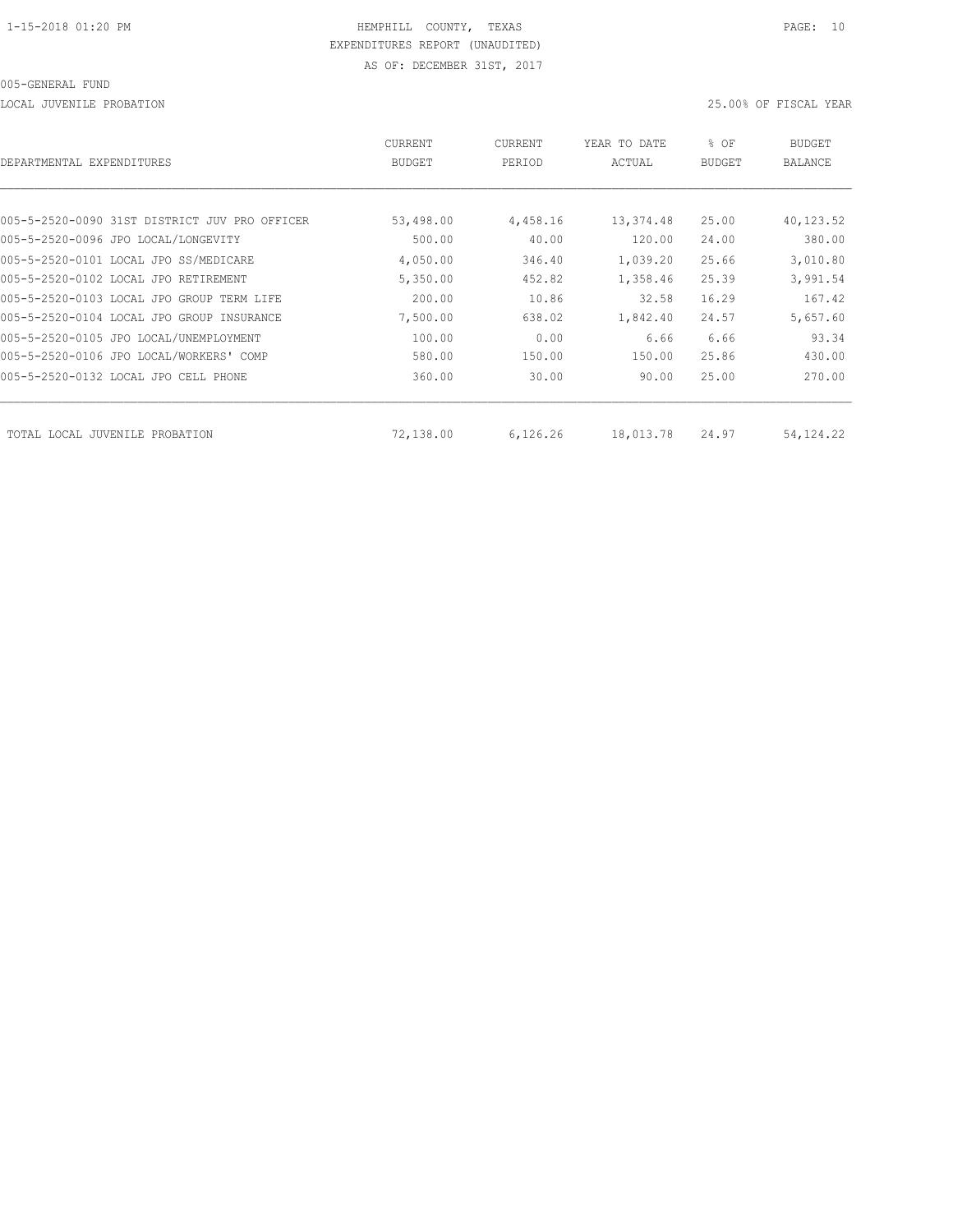LOCAL JUVENILE PROBATION 25.00% OF FISCAL YEAR

| DEPARTMENTAL EXPENDITURES                     | CURRENT<br><b>BUDGET</b> | CURRENT<br>PERIOD | YEAR TO DATE<br>ACTUAL | % OF<br>BUDGET | BUDGET<br>BALANCE |
|-----------------------------------------------|--------------------------|-------------------|------------------------|----------------|-------------------|
|                                               |                          |                   |                        |                |                   |
| 005-5-2520-0090 31ST DISTRICT JUV PRO OFFICER | 53,498.00                | 4,458.16          | 13,374.48              | 25.00          | 40,123.52         |
| 005-5-2520-0096 JPO LOCAL/LONGEVITY           | 500.00                   | 40.00             | 120.00                 | 24.00          | 380.00            |
| 005-5-2520-0101 LOCAL JPO SS/MEDICARE         | 4,050.00                 | 346.40            | 1,039.20               | 25.66          | 3,010.80          |
| 005-5-2520-0102 LOCAL JPO RETIREMENT          | 5,350.00                 | 452.82            | 1,358.46               | 25.39          | 3,991.54          |
| 005-5-2520-0103 LOCAL JPO GROUP TERM LIFE     | 200.00                   | 10.86             | 32.58                  | 16.29          | 167.42            |
| 005-5-2520-0104 LOCAL JPO GROUP INSURANCE     | 7,500.00                 | 638.02            | 1,842.40               | 24.57          | 5,657.60          |
| 005-5-2520-0105 JPO LOCAL/UNEMPLOYMENT        | 100.00                   | 0.00              | 6.66                   | 6.66           | 93.34             |
| 005-5-2520-0106 JPO LOCAL/WORKERS' COMP       | 580.00                   | 150.00            | 150.00                 | 25.86          | 430.00            |
| 005-5-2520-0132 LOCAL JPO CELL PHONE          | 360.00                   | 30.00             | 90.00                  | 25.00          | 270.00            |
| TOTAL LOCAL JUVENILE PROBATION                | 72,138.00                | 6,126.26          | 18,013.78              | 24.97          | 54, 124. 22       |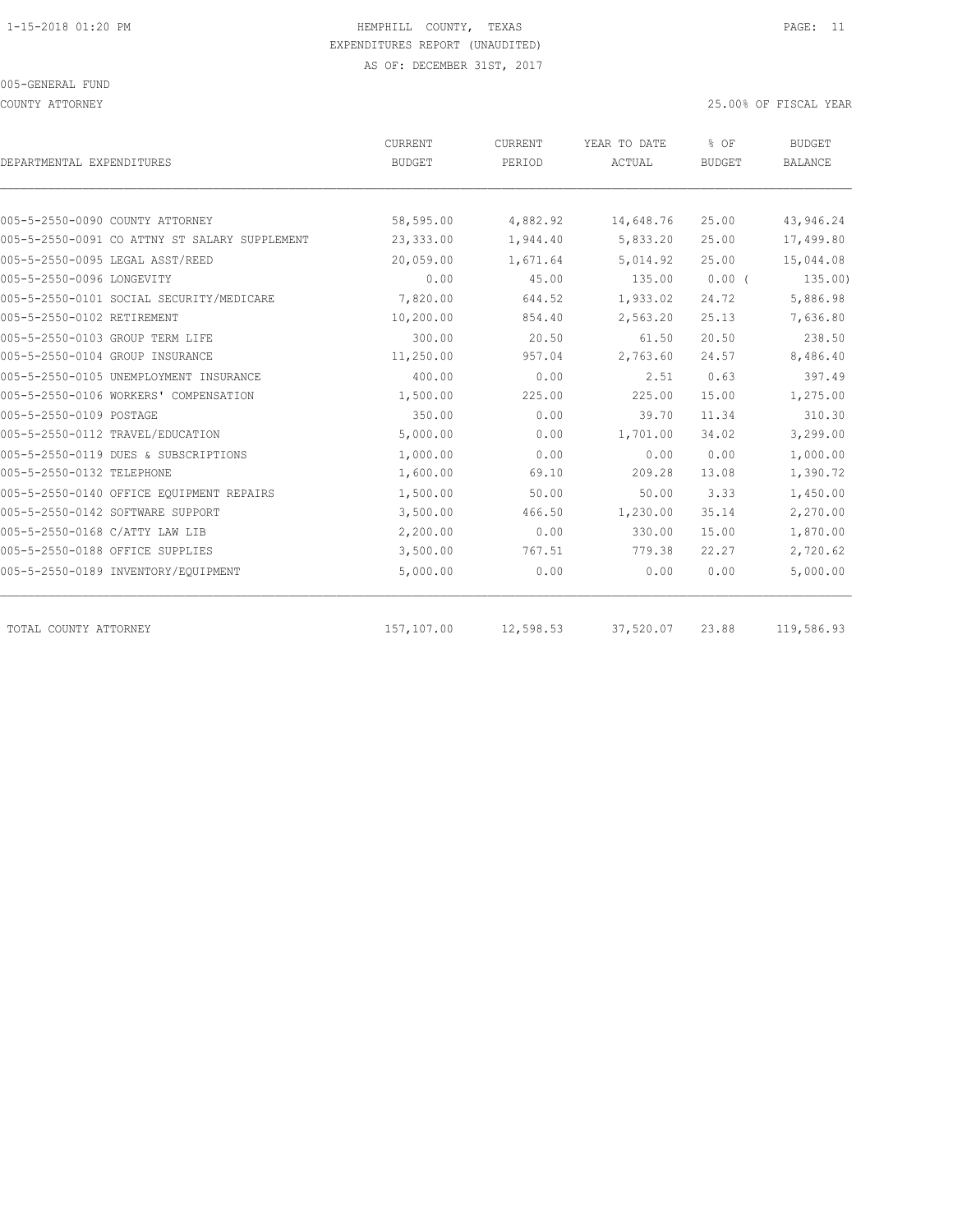COUNTY ATTORNEY 25.00% OF FISCAL YEAR

| DEPARTMENTAL EXPENDITURES                     | CURRENT<br><b>BUDGET</b> | CURRENT<br>PERIOD | YEAR TO DATE<br>ACTUAL | % OF<br><b>BUDGET</b> | <b>BUDGET</b><br><b>BALANCE</b> |
|-----------------------------------------------|--------------------------|-------------------|------------------------|-----------------------|---------------------------------|
|                                               |                          |                   |                        |                       |                                 |
| 005-5-2550-0090 COUNTY ATTORNEY               | 58,595.00                | 4,882.92          | 14,648.76              | 25.00                 | 43,946.24                       |
| 005-5-2550-0091 CO ATTNY ST SALARY SUPPLEMENT | 23,333.00                | 1,944.40          | 5,833.20               | 25.00                 | 17,499.80                       |
| 005-5-2550-0095 LEGAL ASST/REED               | 20,059.00                | 1,671.64          | 5,014.92               | 25.00                 | 15,044.08                       |
| 005-5-2550-0096 LONGEVITY                     | 0.00                     | 45.00             | 135.00                 | $0.00$ (              | 135.00)                         |
| 005-5-2550-0101 SOCIAL SECURITY/MEDICARE      | 7,820.00                 | 644.52            | 1,933.02               | 24.72                 | 5,886.98                        |
| 005-5-2550-0102 RETIREMENT                    | 10,200.00                | 854.40            | 2,563.20               | 25.13                 | 7,636.80                        |
| 005-5-2550-0103 GROUP TERM LIFE               | 300.00                   | 20.50             | 61.50                  | 20.50                 | 238.50                          |
| 005-5-2550-0104 GROUP INSURANCE               | 11,250.00                | 957.04            | 2,763.60               | 24.57                 | 8,486.40                        |
| 005-5-2550-0105 UNEMPLOYMENT INSURANCE        | 400.00                   | 0.00              | 2.51                   | 0.63                  | 397.49                          |
| 005-5-2550-0106 WORKERS' COMPENSATION         | 1,500.00                 | 225.00            | 225.00                 | 15.00                 | 1,275.00                        |
| 005-5-2550-0109 POSTAGE                       | 350.00                   | 0.00              | 39.70                  | 11.34                 | 310.30                          |
| 005-5-2550-0112 TRAVEL/EDUCATION              | 5,000.00                 | 0.00              | 1,701.00               | 34.02                 | 3,299.00                        |
| 005-5-2550-0119 DUES & SUBSCRIPTIONS          | 1,000.00                 | 0.00              | 0.00                   | 0.00                  | 1,000.00                        |
| 005-5-2550-0132 TELEPHONE                     | 1,600.00                 | 69.10             | 209.28                 | 13.08                 | 1,390.72                        |
| 005-5-2550-0140 OFFICE EQUIPMENT REPAIRS      | 1,500.00                 | 50.00             | 50.00                  | 3.33                  | 1,450.00                        |
| 005-5-2550-0142 SOFTWARE SUPPORT              | 3,500.00                 | 466.50            | 1,230.00               | 35.14                 | 2,270.00                        |
| 005-5-2550-0168 C/ATTY LAW LIB                | 2,200.00                 | 0.00              | 330.00                 | 15.00                 | 1,870.00                        |
| 005-5-2550-0188 OFFICE SUPPLIES               | 3,500.00                 | 767.51            | 779.38                 | 22.27                 | 2,720.62                        |
| 005-5-2550-0189 INVENTORY/EQUIPMENT           | 5,000.00                 | 0.00              | 0.00                   | 0.00                  | 5,000.00                        |
| TOTAL COUNTY ATTORNEY                         | 157,107.00               | 12,598.53         | 37,520.07              | 23.88                 | 119,586.93                      |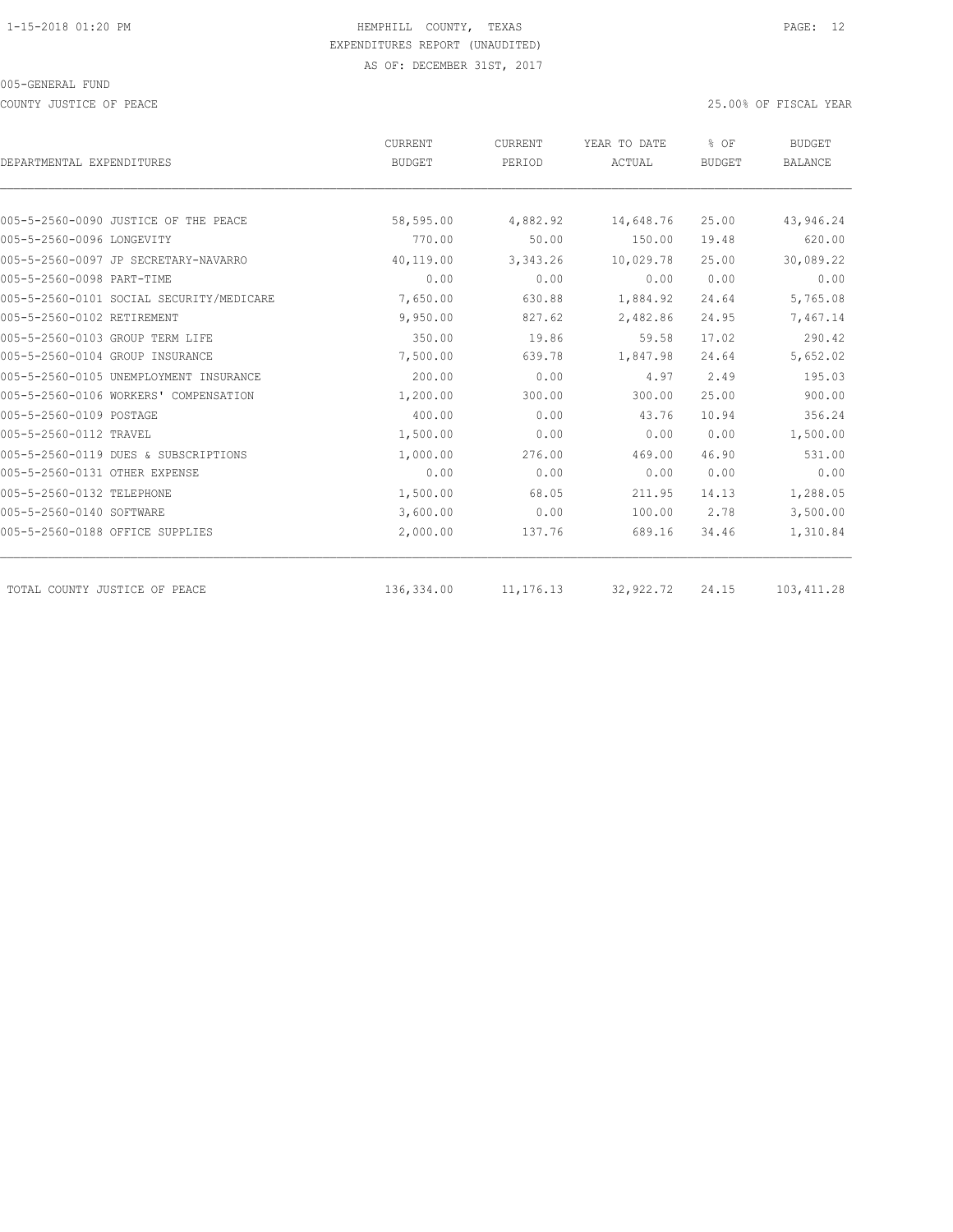COUNTY JUSTICE OF PEACE 25.00% OF FISCAL YEAR

|                                          | CURRENT       | <b>CURRENT</b> | YEAR TO DATE  | % OF          | <b>BUDGET</b>  |
|------------------------------------------|---------------|----------------|---------------|---------------|----------------|
| DEPARTMENTAL EXPENDITURES                | <b>BUDGET</b> | PERIOD         | <b>ACTUAL</b> | <b>BUDGET</b> | <b>BALANCE</b> |
|                                          |               |                |               |               |                |
| 005-5-2560-0090 JUSTICE OF THE PEACE     | 58,595.00     | 4,882.92       | 14,648.76     | 25.00         | 43,946.24      |
| 005-5-2560-0096 LONGEVITY                | 770.00        | 50.00          | 150.00        | 19.48         | 620.00         |
| 005-5-2560-0097 JP SECRETARY-NAVARRO     | 40,119.00     | 3,343.26       | 10,029.78     | 25.00         | 30,089.22      |
| 005-5-2560-0098 PART-TIME                | 0.00          | 0.00           | 0.00          | 0.00          | 0.00           |
| 005-5-2560-0101 SOCIAL SECURITY/MEDICARE | 7,650.00      | 630.88         | 1,884.92      | 24.64         | 5,765.08       |
| 005-5-2560-0102 RETIREMENT               | 9,950.00      | 827.62         | 2,482.86      | 24.95         | 7,467.14       |
| 005-5-2560-0103 GROUP TERM LIFE          | 350.00        | 19.86          | 59.58         | 17.02         | 290.42         |
| 005-5-2560-0104 GROUP INSURANCE          | 7,500.00      | 639.78         | 1,847.98      | 24.64         | 5,652.02       |
| 005-5-2560-0105 UNEMPLOYMENT INSURANCE   | 200.00        | 0.00           | 4.97          | 2.49          | 195.03         |
| 005-5-2560-0106 WORKERS' COMPENSATION    | 1,200.00      | 300.00         | 300.00        | 25.00         | 900.00         |
| 005-5-2560-0109 POSTAGE                  | 400.00        | 0.00           | 43.76         | 10.94         | 356.24         |
| 005-5-2560-0112 TRAVEL                   | 1,500.00      | 0.00           | 0.00          | 0.00          | 1,500.00       |
| 005-5-2560-0119 DUES & SUBSCRIPTIONS     | 1,000.00      | 276.00         | 469.00        | 46.90         | 531.00         |
| 005-5-2560-0131 OTHER EXPENSE            | 0.00          | 0.00           | 0.00          | 0.00          | 0.00           |
| 005-5-2560-0132 TELEPHONE                | 1,500.00      | 68.05          | 211.95        | 14.13         | 1,288.05       |
| 005-5-2560-0140 SOFTWARE                 | 3,600.00      | 0.00           | 100.00        | 2.78          | 3,500.00       |
| 005-5-2560-0188 OFFICE SUPPLIES          | 2,000.00      | 137.76         | 689.16        | 34.46         | 1,310.84       |
| TOTAL COUNTY JUSTICE OF PEACE            | 136,334.00    | 11, 176. 13    | 32,922.72     | 24.15         | 103, 411.28    |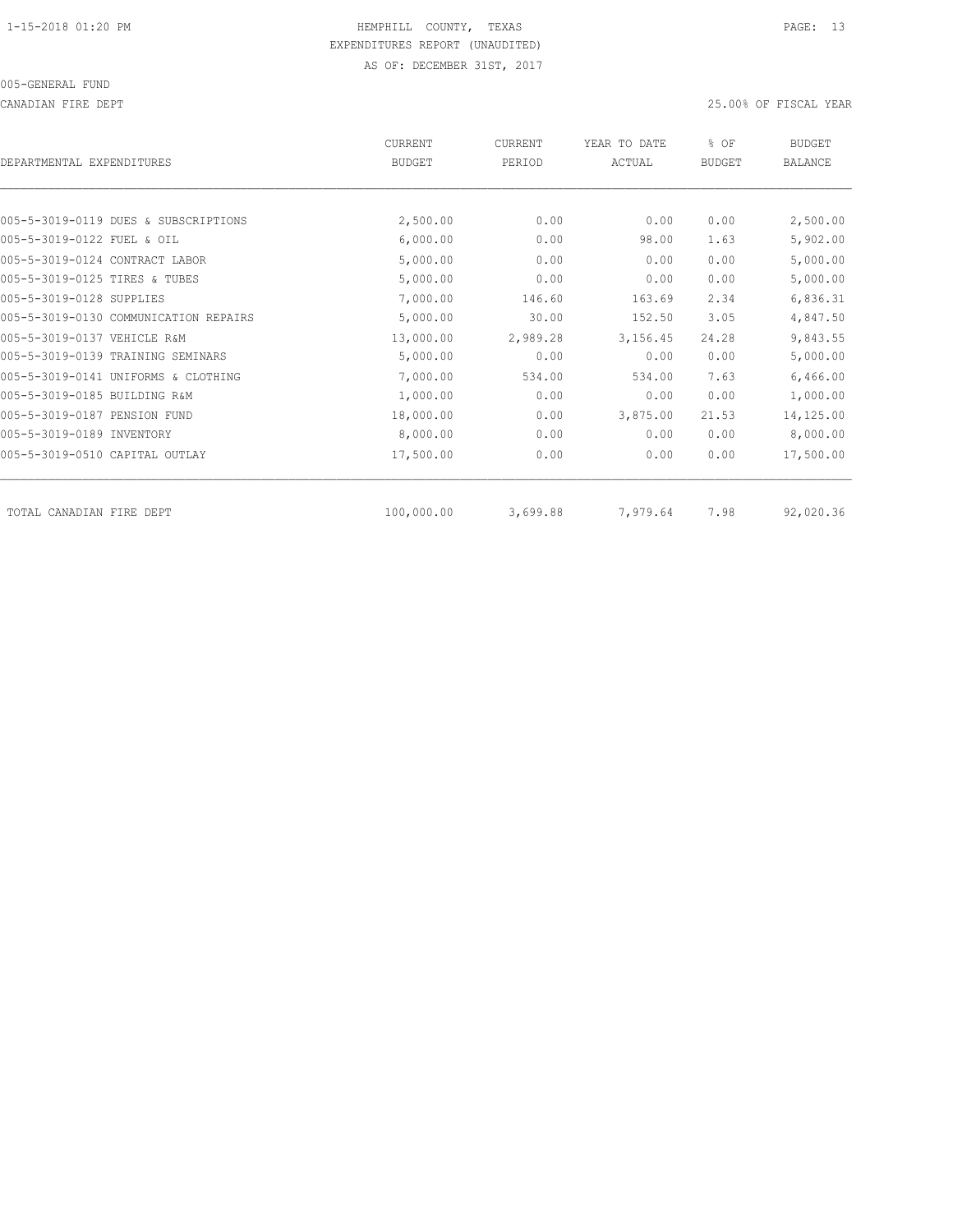CANADIAN FIRE DEPT 25.00% OF FISCAL YEAR

| DEPARTMENTAL EXPENDITURES      |                                       | <b>CURRENT</b><br><b>BUDGET</b> | CURRENT<br>PERIOD | YEAR TO DATE<br>ACTUAL | % OF<br><b>BUDGET</b> | <b>BUDGET</b><br><b>BALANCE</b> |
|--------------------------------|---------------------------------------|---------------------------------|-------------------|------------------------|-----------------------|---------------------------------|
|                                |                                       |                                 |                   |                        |                       |                                 |
|                                | 005-5-3019-0119 DUES & SUBSCRIPTIONS  | 2,500.00                        | 0.00              | 0.00                   | 0.00                  | 2,500.00                        |
| 005-5-3019-0122 FUEL & OIL     |                                       | 6,000.00                        | 0.00              | 98.00                  | 1.63                  | 5,902.00                        |
| 005-5-3019-0124 CONTRACT LABOR |                                       | 5,000.00                        | 0.00              | 0.00                   | 0.00                  | 5,000.00                        |
| 005-5-3019-0125 TIRES & TUBES  |                                       | 5,000.00                        | 0.00              | 0.00                   | 0.00                  | 5,000.00                        |
| 005-5-3019-0128 SUPPLIES       |                                       | 7,000.00                        | 146.60            | 163.69                 | 2.34                  | 6,836.31                        |
|                                | 005-5-3019-0130 COMMUNICATION REPAIRS | 5,000.00                        | 30.00             | 152.50                 | 3.05                  | 4,847.50                        |
| 005-5-3019-0137 VEHICLE R&M    |                                       | 13,000.00                       | 2,989.28          | 3,156.45               | 24.28                 | 9,843.55                        |
|                                | 005-5-3019-0139 TRAINING SEMINARS     | 5,000.00                        | 0.00              | 0.00                   | 0.00                  | 5,000.00                        |
|                                | 005-5-3019-0141 UNIFORMS & CLOTHING   | 7,000.00                        | 534.00            | 534.00                 | 7.63                  | 6,466.00                        |
| 005-5-3019-0185 BUILDING R&M   |                                       | 1,000.00                        | 0.00              | 0.00                   | 0.00                  | 1,000.00                        |
| 005-5-3019-0187 PENSION FUND   |                                       | 18,000.00                       | 0.00              | 3,875.00               | 21.53                 | 14,125.00                       |
| 005-5-3019-0189 INVENTORY      |                                       | 8,000.00                        | 0.00              | 0.00                   | 0.00                  | 8,000.00                        |
| 005-5-3019-0510 CAPITAL OUTLAY |                                       | 17,500.00                       | 0.00              | 0.00                   | 0.00                  | 17,500.00                       |
| TOTAL CANADIAN FIRE DEPT       |                                       | 100,000.00                      | 3,699.88          | 7,979.64               | 7.98                  | 92,020.36                       |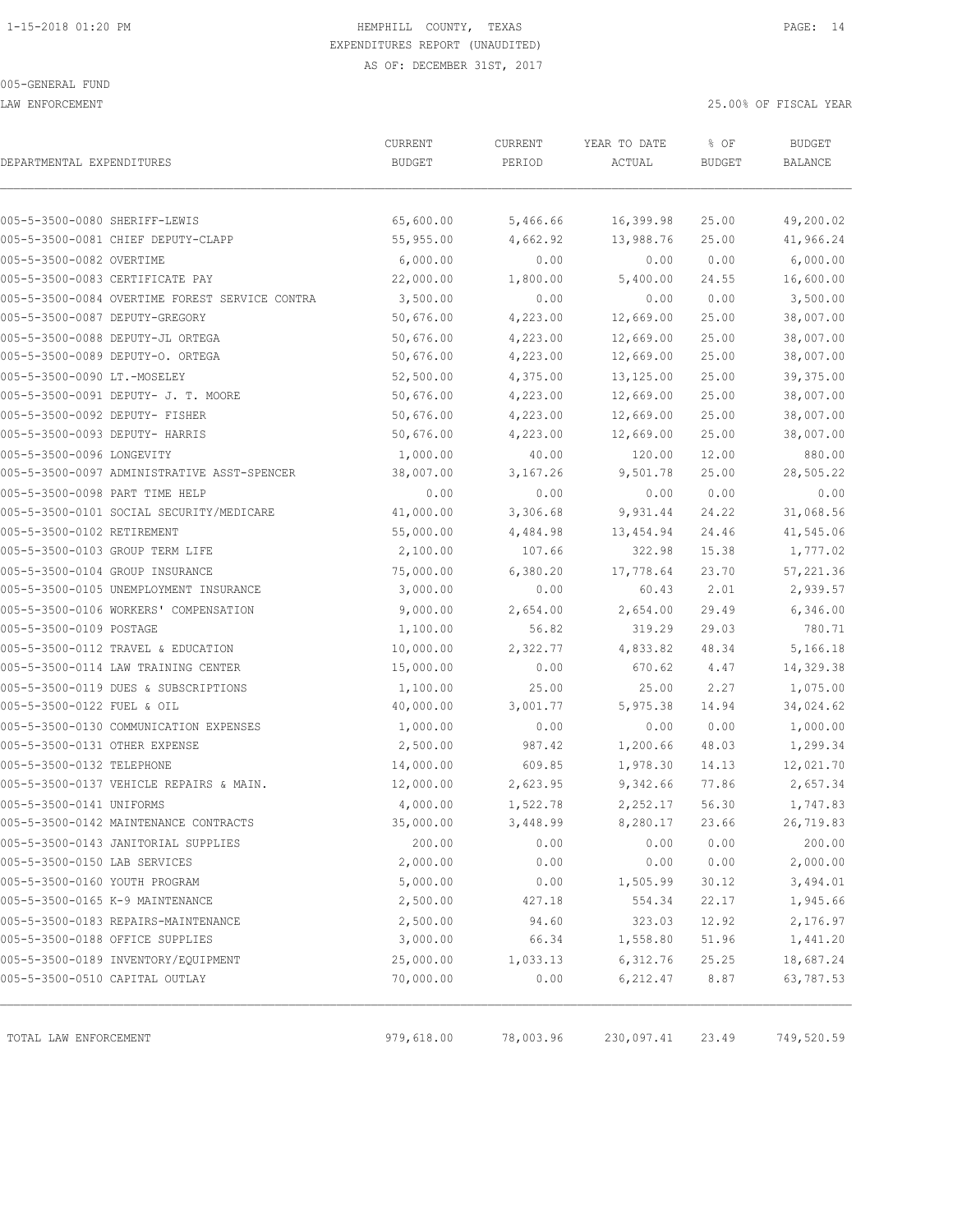LAW ENFORCEMENT 25.00% OF FISCAL YEAR

| DEPARTMENTAL EXPENDITURES                      | CURRENT<br><b>BUDGET</b> | CURRENT<br>PERIOD | YEAR TO DATE<br>ACTUAL | % OF<br><b>BUDGET</b> | <b>BUDGET</b><br><b>BALANCE</b> |
|------------------------------------------------|--------------------------|-------------------|------------------------|-----------------------|---------------------------------|
|                                                |                          |                   |                        |                       |                                 |
| 005-5-3500-0080 SHERIFF-LEWIS                  | 65,600.00                | 5,466.66          | 16,399.98              | 25.00                 | 49,200.02                       |
| 005-5-3500-0081 CHIEF DEPUTY-CLAPP             | 55,955.00                | 4,662.92          | 13,988.76              | 25.00                 | 41,966.24                       |
| 005-5-3500-0082 OVERTIME                       | 6,000.00                 | 0.00              | 0.00                   | 0.00                  | 6,000.00                        |
| 005-5-3500-0083 CERTIFICATE PAY                | 22,000.00                | 1,800.00          | 5,400.00               | 24.55                 | 16,600.00                       |
| 005-5-3500-0084 OVERTIME FOREST SERVICE CONTRA | 3,500.00                 | 0.00              | 0.00                   | 0.00                  | 3,500.00                        |
| 005-5-3500-0087 DEPUTY-GREGORY                 | 50,676.00                | 4,223.00          | 12,669.00              | 25.00                 | 38,007.00                       |
| 005-5-3500-0088 DEPUTY-JL ORTEGA               | 50,676.00                | 4,223.00          | 12,669.00              | 25.00                 | 38,007.00                       |
| 005-5-3500-0089 DEPUTY-O. ORTEGA               | 50,676.00                | 4,223.00          | 12,669.00              | 25.00                 | 38,007.00                       |
| 005-5-3500-0090 LT.-MOSELEY                    | 52,500.00                | 4,375.00          | 13,125.00              | 25.00                 | 39,375.00                       |
| 005-5-3500-0091 DEPUTY- J. T. MOORE            | 50,676.00                | 4,223.00          | 12,669.00              | 25.00                 | 38,007.00                       |
| 005-5-3500-0092 DEPUTY- FISHER                 | 50,676.00                | 4,223.00          | 12,669.00              | 25.00                 | 38,007.00                       |
| 005-5-3500-0093 DEPUTY- HARRIS                 | 50,676.00                | 4,223.00          | 12,669.00              | 25.00                 | 38,007.00                       |
| 005-5-3500-0096 LONGEVITY                      | 1,000.00                 | 40.00             | 120.00                 | 12.00                 | 880.00                          |
| 005-5-3500-0097 ADMINISTRATIVE ASST-SPENCER    | 38,007.00                | 3,167.26          | 9,501.78               | 25.00                 | 28,505.22                       |
| 005-5-3500-0098 PART TIME HELP                 | 0.00                     | 0.00              | 0.00                   | 0.00                  | 0.00                            |
| 005-5-3500-0101 SOCIAL SECURITY/MEDICARE       | 41,000.00                | 3,306.68          | 9,931.44               | 24.22                 | 31,068.56                       |
| 005-5-3500-0102 RETIREMENT                     | 55,000.00                | 4,484.98          | 13,454.94              | 24.46                 | 41,545.06                       |
| 005-5-3500-0103 GROUP TERM LIFE                | 2,100.00                 | 107.66            | 322.98                 | 15.38                 | 1,777.02                        |
| 005-5-3500-0104 GROUP INSURANCE                | 75,000.00                | 6,380.20          | 17,778.64              | 23.70                 | 57,221.36                       |
| 005-5-3500-0105 UNEMPLOYMENT INSURANCE         | 3,000.00                 | 0.00              | 60.43                  | 2.01                  | 2,939.57                        |
| 005-5-3500-0106 WORKERS' COMPENSATION          | 9,000.00                 | 2,654.00          | 2,654.00               | 29.49                 | 6,346.00                        |
| 005-5-3500-0109 POSTAGE                        | 1,100.00                 | 56.82             | 319.29                 | 29.03                 | 780.71                          |
| 005-5-3500-0112 TRAVEL & EDUCATION             | 10,000.00                | 2,322.77          | 4,833.82               | 48.34                 | 5,166.18                        |
| 005-5-3500-0114 LAW TRAINING CENTER            | 15,000.00                | 0.00              | 670.62                 | 4.47                  | 14,329.38                       |
| 005-5-3500-0119 DUES & SUBSCRIPTIONS           | 1,100.00                 | 25.00             | 25.00                  | 2.27                  | 1,075.00                        |
| 005-5-3500-0122 FUEL & OIL                     | 40,000.00                | 3,001.77          | 5,975.38               | 14.94                 | 34,024.62                       |
| 005-5-3500-0130 COMMUNICATION EXPENSES         | 1,000.00                 | 0.00              | 0.00                   | 0.00                  | 1,000.00                        |
| 005-5-3500-0131 OTHER EXPENSE                  | 2,500.00                 | 987.42            | 1,200.66               | 48.03                 | 1,299.34                        |
| 005-5-3500-0132 TELEPHONE                      | 14,000.00                | 609.85            | 1,978.30               | 14.13                 | 12,021.70                       |
| 005-5-3500-0137 VEHICLE REPAIRS & MAIN.        | 12,000.00                | 2,623.95          | 9,342.66               | 77.86                 | 2,657.34                        |
| 005-5-3500-0141 UNIFORMS                       | 4,000.00                 | 1,522.78          | 2,252.17               | 56.30                 | 1,747.83                        |
| 005-5-3500-0142 MAINTENANCE CONTRACTS          | 35,000.00                | 3,448.99          | 8,280.17               | 23.66                 | 26,719.83                       |
| 005-5-3500-0143 JANITORIAL SUPPLIES            | 200.00                   | 0.00              | 0.00                   | 0.00                  | 200.00                          |
| 005-5-3500-0150 LAB SERVICES                   | 2,000.00                 | 0.00              | 0.00                   | 0.00                  | 2,000.00                        |
| 005-5-3500-0160 YOUTH PROGRAM                  | 5,000.00                 | 0.00              | 1,505.99               | 30.12                 | 3,494.01                        |
| 005-5-3500-0165 K-9 MAINTENANCE                | 2,500.00                 | 427.18            | 554.34                 | 22.17                 | 1,945.66                        |
| 005-5-3500-0183 REPAIRS-MAINTENANCE            | 2,500.00                 | 94.60             | 323.03                 | 12.92                 | 2,176.97                        |
| 005-5-3500-0188 OFFICE SUPPLIES                | 3,000.00                 | 66.34             | 1,558.80               | 51.96                 | 1,441.20                        |
| 005-5-3500-0189 INVENTORY/EQUIPMENT            | 25,000.00                | 1,033.13          | 6, 312.76              | 25.25                 | 18,687.24                       |
| 005-5-3500-0510 CAPITAL OUTLAY                 | 70,000.00                | 0.00              | 6, 212.47              | 8.87                  | 63, 787.53                      |
| TOTAL LAW ENFORCEMENT                          | 979,618.00               | 78,003.96         | 230,097.41             | 23.49                 | 749,520.59                      |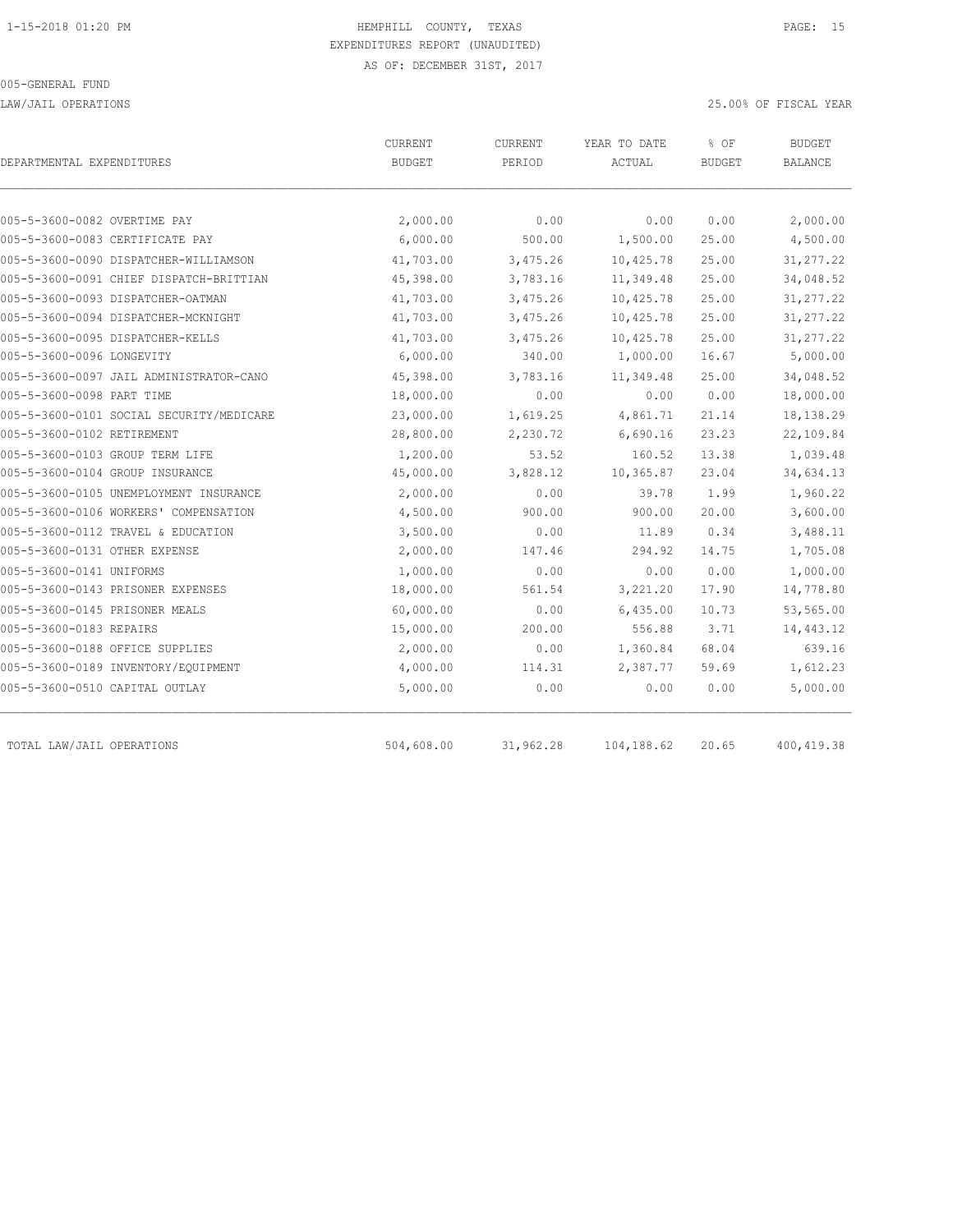LAW/JAIL OPERATIONS 25.00% OF FISCAL YEAR

| DEPARTMENTAL EXPENDITURES                | CURRENT<br><b>BUDGET</b> | <b>CURRENT</b><br>PERIOD | YEAR TO DATE<br>ACTUAL | % OF<br><b>BUDGET</b> | <b>BUDGET</b><br>BALANCE |
|------------------------------------------|--------------------------|--------------------------|------------------------|-----------------------|--------------------------|
|                                          |                          |                          |                        |                       |                          |
| 005-5-3600-0082 OVERTIME PAY             | 2,000.00                 | 0.00                     | 0.00                   | 0.00                  | 2,000.00                 |
| 005-5-3600-0083 CERTIFICATE PAY          | 6,000.00                 | 500.00                   | 1,500.00               | 25.00                 | 4,500.00                 |
| 005-5-3600-0090 DISPATCHER-WILLIAMSON    | 41,703.00                | 3,475.26                 | 10,425.78              | 25.00                 | 31, 277.22               |
| 005-5-3600-0091 CHIEF DISPATCH-BRITTIAN  | 45,398.00                | 3,783.16                 | 11,349.48              | 25.00                 | 34,048.52                |
| 005-5-3600-0093 DISPATCHER-OATMAN        | 41,703.00                | 3,475.26                 | 10,425.78              | 25.00                 | 31, 277.22               |
| 005-5-3600-0094 DISPATCHER-MCKNIGHT      | 41,703.00                | 3,475.26                 | 10,425.78              | 25.00                 | 31, 277.22               |
| 005-5-3600-0095 DISPATCHER-KELLS         | 41,703.00                | 3,475.26                 | 10,425.78              | 25.00                 | 31, 277.22               |
| 005-5-3600-0096 LONGEVITY                | 6,000.00                 | 340.00                   | 1,000.00               | 16.67                 | 5,000.00                 |
| 005-5-3600-0097 JAIL ADMINISTRATOR-CANO  | 45,398.00                | 3,783.16                 | 11,349.48              | 25.00                 | 34,048.52                |
| 005-5-3600-0098 PART TIME                | 18,000.00                | 0.00                     | 0.00                   | 0.00                  | 18,000.00                |
| 005-5-3600-0101 SOCIAL SECURITY/MEDICARE | 23,000.00                | 1,619.25                 | 4,861.71               | 21.14                 | 18,138.29                |
| 005-5-3600-0102 RETIREMENT               | 28,800.00                | 2,230.72                 | 6,690.16               | 23.23                 | 22,109.84                |
| 005-5-3600-0103 GROUP TERM LIFE          | 1,200.00                 | 53.52                    | 160.52                 | 13.38                 | 1,039.48                 |
| 005-5-3600-0104 GROUP INSURANCE          | 45,000.00                | 3,828.12                 | 10,365.87              | 23.04                 | 34,634.13                |
| 005-5-3600-0105 UNEMPLOYMENT INSURANCE   | 2,000.00                 | 0.00                     | 39.78                  | 1.99                  | 1,960.22                 |
| 005-5-3600-0106 WORKERS' COMPENSATION    | 4,500.00                 | 900.00                   | 900.00                 | 20.00                 | 3,600.00                 |
| 005-5-3600-0112 TRAVEL & EDUCATION       | 3,500.00                 | 0.00                     | 11.89                  | 0.34                  | 3,488.11                 |
| 005-5-3600-0131 OTHER EXPENSE            | 2,000.00                 | 147.46                   | 294.92                 | 14.75                 | 1,705.08                 |
| 005-5-3600-0141 UNIFORMS                 | 1,000.00                 | 0.00                     | 0.00                   | 0.00                  | 1,000.00                 |
| 005-5-3600-0143 PRISONER EXPENSES        | 18,000.00                | 561.54                   | 3,221.20               | 17.90                 | 14,778.80                |
| 005-5-3600-0145 PRISONER MEALS           | 60,000.00                | 0.00                     | 6,435.00               | 10.73                 | 53,565.00                |
| 005-5-3600-0183 REPAIRS                  | 15,000.00                | 200.00                   | 556.88                 | 3.71                  | 14,443.12                |
| 005-5-3600-0188 OFFICE SUPPLIES          | 2,000.00                 | 0.00                     | 1,360.84               | 68.04                 | 639.16                   |
| 005-5-3600-0189 INVENTORY/EQUIPMENT      | 4,000.00                 | 114.31                   | 2,387.77               | 59.69                 | 1,612.23                 |
| 005-5-3600-0510 CAPITAL OUTLAY           | 5,000.00                 | 0.00                     | 0.00                   | 0.00                  | 5,000.00                 |
| TOTAL LAW/JAIL OPERATIONS                | 504,608.00               | 31,962.28                | 104,188.62             | 20.65                 | 400, 419.38              |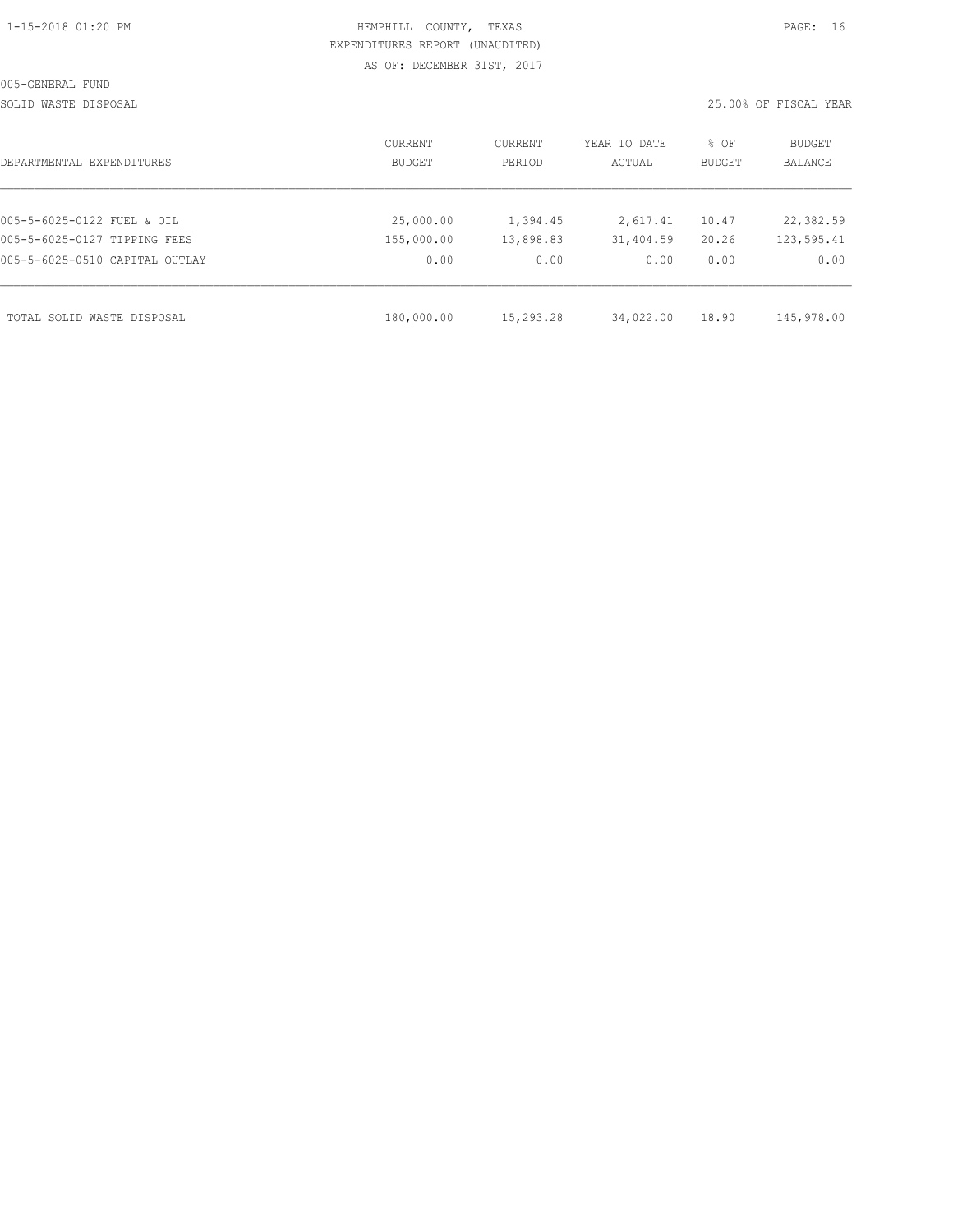| 1-15-2018 01:20 PM |  |
|--------------------|--|

### HEMPHILL COUNTY, TEXAS **PAGE:** 16 EXPENDITURES REPORT (UNAUDITED) AS OF: DECEMBER 31ST, 2017

SOLID WASTE DISPOSAL 25.00% OF FISCAL YEAR

| DEPARTMENTAL EXPENDITURES      | <b>CURRENT</b><br>BUDGET | CURRENT<br>PERIOD | YEAR TO DATE<br>ACTUAL | % OF<br><b>BUDGET</b> | BUDGET<br><b>BALANCE</b> |
|--------------------------------|--------------------------|-------------------|------------------------|-----------------------|--------------------------|
|                                |                          |                   |                        |                       |                          |
| 005-5-6025-0122 FUEL & OIL     | 25,000.00                | 1,394.45          | 2,617.41               | 10.47                 | 22,382.59                |
| 005-5-6025-0127 TIPPING FEES   | 155,000.00               | 13,898.83         | 31,404.59              | 20.26                 | 123,595.41               |
| 005-5-6025-0510 CAPITAL OUTLAY | 0.00                     | 0.00              | 0.00                   | 0.00                  | 0.00                     |
| TOTAL SOLID WASTE DISPOSAL     | 180,000.00               | 15,293.28         | 34,022.00              | 18.90                 | 145,978.00               |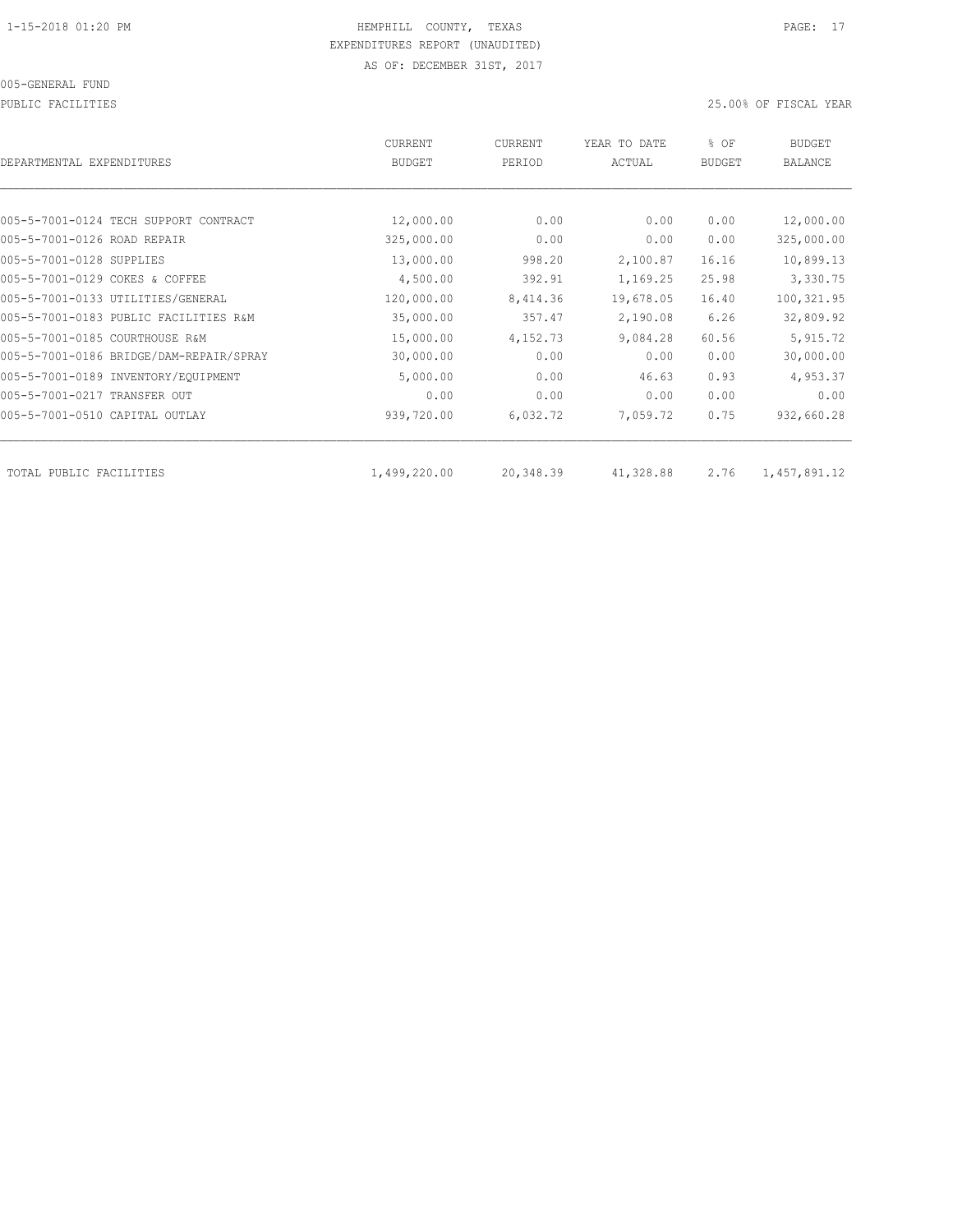PUBLIC FACILITIES 25.00% OF FISCAL YEAR

| DEPARTMENTAL EXPENDITURES               | <b>CURRENT</b><br><b>BUDGET</b> | CURRENT<br>PERIOD | YEAR TO DATE<br>ACTUAL | % OF<br><b>BUDGET</b> | <b>BUDGET</b><br><b>BALANCE</b> |
|-----------------------------------------|---------------------------------|-------------------|------------------------|-----------------------|---------------------------------|
|                                         |                                 |                   |                        |                       |                                 |
| 005-5-7001-0124 TECH SUPPORT CONTRACT   | 12,000.00                       | 0.00              | 0.00                   | 0.00                  | 12,000.00                       |
| 005-5-7001-0126 ROAD REPAIR             | 325,000.00                      | 0.00              | 0.00                   | 0.00                  | 325,000.00                      |
| 005-5-7001-0128 SUPPLIES                | 13,000.00                       | 998.20            | 2,100.87               | 16.16                 | 10,899.13                       |
| 005-5-7001-0129 COKES & COFFEE          | 4,500.00                        | 392.91            | 1,169.25               | 25.98                 | 3,330.75                        |
| 005-5-7001-0133 UTILITIES/GENERAL       | 120,000.00                      | 8,414.36          | 19,678.05              | 16.40                 | 100,321.95                      |
| 005-5-7001-0183 PUBLIC FACILITIES R&M   | 35,000.00                       | 357.47            | 2,190.08               | 6.26                  | 32,809.92                       |
| 005-5-7001-0185 COURTHOUSE R&M          | 15,000.00                       | 4,152.73          | 9,084.28               | 60.56                 | 5,915.72                        |
| 005-5-7001-0186 BRIDGE/DAM-REPAIR/SPRAY | 30,000.00                       | 0.00              | 0.00                   | 0.00                  | 30,000.00                       |
| 005-5-7001-0189 INVENTORY/EQUIPMENT     | 5,000.00                        | 0.00              | 46.63                  | 0.93                  | 4,953.37                        |
| 005-5-7001-0217 TRANSFER OUT            | 0.00                            | 0.00              | 0.00                   | 0.00                  | 0.00                            |
| 005-5-7001-0510 CAPITAL OUTLAY          | 939,720.00                      | 6,032.72          | 7,059.72               | 0.75                  | 932,660.28                      |
|                                         |                                 |                   |                        |                       |                                 |
| TOTAL PUBLIC FACILITIES                 | 1,499,220.00                    | 20,348.39         | 41,328.88              | 2.76                  | 1,457,891.12                    |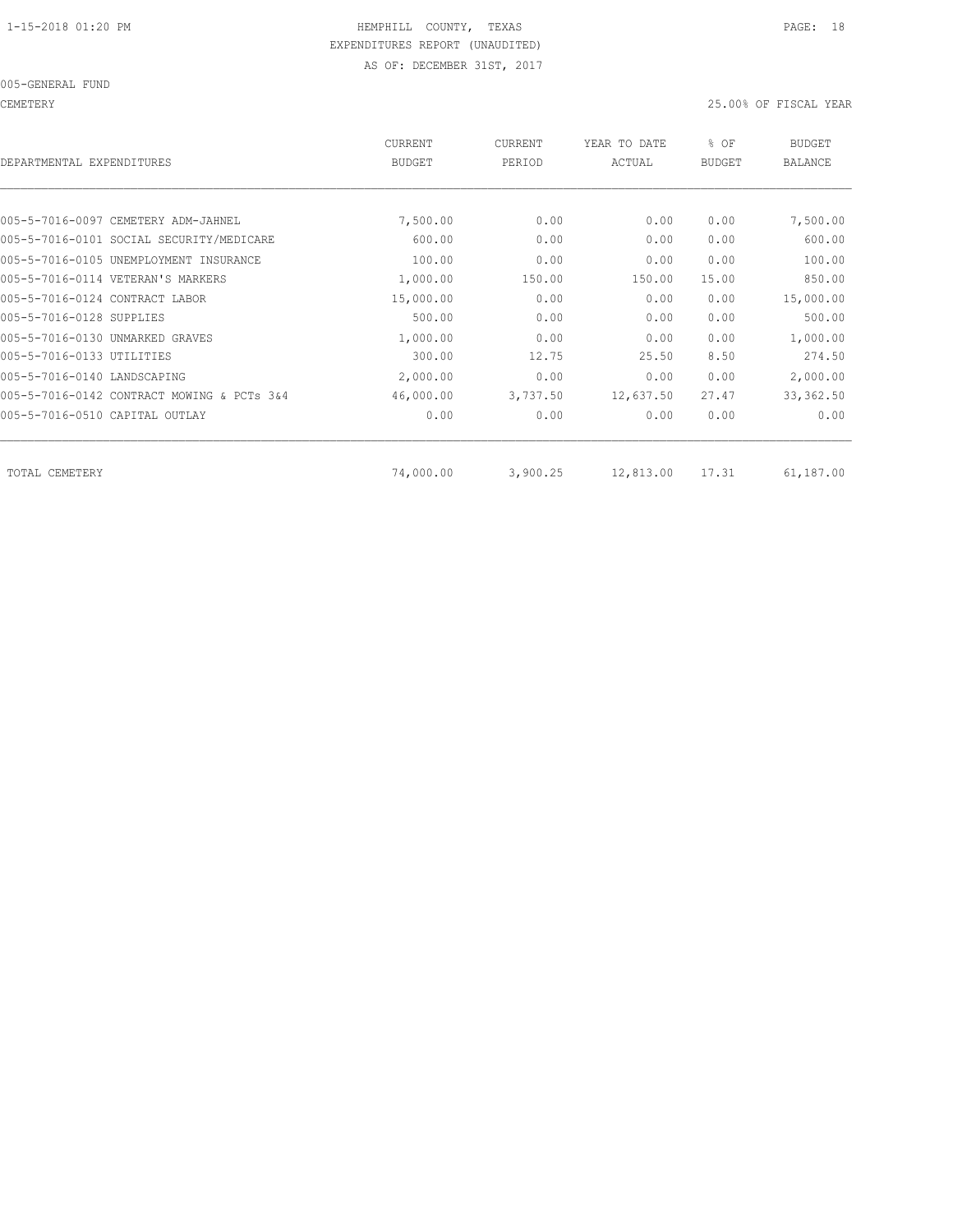CEMETERY 25.00% OF FISCAL YEAR

| DEPARTMENTAL EXPENDITURES                  | <b>CURRENT</b><br><b>BUDGET</b> | <b>CURRENT</b><br>PERIOD | YEAR TO DATE<br>ACTUAL | % OF<br><b>BUDGET</b> | <b>BUDGET</b><br><b>BALANCE</b> |
|--------------------------------------------|---------------------------------|--------------------------|------------------------|-----------------------|---------------------------------|
|                                            |                                 |                          |                        |                       |                                 |
| 005-5-7016-0097 CEMETERY ADM-JAHNEL        | 7,500.00                        | 0.00                     | 0.00                   | 0.00                  | 7,500.00                        |
| 005-5-7016-0101 SOCIAL SECURITY/MEDICARE   | 600.00                          | 0.00                     | 0.00                   | 0.00                  | 600.00                          |
| 005-5-7016-0105 UNEMPLOYMENT INSURANCE     | 100.00                          | 0.00                     | 0.00                   | 0.00                  | 100.00                          |
| 005-5-7016-0114 VETERAN'S MARKERS          | 1,000.00                        | 150.00                   | 150.00                 | 15.00                 | 850.00                          |
| 005-5-7016-0124 CONTRACT LABOR             | 15,000.00                       | 0.00                     | 0.00                   | 0.00                  | 15,000.00                       |
| 005-5-7016-0128 SUPPLIES                   | 500.00                          | 0.00                     | 0.00                   | 0.00                  | 500.00                          |
| 005-5-7016-0130 UNMARKED GRAVES            | 1,000.00                        | 0.00                     | 0.00                   | 0.00                  | 1,000.00                        |
| 005-5-7016-0133 UTILITIES                  | 300.00                          | 12.75                    | 25.50                  | 8.50                  | 274.50                          |
| 005-5-7016-0140 LANDSCAPING                | 2,000.00                        | 0.00                     | 0.00                   | 0.00                  | 2,000.00                        |
| 005-5-7016-0142 CONTRACT MOWING & PCTs 3&4 | 46,000.00                       | 3,737.50                 | 12,637.50              | 27.47                 | 33, 362.50                      |
| 005-5-7016-0510 CAPITAL OUTLAY             | 0.00                            | 0.00                     | 0.00                   | 0.00                  | 0.00                            |
|                                            |                                 |                          |                        |                       | 61,187.00                       |
| TOTAL CEMETERY                             | 74,000.00                       | 3,900.25                 | 12,813.00              | 17.31                 |                                 |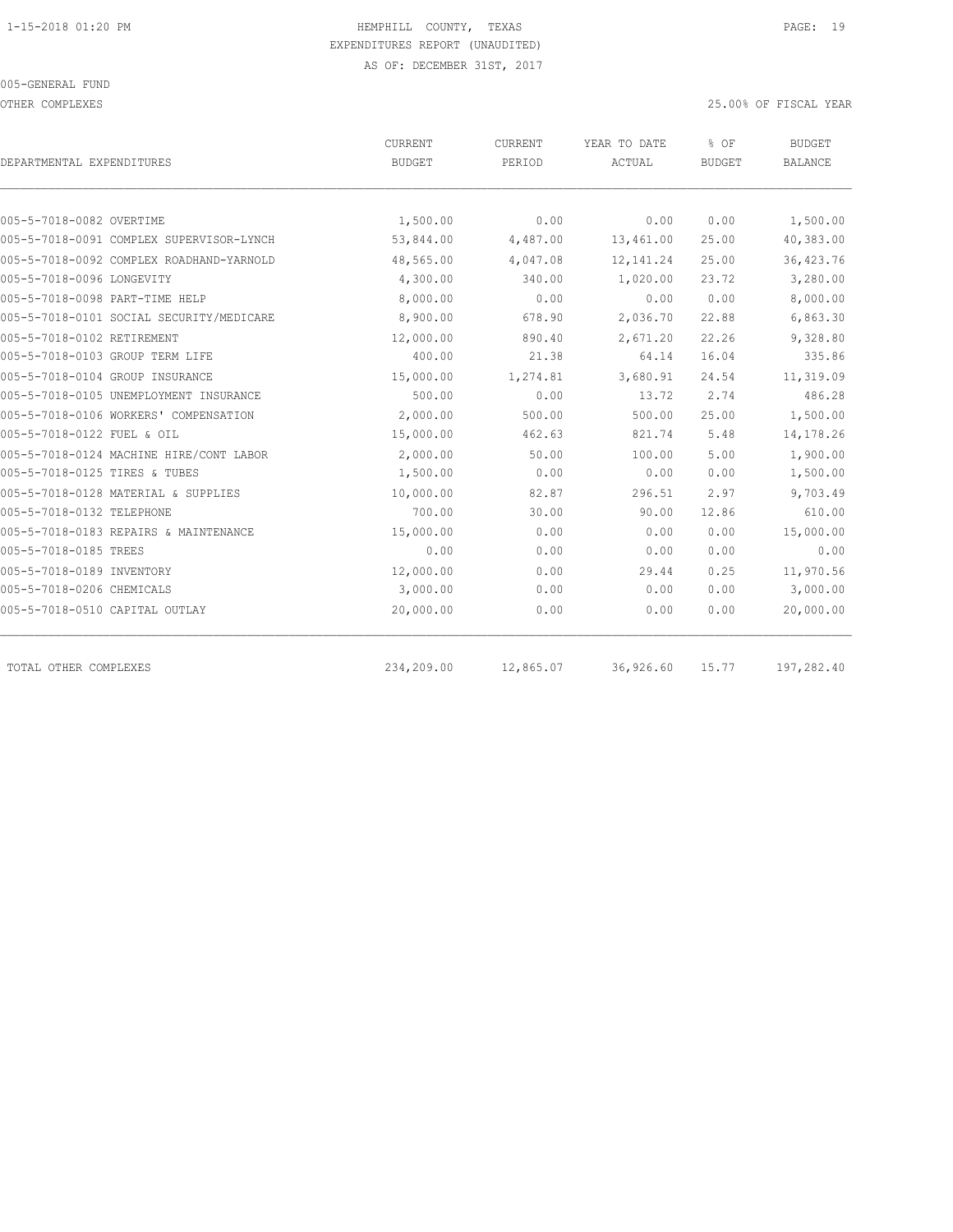OTHER COMPLEXES 25.00% OF FISCAL YEAR

|                                          | CURRENT       | CURRENT   | YEAR TO DATE | % OF          | <b>BUDGET</b>  |  |
|------------------------------------------|---------------|-----------|--------------|---------------|----------------|--|
| DEPARTMENTAL EXPENDITURES                | <b>BUDGET</b> | PERIOD    | ACTUAL       | <b>BUDGET</b> | <b>BALANCE</b> |  |
|                                          |               |           |              |               |                |  |
| 005-5-7018-0082 OVERTIME                 | 1,500.00      | 0.00      | 0.00         | 0.00          | 1,500.00       |  |
| 005-5-7018-0091 COMPLEX SUPERVISOR-LYNCH | 53,844.00     | 4,487.00  | 13,461.00    | 25.00         | 40,383.00      |  |
| 005-5-7018-0092 COMPLEX ROADHAND-YARNOLD | 48,565.00     | 4,047.08  | 12, 141.24   | 25.00         | 36, 423.76     |  |
| 005-5-7018-0096 LONGEVITY                | 4,300.00      | 340.00    | 1,020.00     | 23.72         | 3,280.00       |  |
| 005-5-7018-0098 PART-TIME HELP           | 8,000.00      | 0.00      | 0.00         | 0.00          | 8,000.00       |  |
| 005-5-7018-0101 SOCIAL SECURITY/MEDICARE | 8,900.00      | 678.90    | 2,036.70     | 22.88         | 6,863.30       |  |
| 005-5-7018-0102 RETIREMENT               | 12,000.00     | 890.40    | 2,671.20     | 22.26         | 9,328.80       |  |
| 005-5-7018-0103 GROUP TERM LIFE          | 400.00        | 21.38     | 64.14        | 16.04         | 335.86         |  |
| 005-5-7018-0104 GROUP INSURANCE          | 15,000.00     | 1,274.81  | 3,680.91     | 24.54         | 11,319.09      |  |
| 005-5-7018-0105 UNEMPLOYMENT INSURANCE   | 500.00        | 0.00      | 13.72        | 2.74          | 486.28         |  |
| 005-5-7018-0106 WORKERS' COMPENSATION    | 2,000.00      | 500.00    | 500.00       | 25.00         | 1,500.00       |  |
| 005-5-7018-0122 FUEL & OIL               | 15,000.00     | 462.63    | 821.74       | 5.48          | 14,178.26      |  |
| 005-5-7018-0124 MACHINE HIRE/CONT LABOR  | 2,000.00      | 50.00     | 100.00       | 5.00          | 1,900.00       |  |
| 005-5-7018-0125 TIRES & TUBES            | 1,500.00      | 0.00      | 0.00         | 0.00          | 1,500.00       |  |
| 005-5-7018-0128 MATERIAL & SUPPLIES      | 10,000.00     | 82.87     | 296.51       | 2.97          | 9,703.49       |  |
| 005-5-7018-0132 TELEPHONE                | 700.00        | 30.00     | 90.00        | 12.86         | 610.00         |  |
| 005-5-7018-0183 REPAIRS & MAINTENANCE    | 15,000.00     | 0.00      | 0.00         | 0.00          | 15,000.00      |  |
| 005-5-7018-0185 TREES                    | 0.00          | 0.00      | 0.00         | 0.00          | 0.00           |  |
| 005-5-7018-0189 INVENTORY                | 12,000.00     | 0.00      | 29.44        | 0.25          | 11,970.56      |  |
| 005-5-7018-0206 CHEMICALS                | 3,000.00      | 0.00      | 0.00         | 0.00          | 3,000.00       |  |
| 005-5-7018-0510 CAPITAL OUTLAY           | 20,000.00     | 0.00      | 0.00         | 0.00          | 20,000.00      |  |
| TOTAL OTHER COMPLEXES                    | 234,209.00    | 12,865.07 | 36,926.60    | 15.77         | 197,282.40     |  |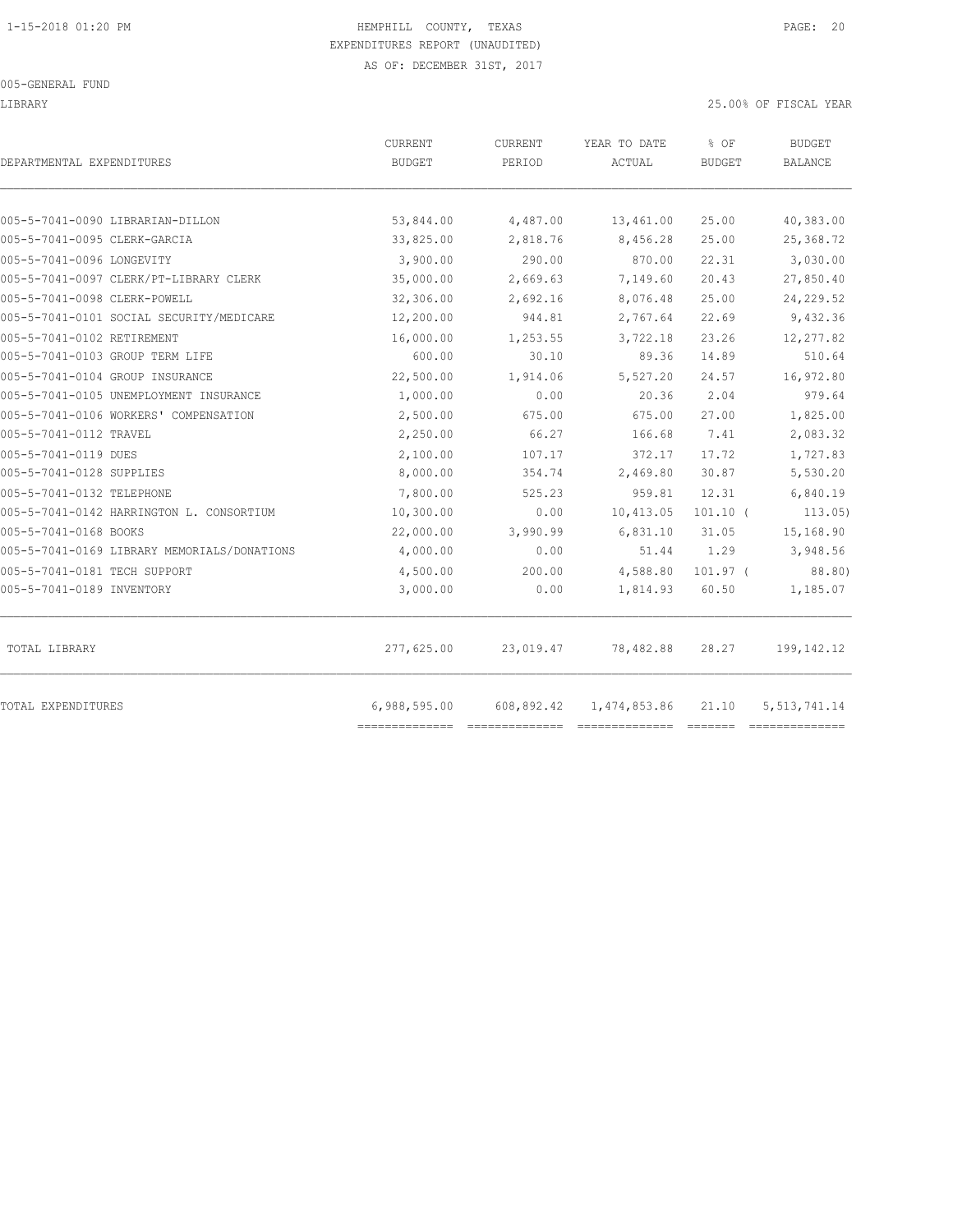LIBRARY 25.00% OF FISCAL YEAR

| DEPARTMENTAL EXPENDITURES                   | CURRENT<br><b>BUDGET</b> | CURRENT<br>PERIOD | YEAR TO DATE<br>ACTUAL | % OF<br><b>BUDGET</b> | <b>BUDGET</b><br><b>BALANCE</b> |
|---------------------------------------------|--------------------------|-------------------|------------------------|-----------------------|---------------------------------|
| 005-5-7041-0090 LIBRARIAN-DILLON            | 53,844.00                | 4,487.00          | 13,461.00              | 25.00                 | 40,383.00                       |
| 005-5-7041-0095 CLERK-GARCIA                | 33,825.00                | 2,818.76          | 8,456.28               | 25.00                 | 25,368.72                       |
| 005-5-7041-0096 LONGEVITY                   | 3,900.00                 | 290.00            | 870.00                 | 22.31                 | 3,030.00                        |
| 005-5-7041-0097 CLERK/PT-LIBRARY CLERK      | 35,000.00                | 2,669.63          | 7,149.60               | 20.43                 | 27,850.40                       |
| 005-5-7041-0098 CLERK-POWELL                | 32,306.00                | 2,692.16          | 8,076.48               | 25.00                 | 24, 229.52                      |
| 005-5-7041-0101 SOCIAL SECURITY/MEDICARE    | 12,200.00                | 944.81            | 2,767.64               | 22.69                 | 9,432.36                        |
| 005-5-7041-0102 RETIREMENT                  | 16,000.00                | 1,253.55          | 3,722.18               | 23.26                 | 12,277.82                       |
| 005-5-7041-0103 GROUP TERM LIFE             | 600.00                   | 30.10             | 89.36                  | 14.89                 | 510.64                          |
| 005-5-7041-0104 GROUP INSURANCE             | 22,500.00                | 1,914.06          | 5,527.20               | 24.57                 | 16,972.80                       |
| 005-5-7041-0105 UNEMPLOYMENT INSURANCE      | 1,000.00                 | 0.00              | 20.36                  | 2.04                  | 979.64                          |
| 005-5-7041-0106 WORKERS' COMPENSATION       | 2,500.00                 | 675.00            | 675.00                 | 27.00                 | 1,825.00                        |
| 005-5-7041-0112 TRAVEL                      | 2,250.00                 | 66.27             | 166.68                 | 7.41                  | 2,083.32                        |
| 005-5-7041-0119 DUES                        | 2,100.00                 | 107.17            | 372.17                 | 17.72                 | 1,727.83                        |
| 005-5-7041-0128 SUPPLIES                    | 8,000.00                 | 354.74            | 2,469.80               | 30.87                 | 5,530.20                        |
| 005-5-7041-0132 TELEPHONE                   | 7,800.00                 | 525.23            | 959.81                 | 12.31                 | 6,840.19                        |
| 005-5-7041-0142 HARRINGTON L. CONSORTIUM    | 10,300.00                | 0.00              | 10,413.05              | $101.10$ (            | 113.05)                         |
| 005-5-7041-0168 BOOKS                       | 22,000.00                | 3,990.99          | 6,831.10               | 31.05                 | 15,168.90                       |
| 005-5-7041-0169 LIBRARY MEMORIALS/DONATIONS | 4,000.00                 | 0.00              | 51.44                  | 1.29                  | 3,948.56                        |
| 005-5-7041-0181 TECH SUPPORT                | 4,500.00                 | 200.00            | 4,588.80               | $101.97$ (            | 88.80)                          |
| 005-5-7041-0189 INVENTORY                   | 3,000.00                 | 0.00              | 1,814.93               | 60.50                 | 1,185.07                        |
| TOTAL LIBRARY                               | 277,625.00               | 23,019.47         | 78,482.88              | 28.27                 | 199, 142. 12                    |
| TOTAL EXPENDITURES                          | 6,988,595.00             | 608,892.42        | 1,474,853.86           | 21.10                 | 5, 513, 741.14                  |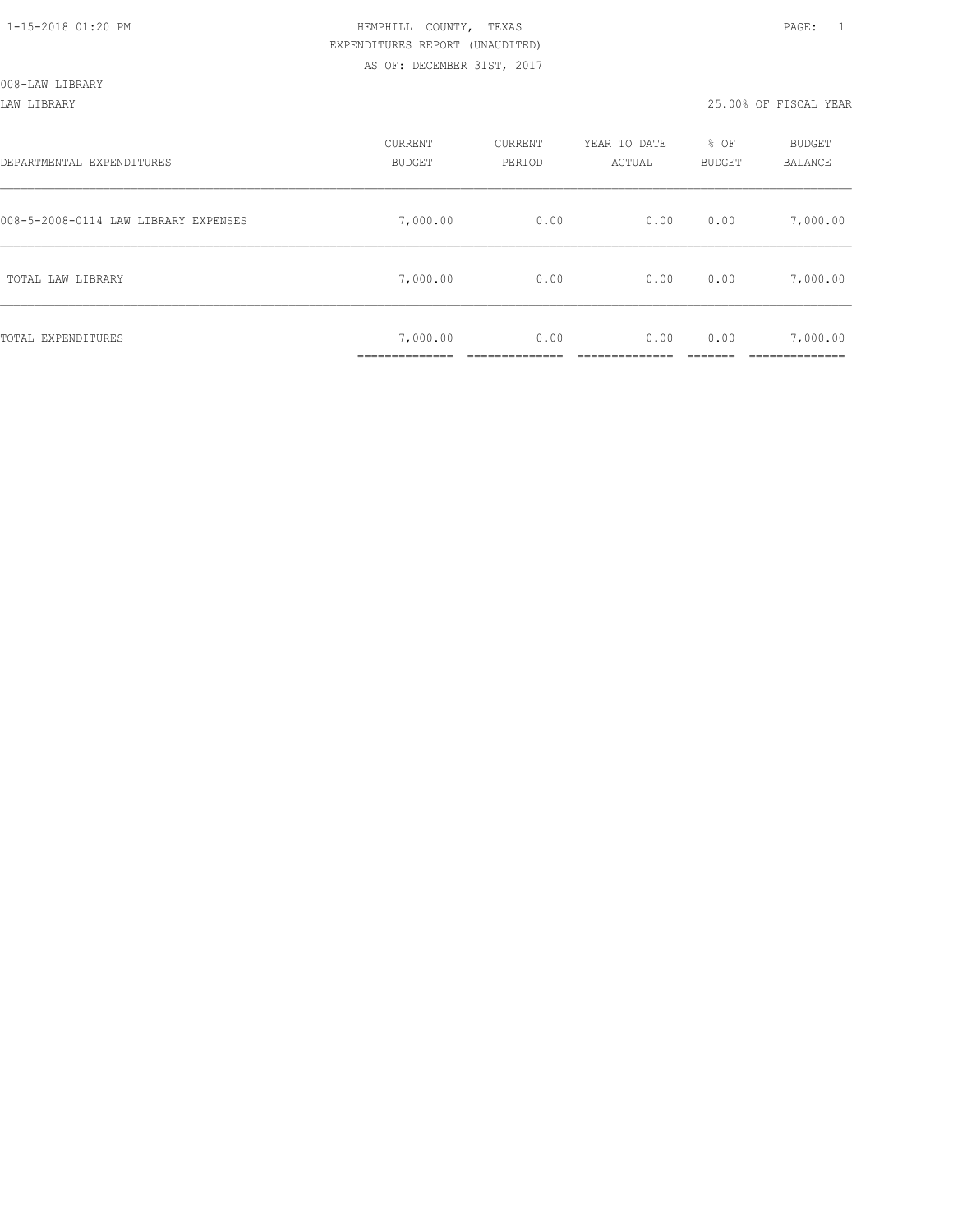LAW LIBRARY 25.00% OF FISCAL YEAR

| DEPARTMENTAL EXPENDITURES            | CURRENT<br><b>BUDGET</b> | CURRENT<br>PERIOD | YEAR TO DATE<br>ACTUAL | % OF<br>BUDGET | BUDGET<br><b>BALANCE</b> |
|--------------------------------------|--------------------------|-------------------|------------------------|----------------|--------------------------|
| 008-5-2008-0114 LAW LIBRARY EXPENSES | 7,000.00                 | 0.00              | 0.00                   | 0.00           | 7,000.00                 |
| TOTAL LAW LIBRARY                    | 7,000.00                 | 0.00              | 0.00                   | 0.00           | 7,000.00                 |
| TOTAL EXPENDITURES                   | 7,000.00                 | 0.00              | 0.00                   | 0.00           | 7,000.00                 |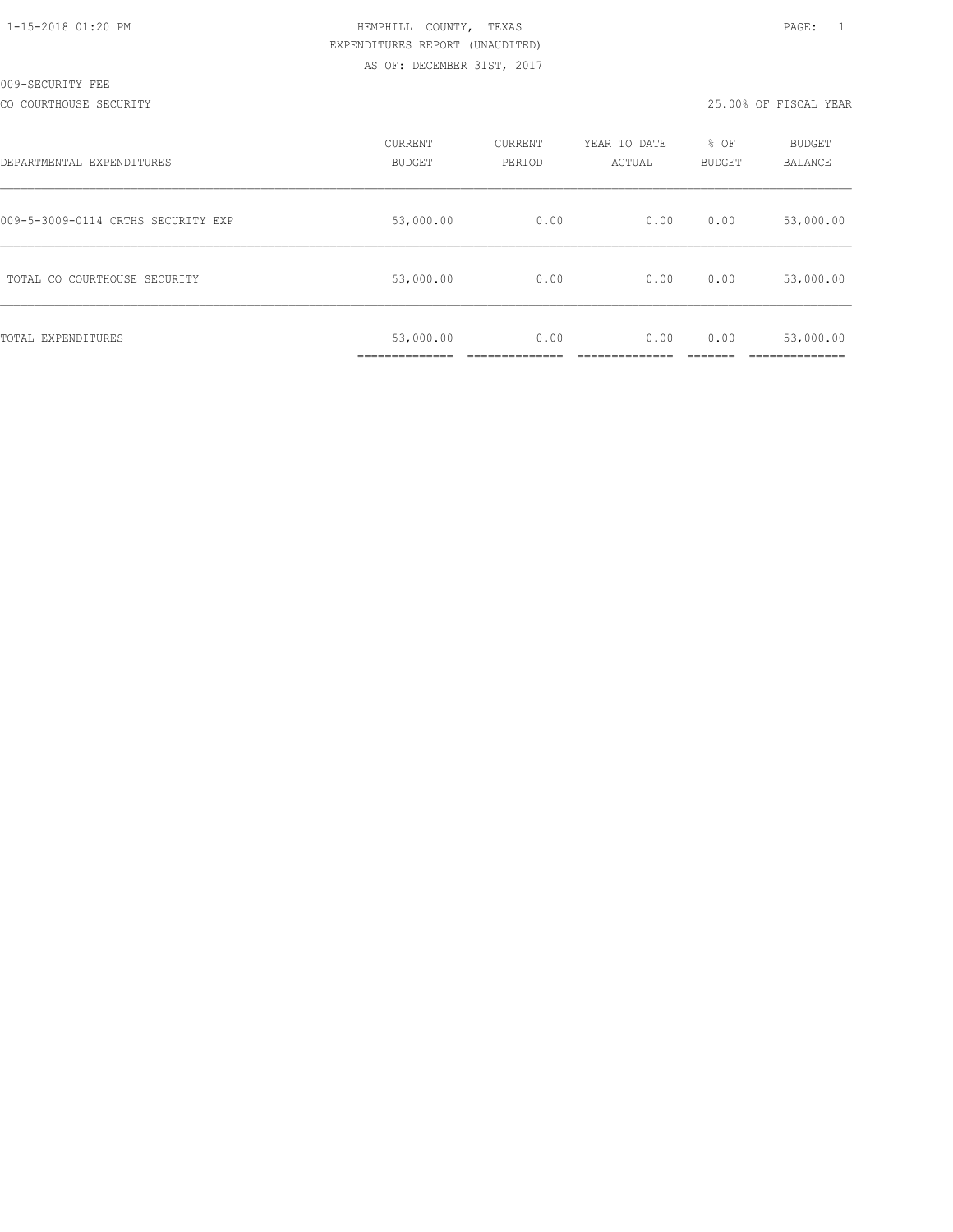| 1-15-2018 01:20 PM |  |
|--------------------|--|

CO COURTHOUSE SECURITY 25.00% OF FISCAL YEAR

| DEPARTMENTAL EXPENDITURES          | CURRENT<br><b>BUDGET</b>    | CURRENT<br>PERIOD | YEAR TO DATE<br>ACTUAL | % OF<br><b>BUDGET</b> | <b>BUDGET</b><br><b>BALANCE</b> |
|------------------------------------|-----------------------------|-------------------|------------------------|-----------------------|---------------------------------|
| 009-5-3009-0114 CRTHS SECURITY EXP | 53,000.00                   | 0.00              | 0.00                   | 0.00                  | 53,000.00                       |
| TOTAL CO COURTHOUSE SECURITY       | 53,000.00                   | 0.00              | 0.00                   | 0.00                  | 53,000.00                       |
| TOTAL EXPENDITURES                 | 53,000.00<br>______________ | 0.00              | 0.00                   | 0.00                  | 53,000.00                       |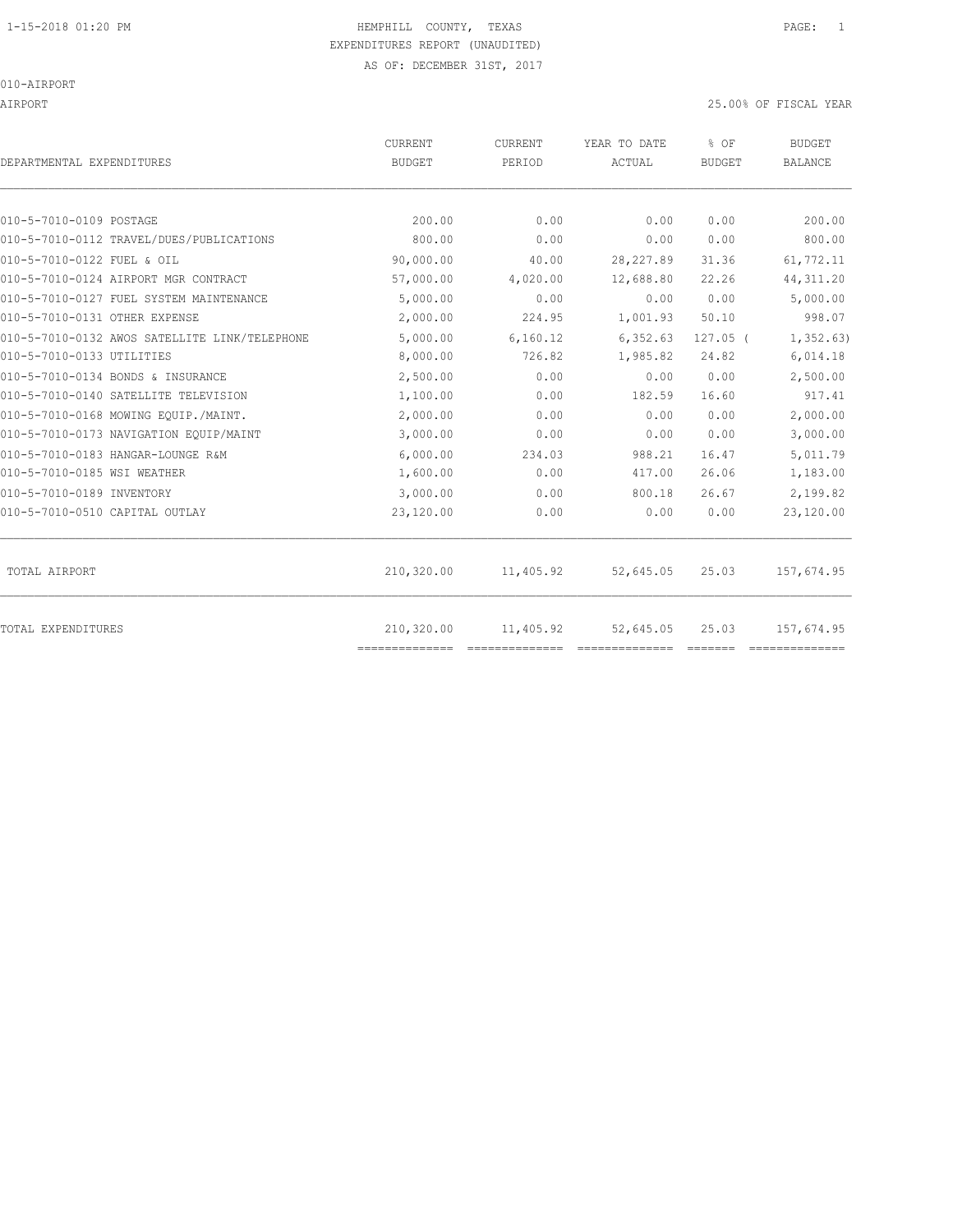010-AIRPORT

AIRPORT 25.00% OF FISCAL YEAR

| DEPARTMENTAL EXPENDITURES                     | <b>CURRENT</b><br><b>BUDGET</b> | CURRENT<br>PERIOD | YEAR TO DATE<br>ACTUAL | % OF<br><b>BUDGET</b> | <b>BUDGET</b><br><b>BALANCE</b> |
|-----------------------------------------------|---------------------------------|-------------------|------------------------|-----------------------|---------------------------------|
|                                               |                                 |                   |                        |                       |                                 |
| 010-5-7010-0109 POSTAGE                       | 200.00                          | 0.00              | 0.00                   | 0.00                  | 200.00                          |
| 010-5-7010-0112 TRAVEL/DUES/PUBLICATIONS      | 800.00                          | 0.00              | 0.00                   | 0.00                  | 800.00                          |
| 010-5-7010-0122 FUEL & OIL                    | 90,000.00                       | 40.00             | 28, 227.89             | 31.36                 | 61,772.11                       |
| 010-5-7010-0124 AIRPORT MGR CONTRACT          | 57,000.00                       | 4,020.00          | 12,688.80              | 22.26                 | 44, 311.20                      |
| 010-5-7010-0127 FUEL SYSTEM MAINTENANCE       | 5,000.00                        | 0.00              | 0.00                   | 0.00                  | 5,000.00                        |
| 010-5-7010-0131 OTHER EXPENSE                 | 2,000.00                        | 224.95            | 1,001.93               | 50.10                 | 998.07                          |
| 010-5-7010-0132 AWOS SATELLITE LINK/TELEPHONE | 5,000.00                        | 6,160.12          | 6, 352.63              | $127.05$ (            | 1, 352.63)                      |
| 010-5-7010-0133 UTILITIES                     | 8,000.00                        | 726.82            | 1,985.82               | 24.82                 | 6,014.18                        |
| 010-5-7010-0134 BONDS & INSURANCE             | 2,500.00                        | 0.00              | 0.00                   | 0.00                  | 2,500.00                        |
| 010-5-7010-0140 SATELLITE TELEVISION          | 1,100.00                        | 0.00              | 182.59                 | 16.60                 | 917.41                          |
| 010-5-7010-0168 MOWING EOUIP./MAINT.          | 2,000.00                        | 0.00              | 0.00                   | 0.00                  | 2,000.00                        |
| 010-5-7010-0173 NAVIGATION EQUIP/MAINT        | 3,000.00                        | 0.00              | 0.00                   | 0.00                  | 3,000.00                        |
| 010-5-7010-0183 HANGAR-LOUNGE R&M             | 6,000.00                        | 234.03            | 988.21                 | 16.47                 | 5,011.79                        |
| 010-5-7010-0185 WSI WEATHER                   | 1,600.00                        | 0.00              | 417.00                 | 26.06                 | 1,183.00                        |
| 010-5-7010-0189 INVENTORY                     | 3,000.00                        | 0.00              | 800.18                 | 26.67                 | 2,199.82                        |
| 010-5-7010-0510 CAPITAL OUTLAY                | 23,120.00                       | 0.00              | 0.00                   | 0.00                  | 23,120.00                       |
| TOTAL AIRPORT                                 | 210,320.00                      | 11,405.92         | 52,645.05              | 25.03                 | 157,674.95                      |
|                                               |                                 |                   |                        |                       |                                 |
| TOTAL EXPENDITURES                            | 210,320.00<br>==============    | 11,405.92         | 52,645.05              | 25.03                 | 157,674.95                      |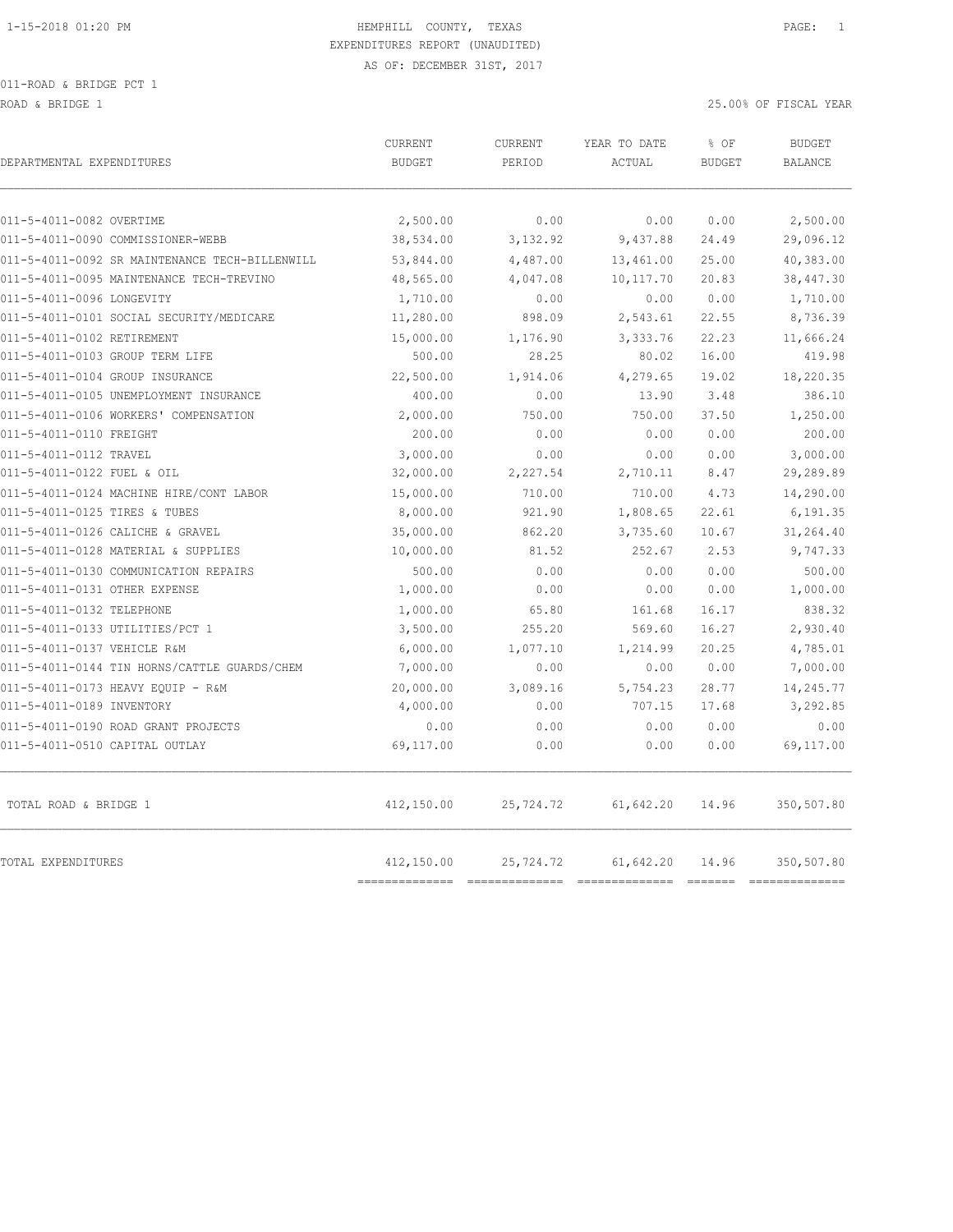ROAD & BRIDGE 1 25.00% OF FISCAL YEAR 25.00% OF FISCAL YEAR

| DEPARTMENTAL EXPENDITURES                      | CURRENT<br><b>BUDGET</b> | CURRENT<br>PERIOD | YEAR TO DATE<br>ACTUAL | % OF<br><b>BUDGET</b> | <b>BUDGET</b><br><b>BALANCE</b> |
|------------------------------------------------|--------------------------|-------------------|------------------------|-----------------------|---------------------------------|
| 011-5-4011-0082 OVERTIME                       | 2,500.00                 | 0.00              | 0.00                   | 0.00                  | 2,500.00                        |
| 011-5-4011-0090 COMMISSIONER-WEBB              | 38,534.00                | 3, 132.92         | 9,437.88               | 24.49                 | 29,096.12                       |
| 011-5-4011-0092 SR MAINTENANCE TECH-BILLENWILL | 53,844.00                | 4,487.00          | 13,461.00              | 25.00                 | 40,383.00                       |
| 011-5-4011-0095 MAINTENANCE TECH-TREVINO       | 48,565.00                | 4,047.08          | 10, 117.70             | 20.83                 | 38,447.30                       |
| 011-5-4011-0096 LONGEVITY                      | 1,710.00                 | 0.00              | 0.00                   | 0.00                  | 1,710.00                        |
| 011-5-4011-0101 SOCIAL SECURITY/MEDICARE       | 11,280.00                | 898.09            | 2,543.61               | 22.55                 | 8,736.39                        |
| 011-5-4011-0102 RETIREMENT                     | 15,000.00                | 1,176.90          | 3,333.76               | 22.23                 | 11,666.24                       |
| 011-5-4011-0103 GROUP TERM LIFE                | 500.00                   | 28.25             | 80.02                  | 16.00                 | 419.98                          |
| 011-5-4011-0104 GROUP INSURANCE                | 22,500.00                | 1,914.06          | 4,279.65               | 19.02                 | 18,220.35                       |
| 011-5-4011-0105 UNEMPLOYMENT INSURANCE         | 400.00                   | 0.00              | 13.90                  | 3.48                  | 386.10                          |
| 011-5-4011-0106 WORKERS' COMPENSATION          | 2,000.00                 | 750.00            | 750.00                 | 37.50                 | 1,250.00                        |
| 011-5-4011-0110 FREIGHT                        | 200.00                   | 0.00              | 0.00                   | 0.00                  | 200.00                          |
| 011-5-4011-0112 TRAVEL                         | 3,000.00                 | 0.00              | 0.00                   | 0.00                  | 3,000.00                        |
| 011-5-4011-0122 FUEL & OIL                     | 32,000.00                | 2,227.54          | 2,710.11               | 8.47                  | 29,289.89                       |
| 011-5-4011-0124 MACHINE HIRE/CONT LABOR        | 15,000.00                | 710.00            | 710.00                 | 4.73                  | 14,290.00                       |
| 011-5-4011-0125 TIRES & TUBES                  | 8,000.00                 | 921.90            | 1,808.65               | 22.61                 | 6,191.35                        |
| 011-5-4011-0126 CALICHE & GRAVEL               | 35,000.00                | 862.20            | 3,735.60               | 10.67                 | 31,264.40                       |
| 011-5-4011-0128 MATERIAL & SUPPLIES            | 10,000.00                | 81.52             | 252.67                 | 2.53                  | 9,747.33                        |
| 011-5-4011-0130 COMMUNICATION REPAIRS          | 500.00                   | 0.00              | 0.00                   | 0.00                  | 500.00                          |
| 011-5-4011-0131 OTHER EXPENSE                  | 1,000.00                 | 0.00              | 0.00                   | 0.00                  | 1,000.00                        |
| 011-5-4011-0132 TELEPHONE                      | 1,000.00                 | 65.80             | 161.68                 | 16.17                 | 838.32                          |
| 011-5-4011-0133 UTILITIES/PCT 1                | 3,500.00                 | 255.20            | 569.60                 | 16.27                 | 2,930.40                        |
| 011-5-4011-0137 VEHICLE R&M                    | 6,000.00                 | 1,077.10          | 1,214.99               | 20.25                 | 4,785.01                        |
| 011-5-4011-0144 TIN HORNS/CATTLE GUARDS/CHEM   | 7,000.00                 | 0.00              | 0.00                   | 0.00                  | 7,000.00                        |
| 011-5-4011-0173 HEAVY EQUIP - R&M              | 20,000.00                | 3,089.16          | 5,754.23               | 28.77                 | 14,245.77                       |
| 011-5-4011-0189 INVENTORY                      | 4,000.00                 | 0.00              | 707.15                 | 17.68                 | 3,292.85                        |
| 011-5-4011-0190 ROAD GRANT PROJECTS            | 0.00                     | 0.00              | 0.00                   | 0.00                  | 0.00                            |
| 011-5-4011-0510 CAPITAL OUTLAY                 | 69,117.00                | 0.00              | 0.00                   | 0.00                  | 69,117.00                       |
| TOTAL ROAD & BRIDGE 1                          | 412,150.00               | 25,724.72         | 61,642.20              | 14.96                 | 350,507.80                      |
| TOTAL EXPENDITURES                             | 412,150.00               | 25,724.72         | 61,642.20              | 14.96                 | 350,507.80                      |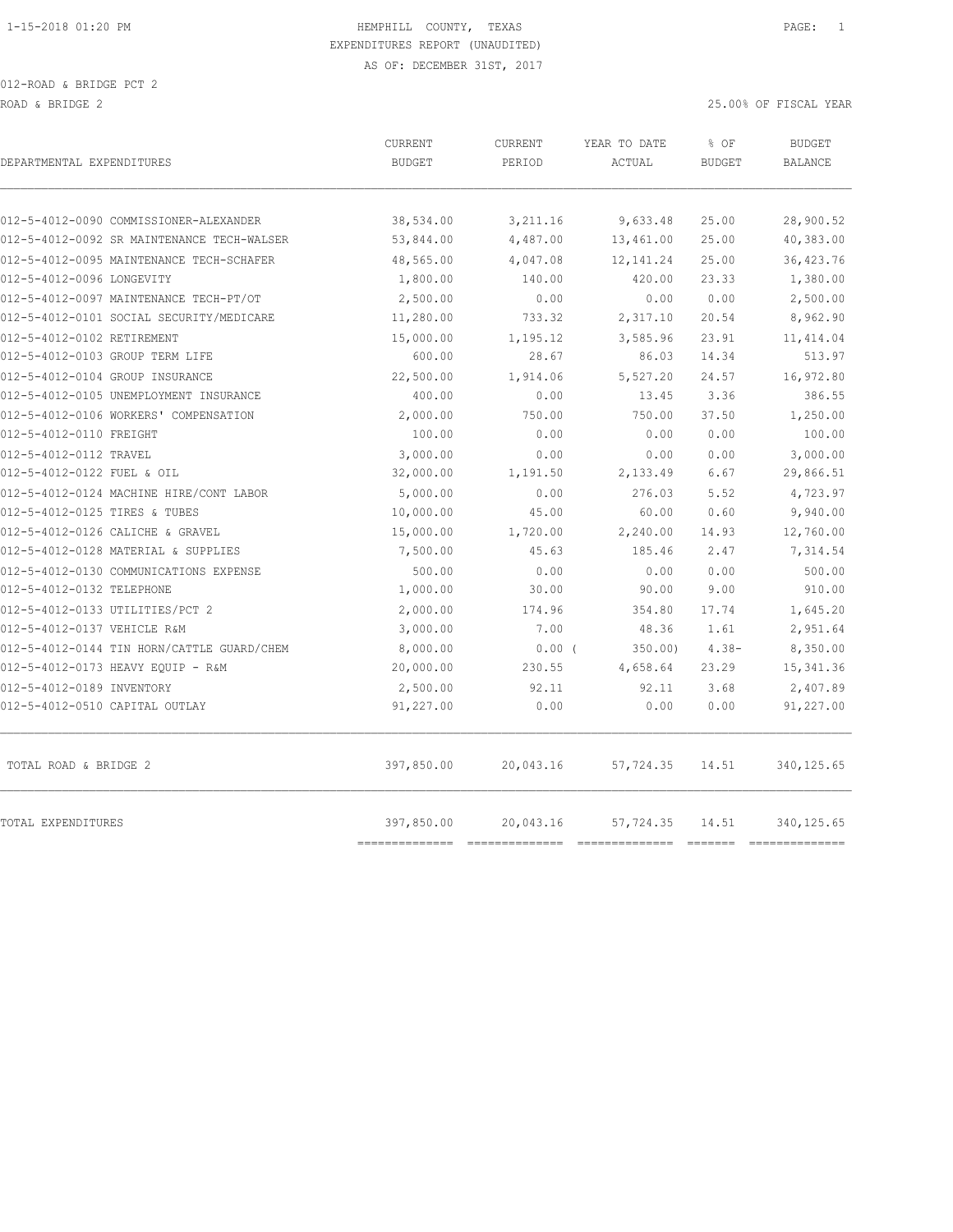| DEPARTMENTAL EXPENDITURES                  | CURRENT<br><b>BUDGET</b>   | CURRENT<br>PERIOD                                                                                                                                                                                                                                                                                                                                                                                                                                                                                   | YEAR TO DATE<br>ACTUAL | % OF<br><b>BUDGET</b> | <b>BUDGET</b><br><b>BALANCE</b> |
|--------------------------------------------|----------------------------|-----------------------------------------------------------------------------------------------------------------------------------------------------------------------------------------------------------------------------------------------------------------------------------------------------------------------------------------------------------------------------------------------------------------------------------------------------------------------------------------------------|------------------------|-----------------------|---------------------------------|
|                                            |                            |                                                                                                                                                                                                                                                                                                                                                                                                                                                                                                     |                        |                       |                                 |
| 012-5-4012-0090 COMMISSIONER-ALEXANDER     | 38,534.00                  | 3,211.16                                                                                                                                                                                                                                                                                                                                                                                                                                                                                            | 9,633.48               | 25.00                 | 28,900.52                       |
| 012-5-4012-0092 SR MAINTENANCE TECH-WALSER | 53,844.00                  | 4,487.00                                                                                                                                                                                                                                                                                                                                                                                                                                                                                            | 13,461.00              | 25.00                 | 40,383.00                       |
| 012-5-4012-0095 MAINTENANCE TECH-SCHAFER   | 48,565.00                  | 4,047.08                                                                                                                                                                                                                                                                                                                                                                                                                                                                                            | 12, 141.24             | 25.00                 | 36,423.76                       |
| 012-5-4012-0096 LONGEVITY                  | 1,800.00                   | 140.00                                                                                                                                                                                                                                                                                                                                                                                                                                                                                              | 420.00                 | 23.33                 | 1,380.00                        |
| 012-5-4012-0097 MAINTENANCE TECH-PT/OT     | 2,500.00                   | 0.00                                                                                                                                                                                                                                                                                                                                                                                                                                                                                                | 0.00                   | 0.00                  | 2,500.00                        |
| 012-5-4012-0101 SOCIAL SECURITY/MEDICARE   | 11,280.00                  | 733.32                                                                                                                                                                                                                                                                                                                                                                                                                                                                                              | 2,317.10               | 20.54                 | 8,962.90                        |
| 012-5-4012-0102 RETIREMENT                 | 15,000.00                  | 1,195.12                                                                                                                                                                                                                                                                                                                                                                                                                                                                                            | 3,585.96               | 23.91                 | 11, 414.04                      |
| 012-5-4012-0103 GROUP TERM LIFE            | 600.00                     | 28.67                                                                                                                                                                                                                                                                                                                                                                                                                                                                                               | 86.03                  | 14.34                 | 513.97                          |
| 012-5-4012-0104 GROUP INSURANCE            | 22,500.00                  | 1,914.06                                                                                                                                                                                                                                                                                                                                                                                                                                                                                            | 5,527.20               | 24.57                 | 16,972.80                       |
| 012-5-4012-0105 UNEMPLOYMENT INSURANCE     | 400.00                     | 0.00                                                                                                                                                                                                                                                                                                                                                                                                                                                                                                | 13.45                  | 3.36                  | 386.55                          |
| 012-5-4012-0106 WORKERS' COMPENSATION      | 2,000.00                   | 750.00                                                                                                                                                                                                                                                                                                                                                                                                                                                                                              | 750.00                 | 37.50                 | 1,250.00                        |
| 012-5-4012-0110 FREIGHT                    | 100.00                     | 0.00                                                                                                                                                                                                                                                                                                                                                                                                                                                                                                | 0.00                   | 0.00                  | 100.00                          |
| 012-5-4012-0112 TRAVEL                     | 3,000.00                   | 0.00                                                                                                                                                                                                                                                                                                                                                                                                                                                                                                | 0.00                   | 0.00                  | 3,000.00                        |
| 012-5-4012-0122 FUEL & OIL                 | 32,000.00                  | 1,191.50                                                                                                                                                                                                                                                                                                                                                                                                                                                                                            | 2,133.49               | 6.67                  | 29,866.51                       |
| 012-5-4012-0124 MACHINE HIRE/CONT LABOR    | 5,000.00                   | 0.00                                                                                                                                                                                                                                                                                                                                                                                                                                                                                                | 276.03                 | 5.52                  | 4,723.97                        |
| 012-5-4012-0125 TIRES & TUBES              | 10,000.00                  | 45.00                                                                                                                                                                                                                                                                                                                                                                                                                                                                                               | 60.00                  | 0.60                  | 9,940.00                        |
| 012-5-4012-0126 CALICHE & GRAVEL           | 15,000.00                  | 1,720.00                                                                                                                                                                                                                                                                                                                                                                                                                                                                                            | 2,240.00               | 14.93                 | 12,760.00                       |
| 012-5-4012-0128 MATERIAL & SUPPLIES        | 7,500.00                   | 45.63                                                                                                                                                                                                                                                                                                                                                                                                                                                                                               | 185.46                 | 2.47                  | 7,314.54                        |
| 012-5-4012-0130 COMMUNICATIONS EXPENSE     | 500.00                     | 0.00                                                                                                                                                                                                                                                                                                                                                                                                                                                                                                | 0.00                   | 0.00                  | 500.00                          |
| 012-5-4012-0132 TELEPHONE                  | 1,000.00                   | 30.00                                                                                                                                                                                                                                                                                                                                                                                                                                                                                               | 90.00                  | 9.00                  | 910.00                          |
| 012-5-4012-0133 UTILITIES/PCT 2            | 2,000.00                   | 174.96                                                                                                                                                                                                                                                                                                                                                                                                                                                                                              | 354.80                 | 17.74                 | 1,645.20                        |
| 012-5-4012-0137 VEHICLE R&M                | 3,000.00                   | 7.00                                                                                                                                                                                                                                                                                                                                                                                                                                                                                                | 48.36                  | 1.61                  | 2,951.64                        |
| 012-5-4012-0144 TIN HORN/CATTLE GUARD/CHEM | 8,000.00                   | $0.00$ (                                                                                                                                                                                                                                                                                                                                                                                                                                                                                            | 350.00)                | $4.38-$               | 8,350.00                        |
| 012-5-4012-0173 HEAVY EQUIP - R&M          | 20,000.00                  | 230.55                                                                                                                                                                                                                                                                                                                                                                                                                                                                                              | 4,658.64               | 23.29                 | 15, 341.36                      |
| 012-5-4012-0189 INVENTORY                  | 2,500.00                   | 92.11                                                                                                                                                                                                                                                                                                                                                                                                                                                                                               | 92.11                  | 3.68                  | 2,407.89                        |
| 012-5-4012-0510 CAPITAL OUTLAY             | 91,227.00                  | 0.00                                                                                                                                                                                                                                                                                                                                                                                                                                                                                                | 0.00                   | 0.00                  | 91,227.00                       |
| TOTAL ROAD & BRIDGE 2                      | 397,850.00                 | 20,043.16                                                                                                                                                                                                                                                                                                                                                                                                                                                                                           | 57,724.35              | 14.51                 | 340, 125.65                     |
| TOTAL EXPENDITURES                         | 397,850.00<br>------------ | 20,043.16<br>$\begin{array}{cccccccccccccc} \multicolumn{2}{c}{} & \multicolumn{2}{c}{} & \multicolumn{2}{c}{} & \multicolumn{2}{c}{} & \multicolumn{2}{c}{} & \multicolumn{2}{c}{} & \multicolumn{2}{c}{} & \multicolumn{2}{c}{} & \multicolumn{2}{c}{} & \multicolumn{2}{c}{} & \multicolumn{2}{c}{} & \multicolumn{2}{c}{} & \multicolumn{2}{c}{} & \multicolumn{2}{c}{} & \multicolumn{2}{c}{} & \multicolumn{2}{c}{} & \multicolumn{2}{c}{} & \multicolumn{2}{c}{} & \multicolumn{2}{c}{} & \$ | 57,724.35              | 14.51                 | 340, 125.65<br>==============   |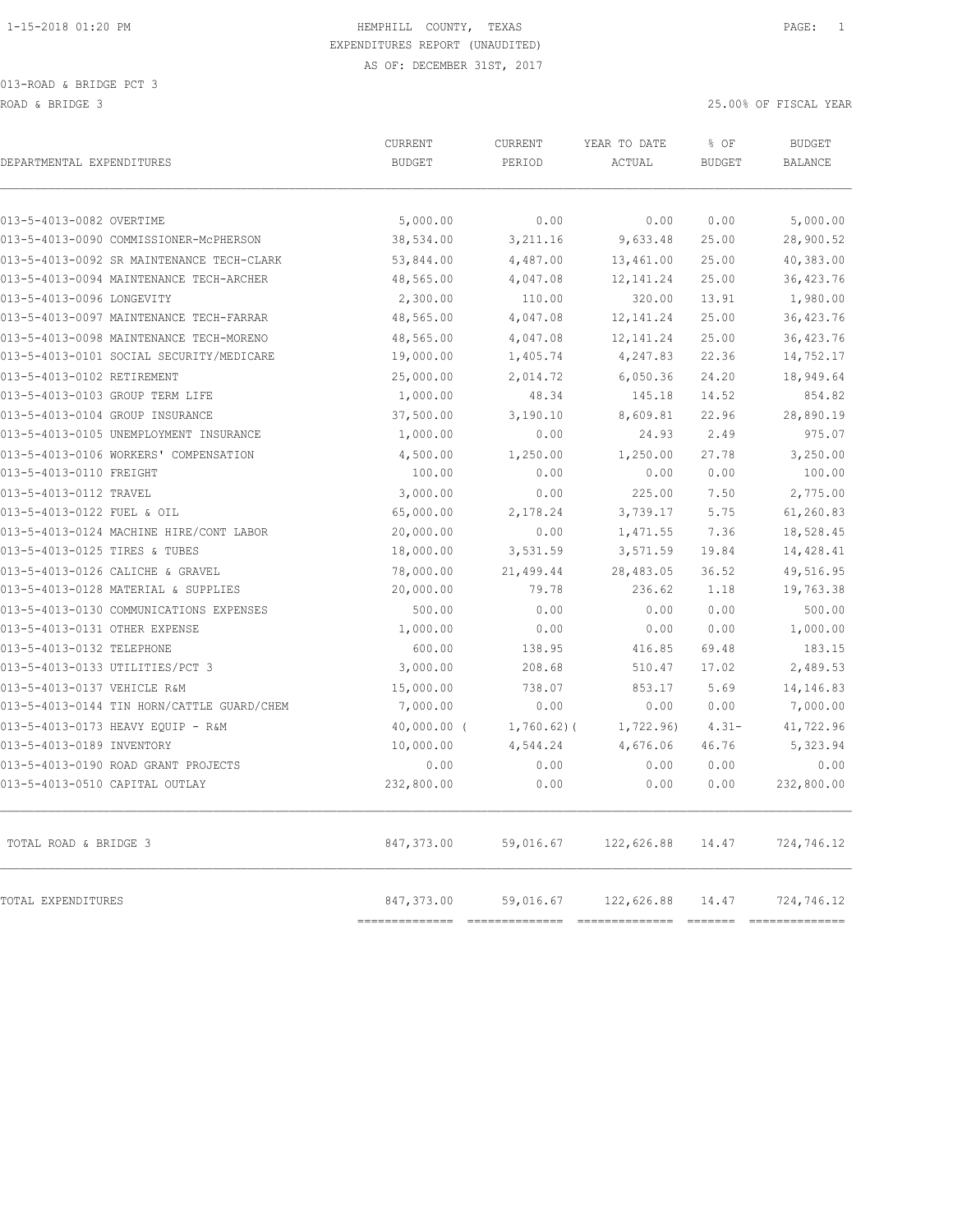| DEPARTMENTAL EXPENDITURES                  | CURRENT<br><b>BUDGET</b>     | CURRENT<br>PERIOD | YEAR TO DATE<br>ACTUAL        | % OF<br><b>BUDGET</b>            | <b>BUDGET</b><br><b>BALANCE</b>                                                                                                                                                                                                                                                                                                                                                                |
|--------------------------------------------|------------------------------|-------------------|-------------------------------|----------------------------------|------------------------------------------------------------------------------------------------------------------------------------------------------------------------------------------------------------------------------------------------------------------------------------------------------------------------------------------------------------------------------------------------|
| 013-5-4013-0082 OVERTIME                   | 5,000.00                     | 0.00              | 0.00                          | 0.00                             | 5,000.00                                                                                                                                                                                                                                                                                                                                                                                       |
| 013-5-4013-0090 COMMISSIONER-MCPHERSON     | 38,534.00                    | 3,211.16          | 9,633.48                      | 25.00                            | 28,900.52                                                                                                                                                                                                                                                                                                                                                                                      |
| 013-5-4013-0092 SR MAINTENANCE TECH-CLARK  | 53,844.00                    | 4,487.00          | 13,461.00                     | 25.00                            | 40,383.00                                                                                                                                                                                                                                                                                                                                                                                      |
| 013-5-4013-0094 MAINTENANCE TECH-ARCHER    | 48,565.00                    | 4,047.08          | 12, 141.24                    | 25.00                            | 36,423.76                                                                                                                                                                                                                                                                                                                                                                                      |
| 013-5-4013-0096 LONGEVITY                  | 2,300.00                     | 110.00            | 320.00                        | 13.91                            | 1,980.00                                                                                                                                                                                                                                                                                                                                                                                       |
| 013-5-4013-0097 MAINTENANCE TECH-FARRAR    | 48,565.00                    | 4,047.08          | 12, 141.24                    | 25.00                            | 36, 423.76                                                                                                                                                                                                                                                                                                                                                                                     |
| 013-5-4013-0098 MAINTENANCE TECH-MORENO    | 48,565.00                    | 4,047.08          | 12, 141.24                    | 25.00                            | 36, 423.76                                                                                                                                                                                                                                                                                                                                                                                     |
| 013-5-4013-0101 SOCIAL SECURITY/MEDICARE   | 19,000.00                    | 1,405.74          | 4,247.83                      | 22.36                            | 14,752.17                                                                                                                                                                                                                                                                                                                                                                                      |
| 013-5-4013-0102 RETIREMENT                 | 25,000.00                    | 2,014.72          | 6,050.36                      | 24.20                            | 18,949.64                                                                                                                                                                                                                                                                                                                                                                                      |
| 013-5-4013-0103 GROUP TERM LIFE            | 1,000.00                     | 48.34             | 145.18                        | 14.52                            | 854.82                                                                                                                                                                                                                                                                                                                                                                                         |
| 013-5-4013-0104 GROUP INSURANCE            | 37,500.00                    | 3,190.10          | 8,609.81                      | 22.96                            | 28,890.19                                                                                                                                                                                                                                                                                                                                                                                      |
| 013-5-4013-0105 UNEMPLOYMENT INSURANCE     | 1,000.00                     | 0.00              | 24.93                         | 2.49                             | 975.07                                                                                                                                                                                                                                                                                                                                                                                         |
| 013-5-4013-0106 WORKERS' COMPENSATION      | 4,500.00                     | 1,250.00          | 1,250.00                      | 27.78                            | 3,250.00                                                                                                                                                                                                                                                                                                                                                                                       |
| 013-5-4013-0110 FREIGHT                    | 100.00                       | 0.00              | 0.00                          | 0.00                             | 100.00                                                                                                                                                                                                                                                                                                                                                                                         |
| 013-5-4013-0112 TRAVEL                     | 3,000.00                     | 0.00              | 225.00                        | 7.50                             | 2,775.00                                                                                                                                                                                                                                                                                                                                                                                       |
| 013-5-4013-0122 FUEL & OIL                 | 65,000.00                    | 2,178.24          | 3,739.17                      | 5.75                             | 61,260.83                                                                                                                                                                                                                                                                                                                                                                                      |
| 013-5-4013-0124 MACHINE HIRE/CONT LABOR    | 20,000.00                    | 0.00              | 1,471.55                      | 7.36                             | 18,528.45                                                                                                                                                                                                                                                                                                                                                                                      |
| 013-5-4013-0125 TIRES & TUBES              | 18,000.00                    | 3,531.59          | 3,571.59                      | 19.84                            | 14,428.41                                                                                                                                                                                                                                                                                                                                                                                      |
| 013-5-4013-0126 CALICHE & GRAVEL           | 78,000.00                    | 21,499.44         | 28,483.05                     | 36.52                            | 49,516.95                                                                                                                                                                                                                                                                                                                                                                                      |
| 013-5-4013-0128 MATERIAL & SUPPLIES        | 20,000.00                    | 79.78             | 236.62                        | 1.18                             | 19,763.38                                                                                                                                                                                                                                                                                                                                                                                      |
| 013-5-4013-0130 COMMUNICATIONS EXPENSES    | 500.00                       | 0.00              | 0.00                          | 0.00                             | 500.00                                                                                                                                                                                                                                                                                                                                                                                         |
| 013-5-4013-0131 OTHER EXPENSE              | 1,000.00                     | 0.00              | 0.00                          | 0.00                             | 1,000.00                                                                                                                                                                                                                                                                                                                                                                                       |
| 013-5-4013-0132 TELEPHONE                  | 600.00                       | 138.95            | 416.85                        | 69.48                            | 183.15                                                                                                                                                                                                                                                                                                                                                                                         |
| 013-5-4013-0133 UTILITIES/PCT 3            | 3,000.00                     | 208.68            | 510.47                        | 17.02                            | 2,489.53                                                                                                                                                                                                                                                                                                                                                                                       |
| 013-5-4013-0137 VEHICLE R&M                | 15,000.00                    | 738.07            | 853.17                        | 5.69                             | 14,146.83                                                                                                                                                                                                                                                                                                                                                                                      |
| 013-5-4013-0144 TIN HORN/CATTLE GUARD/CHEM | 7,000.00                     | 0.00              | 0.00                          | 0.00                             | 7,000.00                                                                                                                                                                                                                                                                                                                                                                                       |
| 013-5-4013-0173 HEAVY EQUIP - R&M          | $40,000.00$ (                | $1,760.62$ ) (    | 1,722.96)                     | $4.31 -$                         | 41,722.96                                                                                                                                                                                                                                                                                                                                                                                      |
| 013-5-4013-0189 INVENTORY                  | 10,000.00                    | 4,544.24          | 4,676.06                      | 46.76                            | 5,323.94                                                                                                                                                                                                                                                                                                                                                                                       |
| 013-5-4013-0190 ROAD GRANT PROJECTS        | 0.00                         | 0.00              | 0.00                          | 0.00                             | 0.00                                                                                                                                                                                                                                                                                                                                                                                           |
| 013-5-4013-0510 CAPITAL OUTLAY             | 232,800.00                   | 0.00              | 0.00                          | 0.00                             | 232,800.00                                                                                                                                                                                                                                                                                                                                                                                     |
| TOTAL ROAD & BRIDGE 3                      | 847,373.00                   | 59,016.67         | 122,626.88                    | 14.47                            | 724,746.12                                                                                                                                                                                                                                                                                                                                                                                     |
| TOTAL EXPENDITURES                         | 847,373.00<br>============== | 59,016.67         | 122,626.88<br>=============== | 14.47<br>$=$ $=$ $=$ $=$ $=$ $=$ | 724,746.12<br>$\begin{array}{c} \rule{0pt}{2.5mm} \rule{0pt}{2.5mm} \rule{0pt}{2.5mm} \rule{0pt}{2.5mm} \rule{0pt}{2.5mm} \rule{0pt}{2.5mm} \rule{0pt}{2.5mm} \rule{0pt}{2.5mm} \rule{0pt}{2.5mm} \rule{0pt}{2.5mm} \rule{0pt}{2.5mm} \rule{0pt}{2.5mm} \rule{0pt}{2.5mm} \rule{0pt}{2.5mm} \rule{0pt}{2.5mm} \rule{0pt}{2.5mm} \rule{0pt}{2.5mm} \rule{0pt}{2.5mm} \rule{0pt}{2.5mm} \rule{0$ |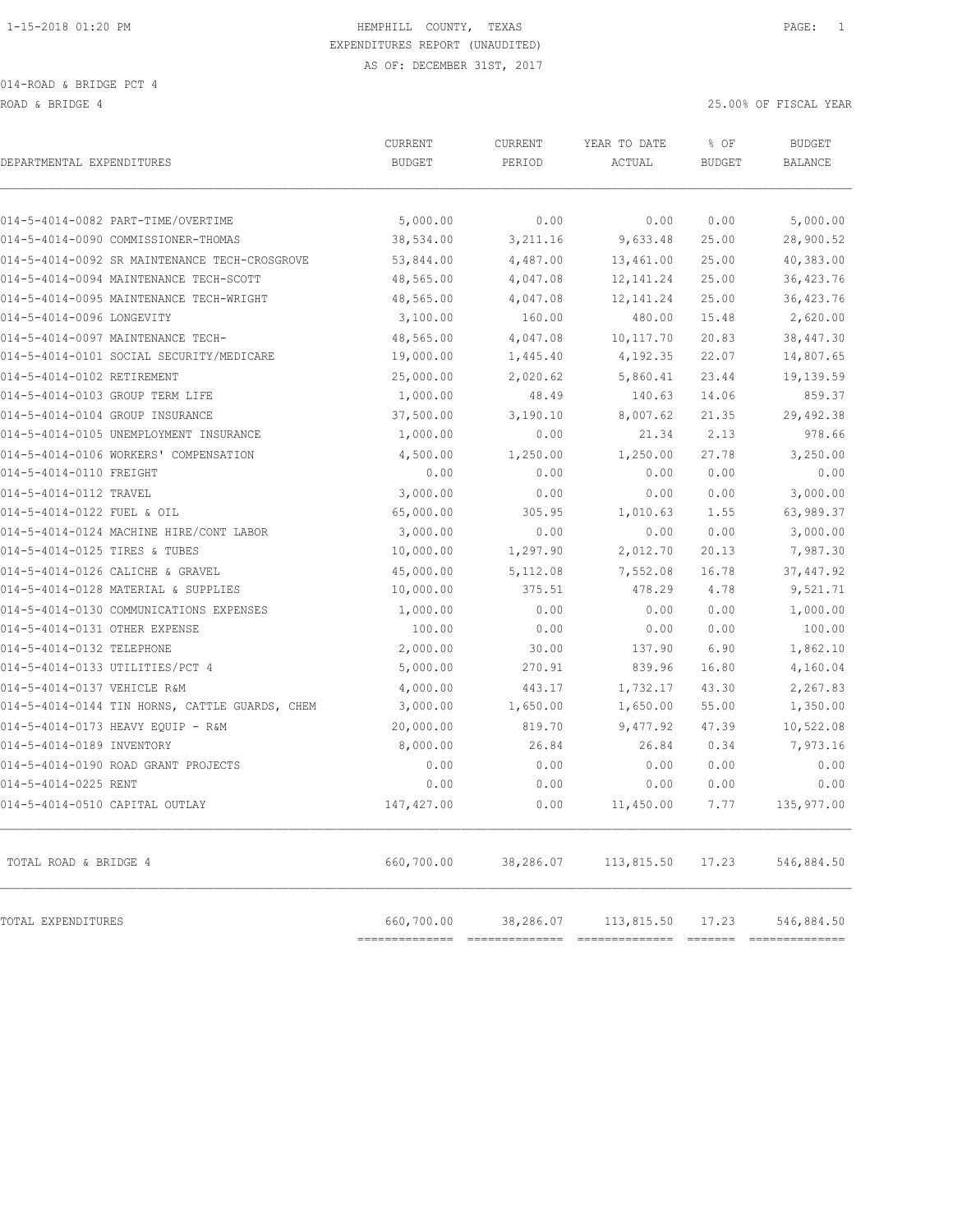ROAD & BRIDGE 4 25.00% OF FISCAL YEAR

| DEPARTMENTAL EXPENDITURES                      | CURRENT<br><b>BUDGET</b>   | CURRENT<br>PERIOD | YEAR TO DATE<br><b>ACTUAL</b> | % OF<br><b>BUDGET</b>                                                                                                                                                                                                                                                                                                                                                                                                                                                                                 | <b>BUDGET</b><br><b>BALANCE</b> |
|------------------------------------------------|----------------------------|-------------------|-------------------------------|-------------------------------------------------------------------------------------------------------------------------------------------------------------------------------------------------------------------------------------------------------------------------------------------------------------------------------------------------------------------------------------------------------------------------------------------------------------------------------------------------------|---------------------------------|
| 014-5-4014-0082 PART-TIME/OVERTIME             | 5,000.00                   | 0.00              | 0.00                          | 0.00                                                                                                                                                                                                                                                                                                                                                                                                                                                                                                  | 5,000.00                        |
| 014-5-4014-0090 COMMISSIONER-THOMAS            | 38,534.00                  | 3,211.16          | 9,633.48                      | 25.00                                                                                                                                                                                                                                                                                                                                                                                                                                                                                                 | 28,900.52                       |
| 014-5-4014-0092 SR MAINTENANCE TECH-CROSGROVE  | 53,844.00                  | 4,487.00          | 13,461.00                     | 25.00                                                                                                                                                                                                                                                                                                                                                                                                                                                                                                 | 40,383.00                       |
| 014-5-4014-0094 MAINTENANCE TECH-SCOTT         | 48,565.00                  | 4,047.08          | 12, 141.24                    | 25.00                                                                                                                                                                                                                                                                                                                                                                                                                                                                                                 | 36, 423.76                      |
| 014-5-4014-0095 MAINTENANCE TECH-WRIGHT        | 48,565.00                  | 4,047.08          | 12, 141.24                    | 25.00                                                                                                                                                                                                                                                                                                                                                                                                                                                                                                 | 36, 423.76                      |
| 014-5-4014-0096 LONGEVITY                      | 3,100.00                   | 160.00            | 480.00                        | 15.48                                                                                                                                                                                                                                                                                                                                                                                                                                                                                                 | 2,620.00                        |
| 014-5-4014-0097 MAINTENANCE TECH-              | 48,565.00                  | 4,047.08          | 10, 117.70                    | 20.83                                                                                                                                                                                                                                                                                                                                                                                                                                                                                                 | 38, 447.30                      |
| 014-5-4014-0101 SOCIAL SECURITY/MEDICARE       | 19,000.00                  | 1,445.40          | 4,192.35                      | 22.07                                                                                                                                                                                                                                                                                                                                                                                                                                                                                                 | 14,807.65                       |
| 014-5-4014-0102 RETIREMENT                     | 25,000.00                  | 2,020.62          | 5,860.41                      | 23.44                                                                                                                                                                                                                                                                                                                                                                                                                                                                                                 | 19,139.59                       |
| 014-5-4014-0103 GROUP TERM LIFE                | 1,000.00                   | 48.49             | 140.63                        | 14.06                                                                                                                                                                                                                                                                                                                                                                                                                                                                                                 | 859.37                          |
| 014-5-4014-0104 GROUP INSURANCE                | 37,500.00                  | 3,190.10          | 8,007.62                      | 21.35                                                                                                                                                                                                                                                                                                                                                                                                                                                                                                 | 29,492.38                       |
| 014-5-4014-0105 UNEMPLOYMENT INSURANCE         | 1,000.00                   | 0.00              | 21.34                         | 2.13                                                                                                                                                                                                                                                                                                                                                                                                                                                                                                  | 978.66                          |
| 014-5-4014-0106 WORKERS' COMPENSATION          | 4,500.00                   | 1,250.00          | 1,250.00                      | 27.78                                                                                                                                                                                                                                                                                                                                                                                                                                                                                                 | 3,250.00                        |
| 014-5-4014-0110 FREIGHT                        | 0.00                       | 0.00              | 0.00                          | 0.00                                                                                                                                                                                                                                                                                                                                                                                                                                                                                                  | 0.00                            |
| 014-5-4014-0112 TRAVEL                         | 3,000.00                   | 0.00              | 0.00                          | 0.00                                                                                                                                                                                                                                                                                                                                                                                                                                                                                                  | 3,000.00                        |
| 014-5-4014-0122 FUEL & OIL                     | 65,000.00                  | 305.95            | 1,010.63                      | 1.55                                                                                                                                                                                                                                                                                                                                                                                                                                                                                                  | 63,989.37                       |
| 014-5-4014-0124 MACHINE HIRE/CONT LABOR        | 3,000.00                   | 0.00              | 0.00                          | 0.00                                                                                                                                                                                                                                                                                                                                                                                                                                                                                                  | 3,000.00                        |
| 014-5-4014-0125 TIRES & TUBES                  | 10,000.00                  | 1,297.90          | 2,012.70                      | 20.13                                                                                                                                                                                                                                                                                                                                                                                                                                                                                                 | 7,987.30                        |
| 014-5-4014-0126 CALICHE & GRAVEL               | 45,000.00                  | 5,112.08          | 7,552.08                      | 16.78                                                                                                                                                                                                                                                                                                                                                                                                                                                                                                 | 37, 447.92                      |
| 014-5-4014-0128 MATERIAL & SUPPLIES            | 10,000.00                  | 375.51            | 478.29                        | 4.78                                                                                                                                                                                                                                                                                                                                                                                                                                                                                                  | 9,521.71                        |
| 014-5-4014-0130 COMMUNICATIONS EXPENSES        | 1,000.00                   | 0.00              | 0.00                          | 0.00                                                                                                                                                                                                                                                                                                                                                                                                                                                                                                  | 1,000.00                        |
| 014-5-4014-0131 OTHER EXPENSE                  | 100.00                     | 0.00              | 0.00                          | 0.00                                                                                                                                                                                                                                                                                                                                                                                                                                                                                                  | 100.00                          |
| 014-5-4014-0132 TELEPHONE                      | 2,000.00                   | 30.00             | 137.90                        | 6.90                                                                                                                                                                                                                                                                                                                                                                                                                                                                                                  | 1,862.10                        |
| 014-5-4014-0133 UTILITIES/PCT 4                | 5,000.00                   | 270.91            | 839.96                        | 16.80                                                                                                                                                                                                                                                                                                                                                                                                                                                                                                 | 4,160.04                        |
| 014-5-4014-0137 VEHICLE R&M                    | 4,000.00                   | 443.17            | 1,732.17                      | 43.30                                                                                                                                                                                                                                                                                                                                                                                                                                                                                                 | 2,267.83                        |
| 014-5-4014-0144 TIN HORNS, CATTLE GUARDS, CHEM | 3,000.00                   | 1,650.00          | 1,650.00                      | 55.00                                                                                                                                                                                                                                                                                                                                                                                                                                                                                                 | 1,350.00                        |
| 014-5-4014-0173 HEAVY EQUIP - R&M              | 20,000.00                  | 819.70            | 9,477.92                      | 47.39                                                                                                                                                                                                                                                                                                                                                                                                                                                                                                 | 10,522.08                       |
| 014-5-4014-0189 INVENTORY                      | 8,000.00                   | 26.84             | 26.84                         | 0.34                                                                                                                                                                                                                                                                                                                                                                                                                                                                                                  | 7,973.16                        |
| 014-5-4014-0190 ROAD GRANT PROJECTS            | 0.00                       | 0.00              | 0.00                          | 0.00                                                                                                                                                                                                                                                                                                                                                                                                                                                                                                  | 0.00                            |
| 014-5-4014-0225 RENT                           | 0.00                       | 0.00              | 0.00                          | 0.00                                                                                                                                                                                                                                                                                                                                                                                                                                                                                                  | 0.00                            |
| 014-5-4014-0510 CAPITAL OUTLAY                 | 147, 427.00                | 0.00              | 11,450.00                     | 7.77                                                                                                                                                                                                                                                                                                                                                                                                                                                                                                  | 135,977.00                      |
| TOTAL ROAD & BRIDGE 4                          | 660,700.00                 | 38,286.07         | 113,815.50                    | 17.23                                                                                                                                                                                                                                                                                                                                                                                                                                                                                                 | 546,884.50                      |
| TOTAL EXPENDITURES                             | 660,700.00<br>------------ | 38,286.07         | 113,815.50                    | 17.23<br>$\begin{array}{c} \multicolumn{3}{c} {\textbf{2}} & \multicolumn{3}{c} {\textbf{2}} & \multicolumn{3}{c} {\textbf{2}} & \multicolumn{3}{c} {\textbf{2}} \\ \multicolumn{3}{c} {\textbf{2}} & \multicolumn{3}{c} {\textbf{2}} & \multicolumn{3}{c} {\textbf{2}} & \multicolumn{3}{c} {\textbf{2}} & \multicolumn{3}{c} {\textbf{2}} \\ \multicolumn{3}{c} {\textbf{2}} & \multicolumn{3}{c} {\textbf{2}} & \multicolumn{3}{c} {\textbf{2}} & \multicolumn{3}{c} {\textbf{2}} & \multicolumn{$ | 546,884.50<br>$-22222222222$    |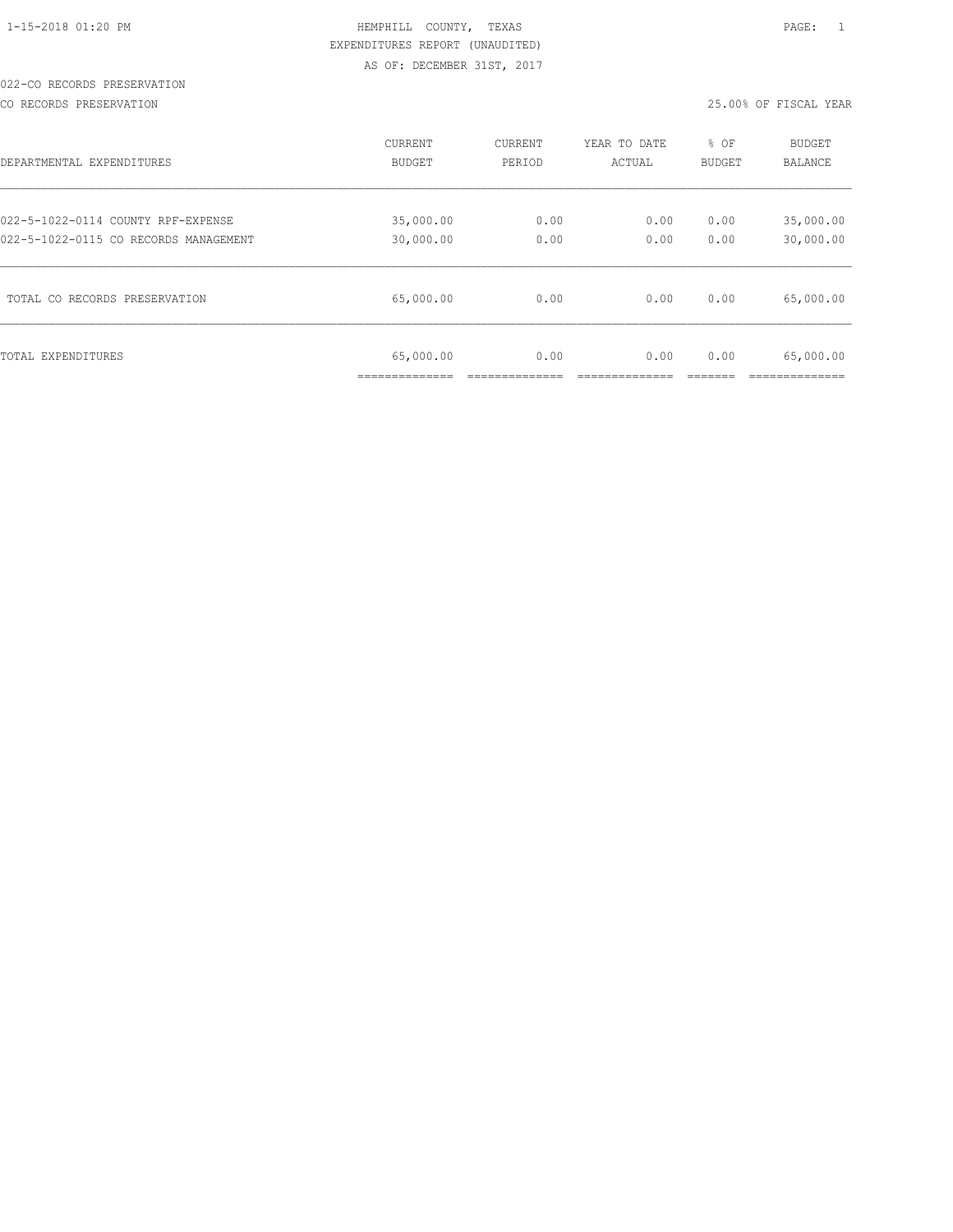#### 022-CO RECORDS PRESERVATION

CO RECORDS PRESERVATION 25.00% OF FISCAL YEAR

| DEPARTMENTAL EXPENDITURES             | <b>CURRENT</b>              | CURRENT | YEAR TO DATE | % OF          | <b>BUDGET</b>                              |
|---------------------------------------|-----------------------------|---------|--------------|---------------|--------------------------------------------|
|                                       | BUDGET                      | PERIOD  | ACTUAL       | <b>BUDGET</b> | <b>BALANCE</b>                             |
| 022-5-1022-0114 COUNTY RPF-EXPENSE    | 35,000.00                   | 0.00    | 0.00         | 0.00          | 35,000.00                                  |
| 022-5-1022-0115 CO RECORDS MANAGEMENT | 30,000.00                   | 0.00    | 0.00         | 0.00          | 30,000.00                                  |
| TOTAL CO RECORDS PRESERVATION         | 65,000.00                   | 0.00    | 0.00         | 0.00          | 65,000.00                                  |
| TOTAL EXPENDITURES                    | 65,000.00<br>______________ | 0.00    | 0.00         | 0.00          | 65,000.00<br>. _ _ _ _ _ _ _ _ _ _ _ _ _ _ |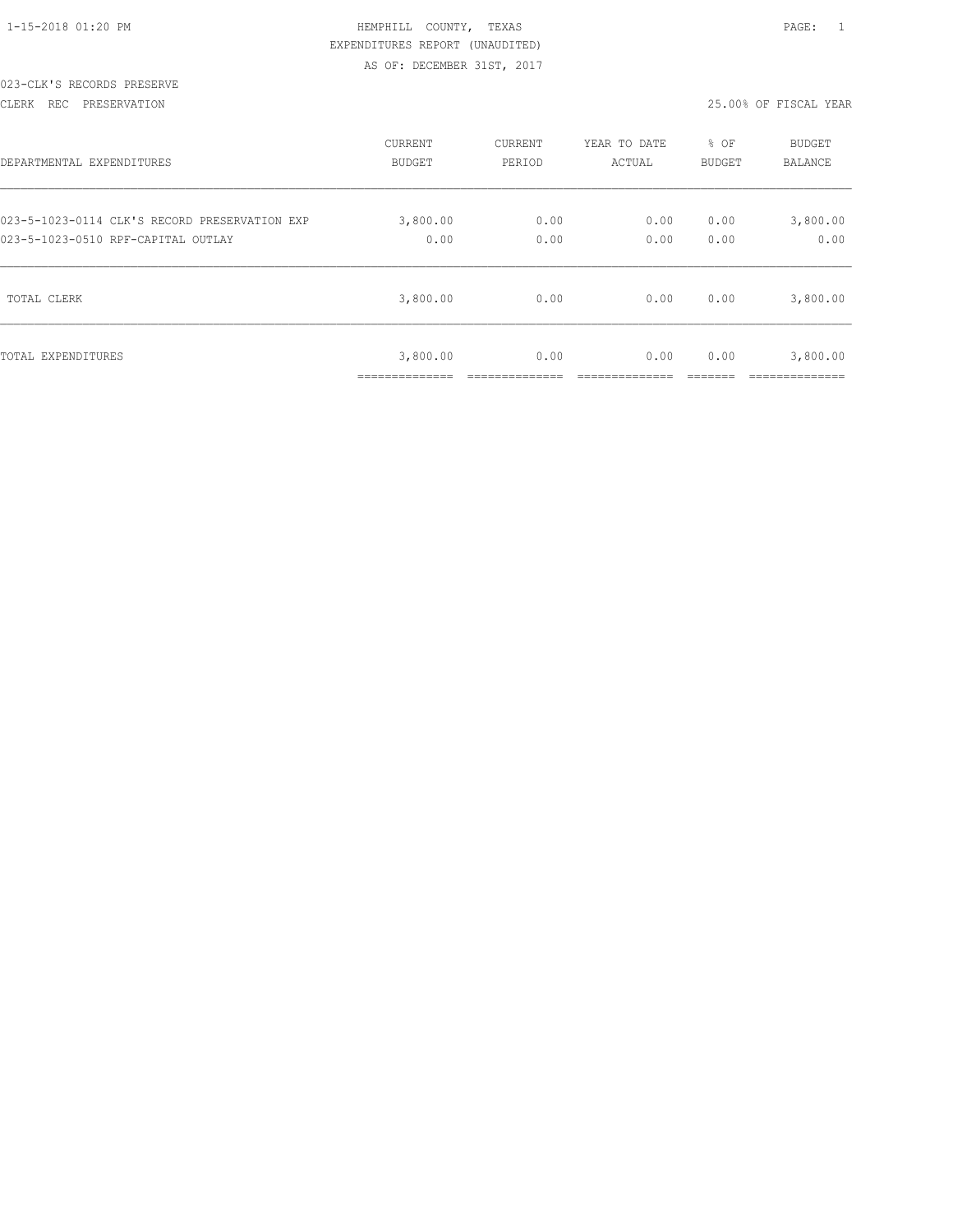|  |  | $1 - 15 - 2018$ 01:20 PM |  |
|--|--|--------------------------|--|

#### 023-CLK'S RECORDS PRESERVE

CLERK REC PRESERVATION 25.00% OF FISCAL YEAR

| DEPARTMENTAL EXPENDITURES                     | <b>CURRENT</b>          | <b>CURRENT</b> | YEAR TO DATE | % OF   | <b>BUDGET</b> |
|-----------------------------------------------|-------------------------|----------------|--------------|--------|---------------|
|                                               | BUDGET                  | PERIOD         | ACTUAL       | BUDGET | BALANCE       |
| 023-5-1023-0114 CLK'S RECORD PRESERVATION EXP | 3,800.00                | 0.00           | 0.00         | 0.00   | 3,800.00      |
| 023-5-1023-0510 RPF-CAPITAL OUTLAY            | 0.00                    | 0.00           | 0.00         | 0.00   | 0.00          |
| TOTAL CLERK                                   | 3,800.00                | 0.00           | 0.00         | 0.00   | 3,800.00      |
| TOTAL EXPENDITURES                            | 3,800.00<br>----------- | 0.00           | 0.00         | 0.00   | 3,800.00      |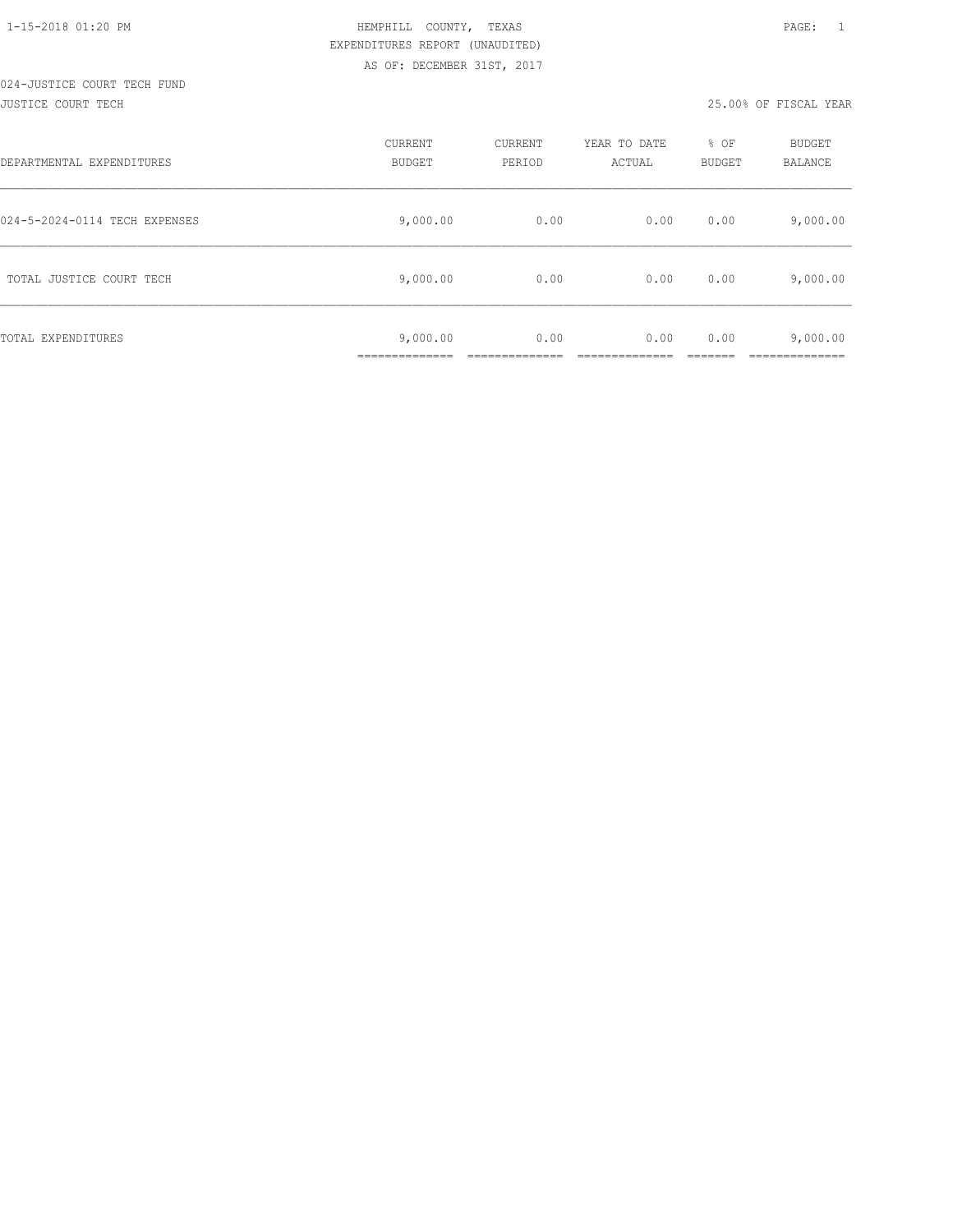# 024-JUSTICE COURT TECH FUND

#### JUSTICE COURT TECH 25.00% OF FISCAL YEAR

| DEPARTMENTAL EXPENDITURES     | <b>CURRENT</b><br><b>BUDGET</b>         | CURRENT<br>PERIOD | YEAR TO DATE<br>ACTUAL | % OF<br><b>BUDGET</b> | BUDGET<br>BALANCE |
|-------------------------------|-----------------------------------------|-------------------|------------------------|-----------------------|-------------------|
| 024-5-2024-0114 TECH EXPENSES | 9,000.00                                | 0.00              | 0.00                   | 0.00                  | 9,000.00          |
| TOTAL JUSTICE COURT TECH      | 9,000.00                                | 0.00              | 0.00                   | 0.00                  | 9,000.00          |
| TOTAL EXPENDITURES            | 9,000.00<br>-----------<br>____________ | 0.00              | 0.00                   | 0.00                  | 9,000.00          |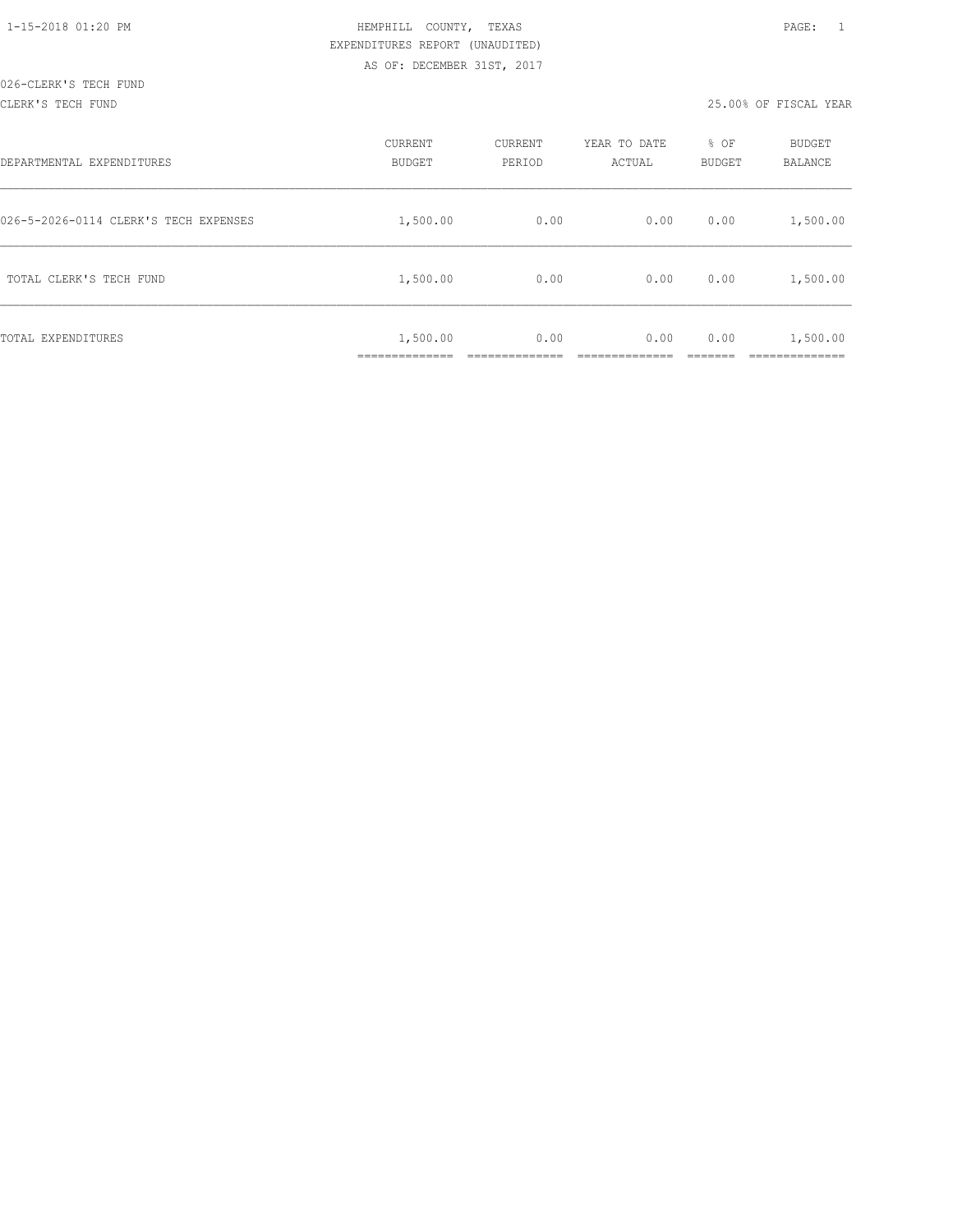#### CLERK'S TECH FUND 25.00% OF FISCAL YEAR

| DEPARTMENTAL EXPENDITURES             | CURRENT<br><b>BUDGET</b>  | CURRENT<br>PERIOD | YEAR TO DATE<br>ACTUAL | % OF<br>BUDGET | <b>BUDGET</b><br>BALANCE |
|---------------------------------------|---------------------------|-------------------|------------------------|----------------|--------------------------|
| 026-5-2026-0114 CLERK'S TECH EXPENSES | 1,500.00                  | 0.00              | 0.00                   | 0.00           | 1,500.00                 |
| TOTAL CLERK'S TECH FUND               | 1,500.00                  | 0.00              | 0.00                   | 0.00           | 1,500.00                 |
| TOTAL EXPENDITURES                    | 1,500.00<br>_____________ | 0.00              | 0.00                   | 0.00           | 1,500.00<br>________     |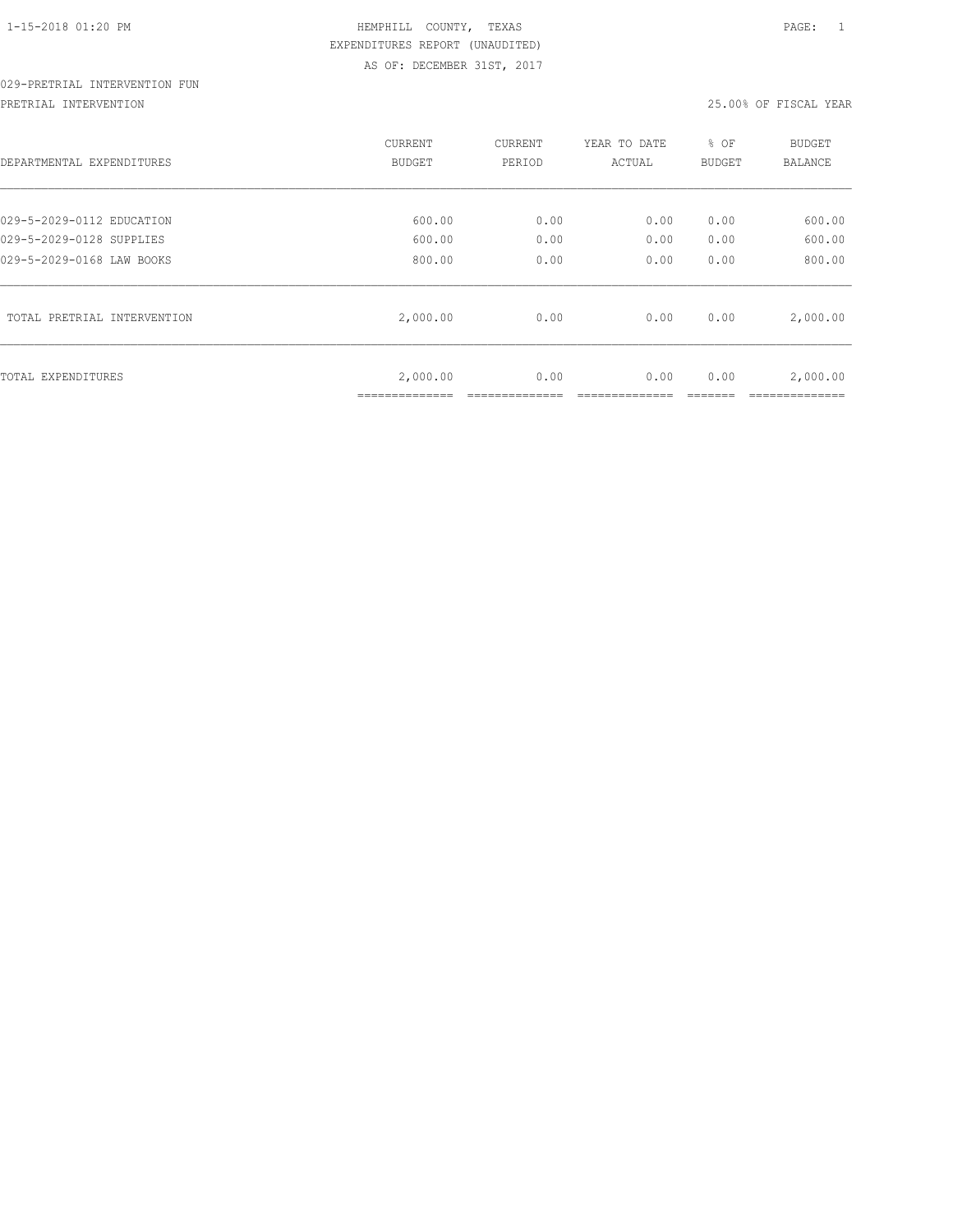## 029-PRETRIAL INTERVENTION FUN

PRETRIAL INTERVENTION 25.00% OF FISCAL YEAR

| DEPARTMENTAL EXPENDITURES   | CURRENT<br>BUDGET | CURRENT<br>PERIOD | YEAR TO DATE<br>ACTUAL | % OF<br>BUDGET | <b>BUDGET</b><br>BALANCE |
|-----------------------------|-------------------|-------------------|------------------------|----------------|--------------------------|
| 029-5-2029-0112 EDUCATION   | 600.00            | 0.00              | 0.00                   | 0.00           | 600.00                   |
| 029-5-2029-0128 SUPPLIES    | 600.00            | 0.00              | 0.00                   | 0.00           | 600.00                   |
| 029-5-2029-0168 LAW BOOKS   | 800.00            | 0.00              | 0.00                   | 0.00           | 800.00                   |
| TOTAL PRETRIAL INTERVENTION | 2,000.00          | 0.00              | 0.00                   | 0.00           | 2,000.00                 |
| TOTAL EXPENDITURES          | 2,000.00          | 0.00              | 0.00                   | 0.00           | 2,000.00                 |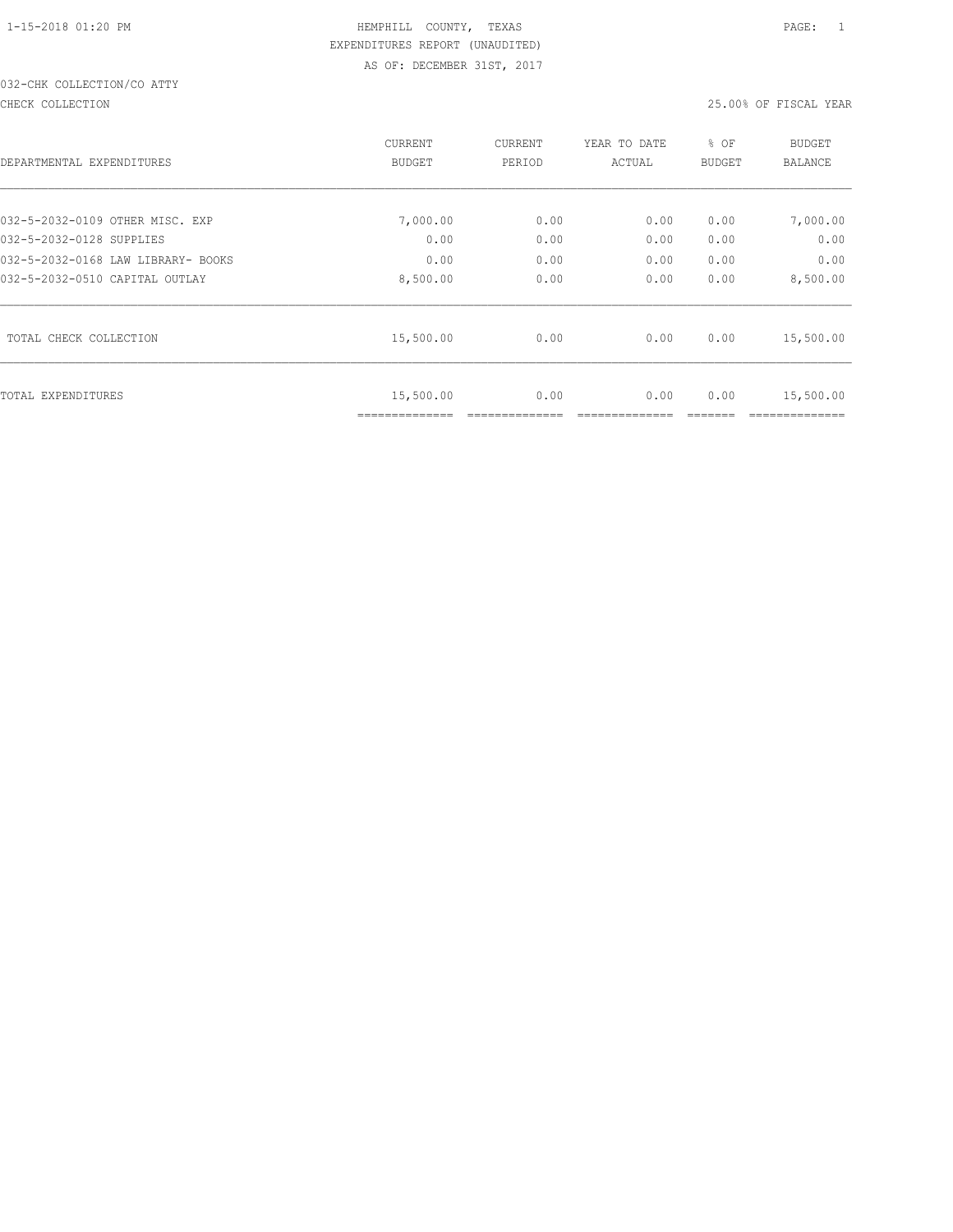## 032-CHK COLLECTION/CO ATTY

CHECK COLLECTION 25.00% OF FISCAL YEAR

| DEPARTMENTAL EXPENDITURES          | CURRENT<br><b>BUDGET</b> | CURRENT<br>PERIOD | YEAR TO DATE<br>ACTUAL | % OF<br>BUDGET | <b>BUDGET</b><br><b>BALANCE</b> |
|------------------------------------|--------------------------|-------------------|------------------------|----------------|---------------------------------|
| 032-5-2032-0109 OTHER MISC. EXP    | 7,000.00                 | 0.00              | 0.00                   | 0.00           | 7,000.00                        |
| 032-5-2032-0128 SUPPLIES           | 0.00                     | 0.00              | 0.00                   | 0.00           | 0.00                            |
| 032-5-2032-0168 LAW LIBRARY- BOOKS | 0.00                     | 0.00              | 0.00                   | 0.00           | 0.00                            |
| 032-5-2032-0510 CAPITAL OUTLAY     | 8,500.00                 | 0.00              | 0.00                   | 0.00           | 8,500.00                        |
| TOTAL CHECK COLLECTION             | 15,500.00                | 0.00              | 0.00                   | 0.00           | 15,500.00                       |
| TOTAL EXPENDITURES                 | 15,500.00                | 0.00              | 0.00                   | 0.00           | 15,500.00                       |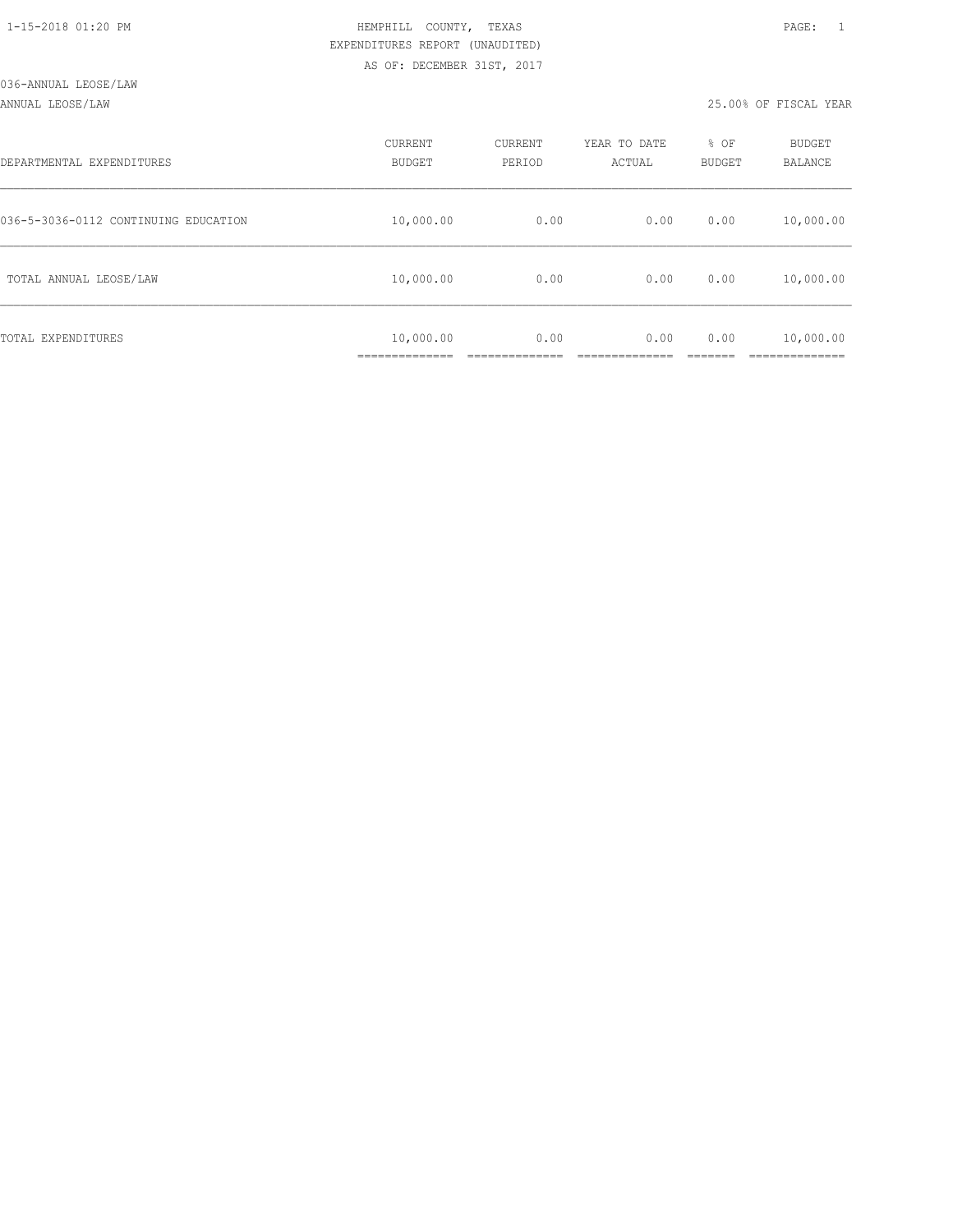| 1-15-2018 01:20 PM |  |  |
|--------------------|--|--|

#### ANNUAL LEOSE/LAW 25.00% OF FISCAL YEAR

| DEPARTMENTAL EXPENDITURES            | CURRENT<br><b>BUDGET</b> | CURRENT<br>PERIOD | YEAR TO DATE<br>ACTUAL | % OF<br>BUDGET | BUDGET<br>BALANCE |
|--------------------------------------|--------------------------|-------------------|------------------------|----------------|-------------------|
| 036-5-3036-0112 CONTINUING EDUCATION | 10,000.00                | 0.00              | 0.00                   | 0.00           | 10,000.00         |
| TOTAL ANNUAL LEOSE/LAW               | 10,000.00                | 0.00              | 0.00                   | 0.00           | 10,000.00         |
| TOTAL EXPENDITURES                   | 10,000.00                | 0.00              | 0.00                   | 0.00           | 10,000.00         |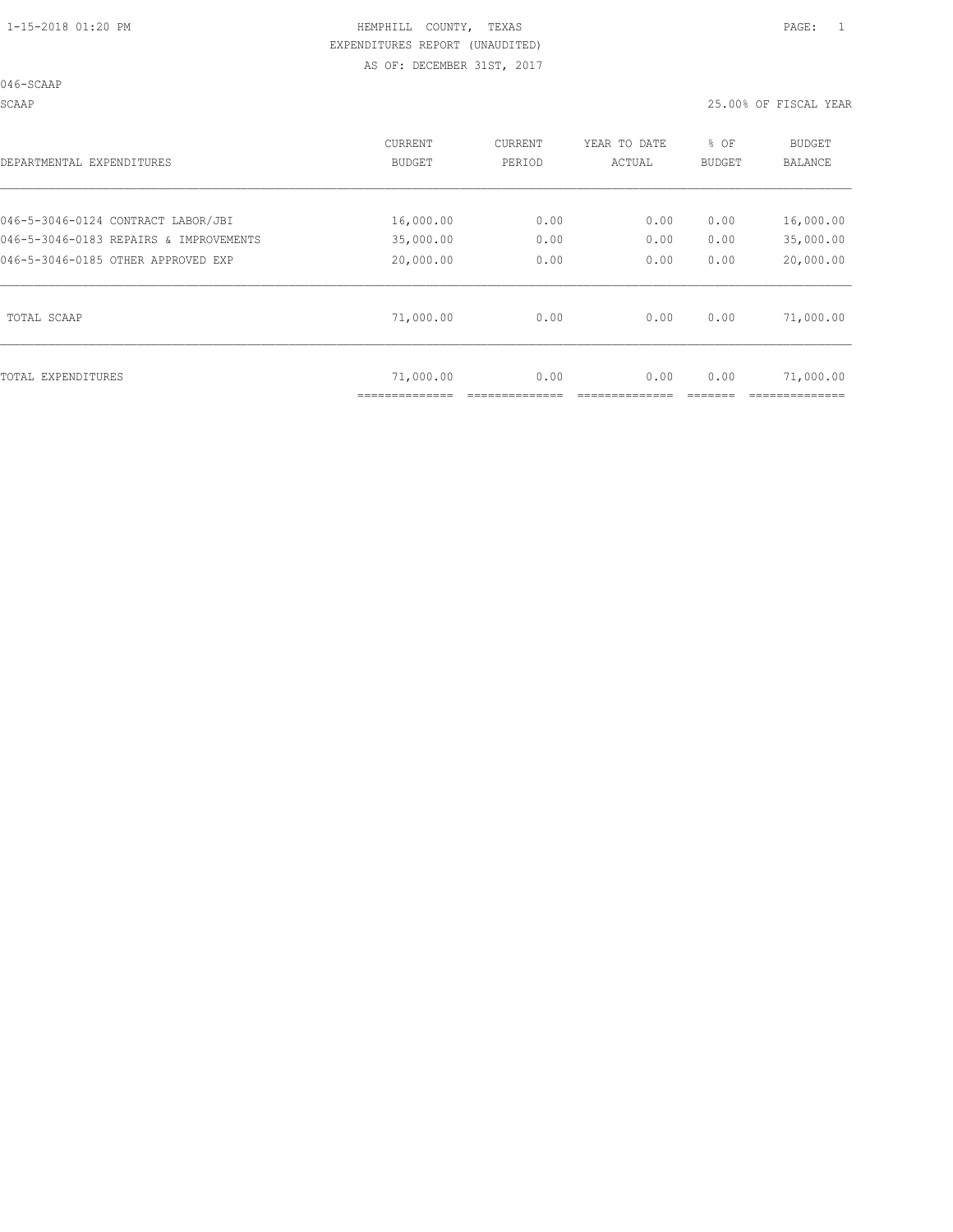SCAAP 25.00% OF FISCAL YEAR

| DEPARTMENTAL EXPENDITURES              | <b>CURRENT</b><br><b>BUDGET</b> | CURRENT<br>PERIOD | YEAR TO DATE<br>ACTUAL | % OF<br><b>BUDGET</b> | <b>BUDGET</b><br><b>BALANCE</b> |
|----------------------------------------|---------------------------------|-------------------|------------------------|-----------------------|---------------------------------|
| 046-5-3046-0124 CONTRACT LABOR/JBI     | 16,000.00                       | 0.00              | 0.00                   | 0.00                  | 16,000.00                       |
| 046-5-3046-0183 REPAIRS & IMPROVEMENTS | 35,000.00                       | 0.00              | 0.00                   | 0.00                  | 35,000.00                       |
| 046-5-3046-0185 OTHER APPROVED EXP     | 20,000.00                       | 0.00              | 0.00                   | 0.00                  | 20,000.00                       |
| TOTAL SCAAP                            | 71,000.00                       | 0.00              | 0.00                   | 0.00                  | 71,000.00                       |
| TOTAL EXPENDITURES                     | 71,000.00                       | 0.00              | 0.00                   | 0.00                  | 71,000.00                       |